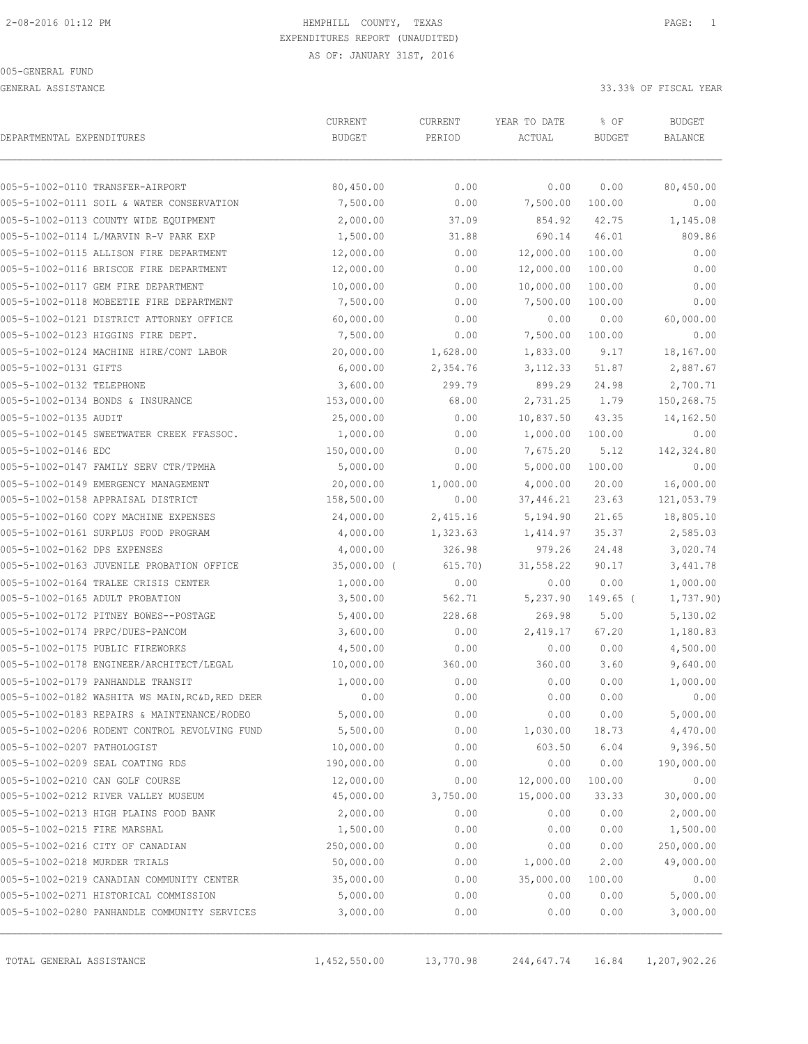GENERAL ASSISTANCE 33.33% OF FISCAL YEAR

| DEPARTMENTAL EXPENDITURES     |                                                 | CURRENT<br><b>BUDGET</b> | CURRENT<br>PERIOD | YEAR TO DATE<br>ACTUAL | % OF<br><b>BUDGET</b> | <b>BUDGET</b><br><b>BALANCE</b> |
|-------------------------------|-------------------------------------------------|--------------------------|-------------------|------------------------|-----------------------|---------------------------------|
|                               | 005-5-1002-0110 TRANSFER-AIRPORT                | 80,450.00                | 0.00              | 0.00                   | 0.00                  | 80,450.00                       |
|                               | 005-5-1002-0111 SOIL & WATER CONSERVATION       | 7,500.00                 | 0.00              | 7,500.00               | 100.00                | 0.00                            |
|                               | 005-5-1002-0113 COUNTY WIDE EQUIPMENT           | 2,000.00                 | 37.09             | 854.92                 | 42.75                 | 1,145.08                        |
|                               | 005-5-1002-0114 L/MARVIN R-V PARK EXP           | 1,500.00                 | 31.88             | 690.14                 | 46.01                 | 809.86                          |
|                               | 005-5-1002-0115 ALLISON FIRE DEPARTMENT         | 12,000.00                | 0.00              | 12,000.00              | 100.00                | 0.00                            |
|                               | 005-5-1002-0116 BRISCOE FIRE DEPARTMENT         | 12,000.00                | 0.00              | 12,000.00              | 100.00                | 0.00                            |
|                               | 005-5-1002-0117 GEM FIRE DEPARTMENT             | 10,000.00                | 0.00              | 10,000.00              | 100.00                | 0.00                            |
|                               | 005-5-1002-0118 MOBEETIE FIRE DEPARTMENT        | 7,500.00                 | 0.00              | 7,500.00               | 100.00                | 0.00                            |
|                               | 005-5-1002-0121 DISTRICT ATTORNEY OFFICE        | 60,000.00                | 0.00              | 0.00                   | 0.00                  | 60,000.00                       |
|                               | 005-5-1002-0123 HIGGINS FIRE DEPT.              | 7,500.00                 | 0.00              | 7,500.00               | 100.00                | 0.00                            |
|                               | 005-5-1002-0124 MACHINE HIRE/CONT LABOR         | 20,000.00                | 1,628.00          | 1,833.00               | 9.17                  | 18,167.00                       |
| 005-5-1002-0131 GIFTS         |                                                 | 6,000.00                 | 2,354.76          | 3,112.33               | 51.87                 | 2,887.67                        |
| 005-5-1002-0132 TELEPHONE     |                                                 | 3,600.00                 | 299.79            | 899.29                 | 24.98                 | 2,700.71                        |
|                               | 005-5-1002-0134 BONDS & INSURANCE               | 153,000.00               | 68.00             | 2,731.25               | 1.79                  | 150,268.75                      |
| 005-5-1002-0135 AUDIT         |                                                 | 25,000.00                | 0.00              | 10,837.50              | 43.35                 | 14,162.50                       |
|                               | 005-5-1002-0145 SWEETWATER CREEK FFASSOC.       | 1,000.00                 | 0.00              | 1,000.00               | 100.00                | 0.00                            |
| 005-5-1002-0146 EDC           |                                                 | 150,000.00               | 0.00              | 7,675.20               | 5.12                  | 142,324.80                      |
|                               | 005-5-1002-0147 FAMILY SERV CTR/TPMHA           | 5,000.00                 | 0.00              | 5,000.00               | 100.00                | 0.00                            |
|                               | 005-5-1002-0149 EMERGENCY MANAGEMENT            | 20,000.00                | 1,000.00          | 4,000.00               | 20.00                 | 16,000.00                       |
|                               | 005-5-1002-0158 APPRAISAL DISTRICT              | 158,500.00               | 0.00              | 37,446.21              | 23.63                 | 121,053.79                      |
|                               | 005-5-1002-0160 COPY MACHINE EXPENSES           | 24,000.00                | 2,415.16          | 5,194.90               | 21.65                 | 18,805.10                       |
|                               | 005-5-1002-0161 SURPLUS FOOD PROGRAM            | 4,000.00                 | 1,323.63          | 1,414.97               | 35.37                 | 2,585.03                        |
| 005-5-1002-0162 DPS EXPENSES  |                                                 | 4,000.00                 | 326.98            | 979.26                 | 24.48                 | 3,020.74                        |
|                               | 005-5-1002-0163 JUVENILE PROBATION OFFICE       | $35,000.00$ (            | 615.70)           | 31,558.22              | 90.17                 | 3,441.78                        |
|                               | 005-5-1002-0164 TRALEE CRISIS CENTER            | 1,000.00                 | 0.00              | 0.00                   | 0.00                  | 1,000.00                        |
|                               | 005-5-1002-0165 ADULT PROBATION                 | 3,500.00                 | 562.71            | 5,237.90               | 149.65 (              | 1,737.90)                       |
|                               | 005-5-1002-0172 PITNEY BOWES--POSTAGE           | 5,400.00                 | 228.68            | 269.98                 | 5.00                  | 5,130.02                        |
|                               | 005-5-1002-0174 PRPC/DUES-PANCOM                | 3,600.00                 | 0.00              | 2,419.17               | 67.20                 | 1,180.83                        |
|                               | 005-5-1002-0175 PUBLIC FIREWORKS                | 4,500.00                 | 0.00              | 0.00                   | 0.00                  | 4,500.00                        |
|                               | 005-5-1002-0178 ENGINEER/ARCHITECT/LEGAL        | 10,000.00                | 360.00            | 360.00                 | 3.60                  | 9,640.00                        |
|                               | 005-5-1002-0179 PANHANDLE TRANSIT               | 1,000.00                 | 0.00              | 0.00                   | 0.00                  | 1,000.00                        |
|                               | 005-5-1002-0182 WASHITA WS MAIN, RC&D, RED DEER | 0.00                     | 0.00              | 0.00                   | 0.00                  | 0.00                            |
|                               | 005-5-1002-0183 REPAIRS & MAINTENANCE/RODEO     | 5,000.00                 | 0.00              | 0.00                   | 0.00                  | 5,000.00                        |
|                               | 005-5-1002-0206 RODENT CONTROL REVOLVING FUND   | 5,500.00                 | 0.00              | 1,030.00               | 18.73                 | 4,470.00                        |
| 005-5-1002-0207 PATHOLOGIST   |                                                 | 10,000.00                | 0.00              | 603.50                 | 6.04                  | 9,396.50                        |
|                               | 005-5-1002-0209 SEAL COATING RDS                | 190,000.00               | 0.00              | 0.00                   | 0.00                  | 190,000.00                      |
|                               | 005-5-1002-0210 CAN GOLF COURSE                 | 12,000.00                | 0.00              | 12,000.00              | 100.00                | 0.00                            |
|                               | 005-5-1002-0212 RIVER VALLEY MUSEUM             | 45,000.00                | 3,750.00          | 15,000.00              | 33.33                 | 30,000.00                       |
|                               | 005-5-1002-0213 HIGH PLAINS FOOD BANK           | 2,000.00                 | 0.00              | 0.00                   | 0.00                  | 2,000.00                        |
| 005-5-1002-0215 FIRE MARSHAL  |                                                 | 1,500.00                 | 0.00              | 0.00                   | 0.00                  | 1,500.00                        |
|                               | 005-5-1002-0216 CITY OF CANADIAN                | 250,000.00               | 0.00              | 0.00                   | 0.00                  | 250,000.00                      |
| 005-5-1002-0218 MURDER TRIALS |                                                 | 50,000.00                | 0.00              | 1,000.00               | 2.00                  | 49,000.00                       |
|                               | 005-5-1002-0219 CANADIAN COMMUNITY CENTER       | 35,000.00                | 0.00              | 35,000.00              | 100.00                | 0.00                            |
|                               | 005-5-1002-0271 HISTORICAL COMMISSION           | 5,000.00                 | 0.00              | 0.00                   | 0.00                  | 5,000.00                        |
|                               | 005-5-1002-0280 PANHANDLE COMMUNITY SERVICES    | 3,000.00                 | 0.00              | 0.00                   | 0.00                  | 3,000.00                        |

TOTAL GENERAL ASSISTANCE 1,452,550.00 13,770.98 244,647.74 16.84 1,207,902.26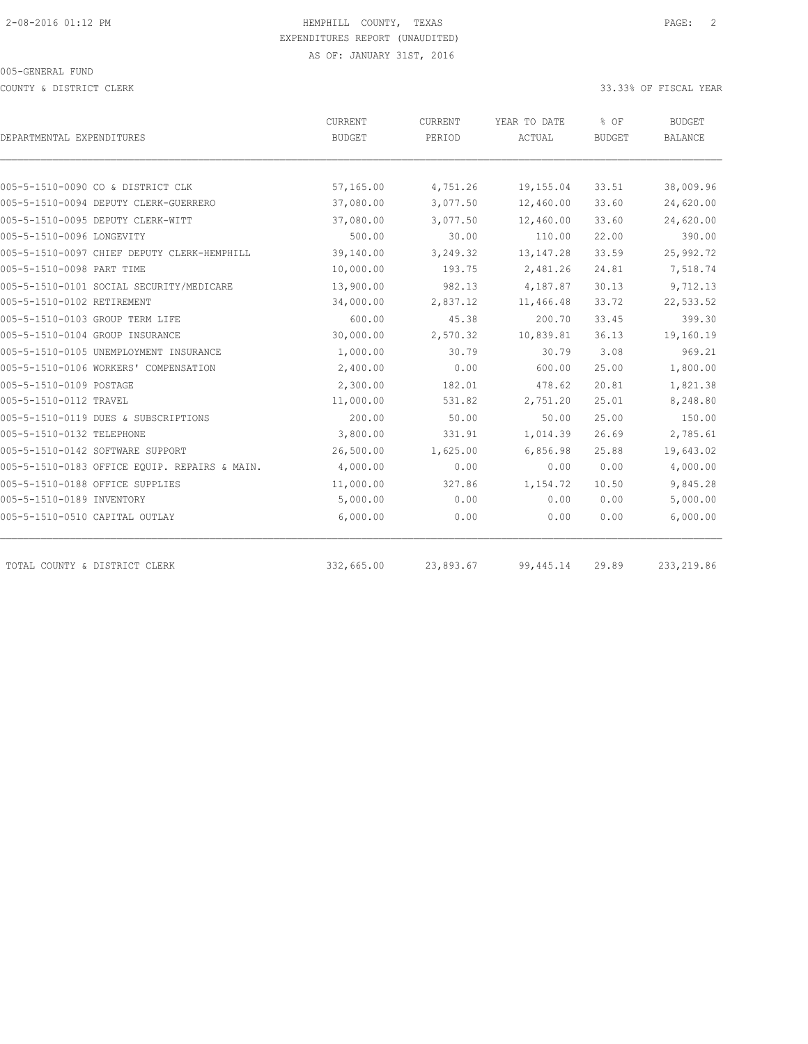COUNTY & DISTRICT CLERK 33.33% OF FISCAL YEAR

| DEPARTMENTAL EXPENDITURES                     | CURRENT<br><b>BUDGET</b> | CURRENT<br>PERIOD | YEAR TO DATE<br>ACTUAL | % OF<br><b>BUDGET</b> | <b>BUDGET</b><br><b>BALANCE</b> |
|-----------------------------------------------|--------------------------|-------------------|------------------------|-----------------------|---------------------------------|
|                                               |                          |                   |                        |                       |                                 |
| 005-5-1510-0090 CO & DISTRICT CLK             | 57,165.00                | 4,751.26          | 19,155.04              | 33.51                 | 38,009.96                       |
| 005-5-1510-0094 DEPUTY CLERK-GUERRERO         | 37,080.00                | 3,077.50          | 12,460.00              | 33.60                 | 24,620.00                       |
| 005-5-1510-0095 DEPUTY CLERK-WITT             | 37,080.00                | 3,077.50          | 12,460.00              | 33.60                 | 24,620.00                       |
| 005-5-1510-0096 LONGEVITY                     | 500.00                   | 30.00             | 110.00                 | 22.00                 | 390.00                          |
| 005-5-1510-0097 CHIEF DEPUTY CLERK-HEMPHILL   | 39,140.00                | 3,249.32          | 13, 147.28             | 33.59                 | 25,992.72                       |
| 005-5-1510-0098 PART TIME                     | 10,000.00                | 193.75            | 2,481.26               | 24.81                 | 7,518.74                        |
| 005-5-1510-0101 SOCIAL SECURITY/MEDICARE      | 13,900.00                | 982.13            | 4,187.87               | 30.13                 | 9,712.13                        |
| 005-5-1510-0102 RETIREMENT                    | 34,000.00                | 2,837.12          | 11,466.48              | 33.72                 | 22,533.52                       |
| 005-5-1510-0103 GROUP TERM LIFE               | 600.00                   | 45.38             | 200.70                 | 33.45                 | 399.30                          |
| 005-5-1510-0104 GROUP INSURANCE               | 30,000.00                | 2,570.32          | 10,839.81              | 36.13                 | 19,160.19                       |
| 005-5-1510-0105 UNEMPLOYMENT INSURANCE        | 1,000.00                 | 30.79             | 30.79                  | 3.08                  | 969.21                          |
| 005-5-1510-0106 WORKERS' COMPENSATION         | 2,400.00                 | 0.00              | 600.00                 | 25.00                 | 1,800.00                        |
| 005-5-1510-0109 POSTAGE                       | 2,300.00                 | 182.01            | 478.62                 | 20.81                 | 1,821.38                        |
| 005-5-1510-0112 TRAVEL                        | 11,000.00                | 531.82            | 2,751.20               | 25.01                 | 8,248.80                        |
| 005-5-1510-0119 DUES & SUBSCRIPTIONS          | 200.00                   | 50.00             | 50.00                  | 25.00                 | 150.00                          |
| 005-5-1510-0132 TELEPHONE                     | 3,800.00                 | 331.91            | 1,014.39               | 26.69                 | 2,785.61                        |
| 005-5-1510-0142 SOFTWARE SUPPORT              | 26,500.00                | 1,625.00          | 6,856.98               | 25.88                 | 19,643.02                       |
| 005-5-1510-0183 OFFICE EQUIP. REPAIRS & MAIN. | 4,000.00                 | 0.00              | 0.00                   | 0.00                  | 4,000.00                        |
| 005-5-1510-0188 OFFICE SUPPLIES               | 11,000.00                | 327.86            | 1,154.72               | 10.50                 | 9,845.28                        |
| 005-5-1510-0189 INVENTORY                     | 5,000.00                 | 0.00              | 0.00                   | 0.00                  | 5,000.00                        |
| 005-5-1510-0510 CAPITAL OUTLAY                | 6,000.00                 | 0.00              | 0.00                   | 0.00                  | 6,000.00                        |
| TOTAL COUNTY & DISTRICT CLERK                 | 332,665.00               | 23,893.67         | 99, 445.14             | 29.89                 | 233, 219.86                     |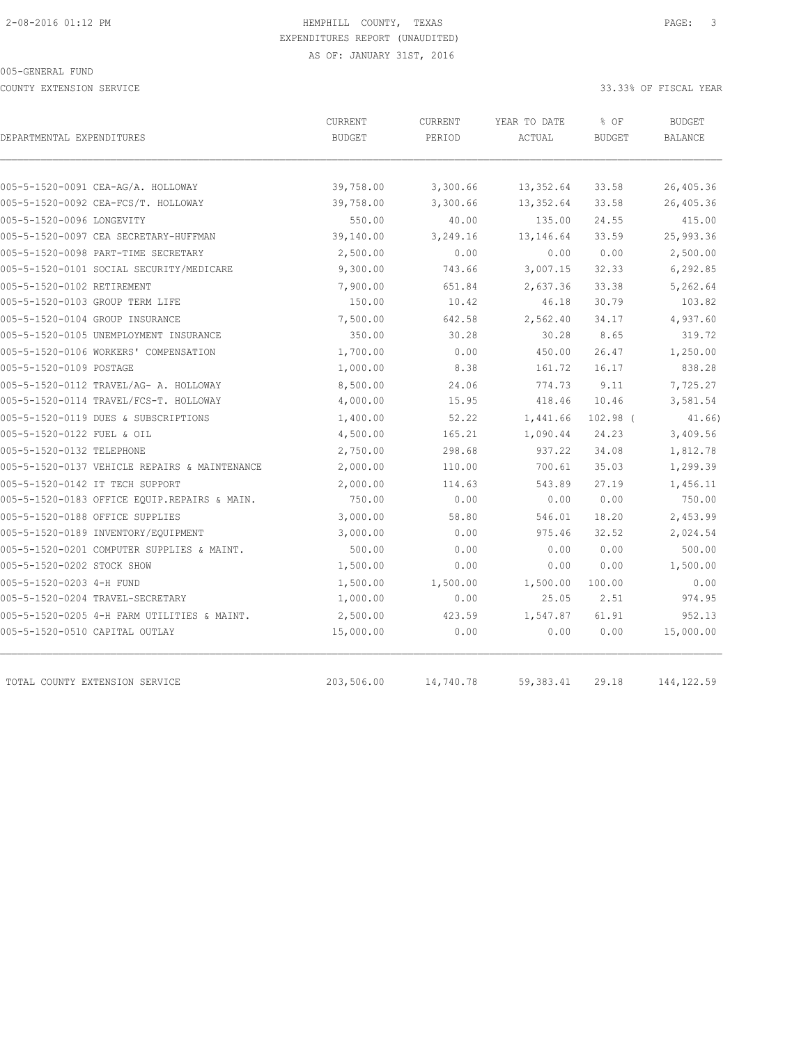COUNTY EXTENSION SERVICE 33.33% OF FISCAL YEAR

| DEPARTMENTAL EXPENDITURES                     | CURRENT<br><b>BUDGET</b> | CURRENT<br>PERIOD | YEAR TO DATE<br>ACTUAL | % OF<br><b>BUDGET</b> | <b>BUDGET</b><br><b>BALANCE</b> |
|-----------------------------------------------|--------------------------|-------------------|------------------------|-----------------------|---------------------------------|
|                                               |                          |                   |                        |                       |                                 |
| 005-5-1520-0091 CEA-AG/A. HOLLOWAY            | 39,758.00                | 3,300.66          | 13,352.64              | 33.58                 | 26,405.36                       |
| 005-5-1520-0092 CEA-FCS/T. HOLLOWAY           | 39,758.00                | 3,300.66          | 13,352.64              | 33.58                 | 26,405.36                       |
| 005-5-1520-0096 LONGEVITY                     | 550.00                   | 40.00             | 135.00                 | 24.55                 | 415.00                          |
| 005-5-1520-0097 CEA SECRETARY-HUFFMAN         | 39,140.00                | 3,249.16          | 13, 146.64             | 33.59                 | 25,993.36                       |
| 005-5-1520-0098 PART-TIME SECRETARY           | 2,500.00                 | 0.00              | 0.00                   | 0.00                  | 2,500.00                        |
| 005-5-1520-0101 SOCIAL SECURITY/MEDICARE      | 9,300.00                 | 743.66            | 3,007.15               | 32.33                 | 6,292.85                        |
| 005-5-1520-0102 RETIREMENT                    | 7,900.00                 | 651.84            | 2,637.36               | 33.38                 | 5,262.64                        |
| 005-5-1520-0103 GROUP TERM LIFE               | 150.00                   | 10.42             | 46.18                  | 30.79                 | 103.82                          |
| 005-5-1520-0104 GROUP INSURANCE               | 7,500.00                 | 642.58            | 2,562.40               | 34.17                 | 4,937.60                        |
| 005-5-1520-0105 UNEMPLOYMENT INSURANCE        | 350.00                   | 30.28             | 30.28                  | 8.65                  | 319.72                          |
| 005-5-1520-0106 WORKERS' COMPENSATION         | 1,700.00                 | 0.00              | 450.00                 | 26.47                 | 1,250.00                        |
| 005-5-1520-0109 POSTAGE                       | 1,000.00                 | 8.38              | 161.72                 | 16.17                 | 838.28                          |
| 005-5-1520-0112 TRAVEL/AG- A. HOLLOWAY        | 8,500.00                 | 24.06             | 774.73                 | 9.11                  | 7,725.27                        |
| 005-5-1520-0114 TRAVEL/FCS-T. HOLLOWAY        | 4,000.00                 | 15.95             | 418.46                 | 10.46                 | 3,581.54                        |
| 005-5-1520-0119 DUES & SUBSCRIPTIONS          | 1,400.00                 | 52.22             | 1,441.66               | 102.98 (              | 41.66)                          |
| 005-5-1520-0122 FUEL & OIL                    | 4,500.00                 | 165.21            | 1,090.44               | 24.23                 | 3,409.56                        |
| 005-5-1520-0132 TELEPHONE                     | 2,750.00                 | 298.68            | 937.22                 | 34.08                 | 1,812.78                        |
| 005-5-1520-0137 VEHICLE REPAIRS & MAINTENANCE | 2,000.00                 | 110.00            | 700.61                 | 35.03                 | 1,299.39                        |
| 005-5-1520-0142 IT TECH SUPPORT               | 2,000.00                 | 114.63            | 543.89                 | 27.19                 | 1,456.11                        |
| 005-5-1520-0183 OFFICE EQUIP.REPAIRS & MAIN.  | 750.00                   | 0.00              | 0.00                   | 0.00                  | 750.00                          |
| 005-5-1520-0188 OFFICE SUPPLIES               | 3,000.00                 | 58.80             | 546.01                 | 18.20                 | 2,453.99                        |
| 005-5-1520-0189 INVENTORY/EQUIPMENT           | 3,000.00                 | 0.00              | 975.46                 | 32.52                 | 2,024.54                        |
| 005-5-1520-0201 COMPUTER SUPPLIES & MAINT.    | 500.00                   | 0.00              | 0.00                   | 0.00                  | 500.00                          |
| 005-5-1520-0202 STOCK SHOW                    | 1,500.00                 | 0.00              | 0.00                   | 0.00                  | 1,500.00                        |
| 005-5-1520-0203 4-H FUND                      | 1,500.00                 | 1,500.00          | 1,500.00               | 100.00                | 0.00                            |
| 005-5-1520-0204 TRAVEL-SECRETARY              | 1,000.00                 | 0.00              | 25.05                  | 2.51                  | 974.95                          |
| 005-5-1520-0205 4-H FARM UTILITIES & MAINT.   | 2,500.00                 | 423.59            | 1,547.87               | 61.91                 | 952.13                          |
| 005-5-1520-0510 CAPITAL OUTLAY                | 15,000.00                | 0.00              | 0.00                   | 0.00                  | 15,000.00                       |
| TOTAL COUNTY EXTENSION SERVICE                | 203,506.00               | 14,740.78         | 59, 383.41             | 29.18                 | 144, 122.59                     |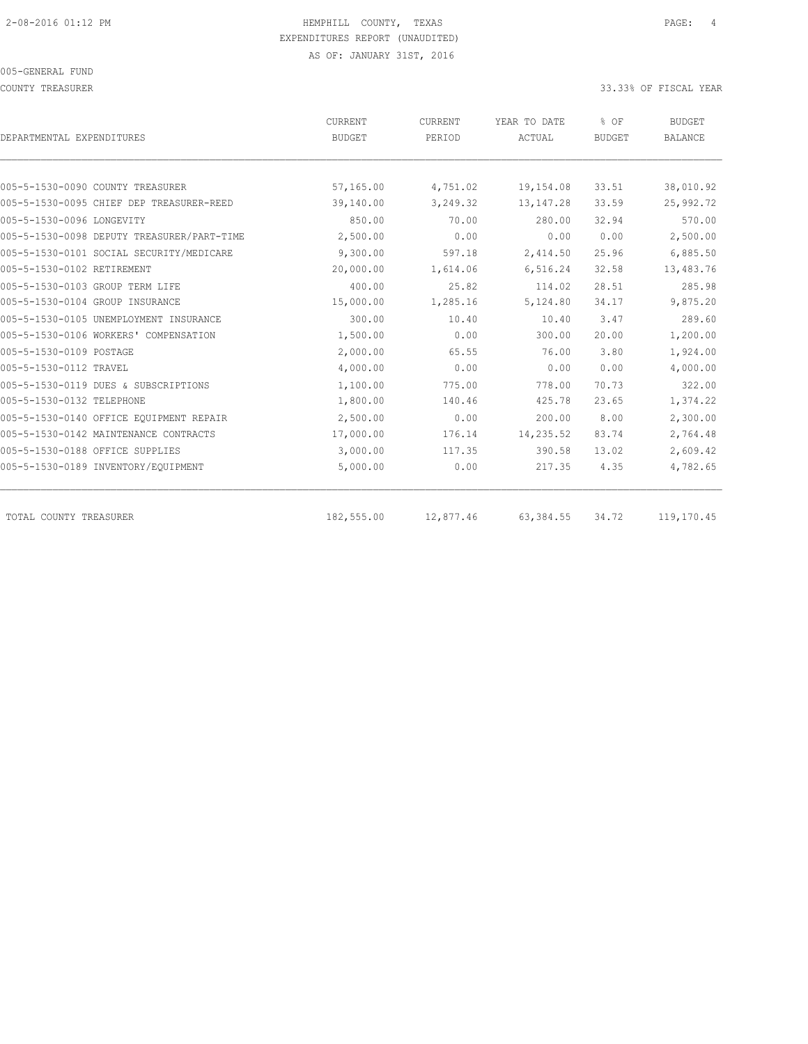COUNTY TREASURER SERVICES AND THE SERVICES OF SERVICES AND THE SERVICES OF STRUCK AND SOMETHEAR COUNTY TREASURER

|                                            | CURRENT       | CURRENT   | YEAR TO DATE | % OF          | <b>BUDGET</b>  |  |
|--------------------------------------------|---------------|-----------|--------------|---------------|----------------|--|
| DEPARTMENTAL EXPENDITURES                  | <b>BUDGET</b> | PERIOD    | ACTUAL       | <b>BUDGET</b> | <b>BALANCE</b> |  |
|                                            |               |           |              |               |                |  |
| 005-5-1530-0090 COUNTY TREASURER           | 57,165.00     | 4,751.02  | 19,154.08    | 33.51         | 38,010.92      |  |
| 005-5-1530-0095 CHIEF DEP TREASURER-REED   | 39,140.00     | 3,249.32  | 13, 147.28   | 33.59         | 25,992.72      |  |
| 005-5-1530-0096 LONGEVITY                  | 850.00        | 70.00     | 280.00       | 32.94         | 570.00         |  |
| 005-5-1530-0098 DEPUTY TREASURER/PART-TIME | 2,500.00      | 0.00      | 0.00         | 0.00          | 2,500.00       |  |
| 005-5-1530-0101 SOCIAL SECURITY/MEDICARE   | 9,300.00      | 597.18    | 2,414.50     | 25.96         | 6,885.50       |  |
| 005-5-1530-0102 RETIREMENT                 | 20,000.00     | 1,614.06  | 6,516.24     | 32.58         | 13,483.76      |  |
| 005-5-1530-0103 GROUP TERM LIFE            | 400.00        | 25.82     | 114.02       | 28.51         | 285.98         |  |
| 005-5-1530-0104 GROUP INSURANCE            | 15,000.00     | 1,285.16  | 5,124.80     | 34.17         | 9,875.20       |  |
| 005-5-1530-0105 UNEMPLOYMENT INSURANCE     | 300.00        | 10.40     | 10.40        | 3.47          | 289.60         |  |
| 005-5-1530-0106 WORKERS' COMPENSATION      | 1,500.00      | 0.00      | 300.00       | 20.00         | 1,200.00       |  |
| 005-5-1530-0109 POSTAGE                    | 2,000.00      | 65.55     | 76.00        | 3.80          | 1,924.00       |  |
| 005-5-1530-0112 TRAVEL                     | 4,000.00      | 0.00      | 0.00         | 0.00          | 4,000.00       |  |
| 005-5-1530-0119 DUES & SUBSCRIPTIONS       | 1,100.00      | 775.00    | 778.00       | 70.73         | 322.00         |  |
| 005-5-1530-0132 TELEPHONE                  | 1,800.00      | 140.46    | 425.78       | 23.65         | 1,374.22       |  |
| 005-5-1530-0140 OFFICE EOUIPMENT REPAIR    | 2,500.00      | 0.00      | 200.00       | 8.00          | 2,300.00       |  |
| 005-5-1530-0142 MAINTENANCE CONTRACTS      | 17,000.00     | 176.14    | 14,235.52    | 83.74         | 2,764.48       |  |
| 005-5-1530-0188 OFFICE SUPPLIES            | 3,000.00      | 117.35    | 390.58       | 13.02         | 2,609.42       |  |
| 005-5-1530-0189 INVENTORY/EQUIPMENT        | 5,000.00      | 0.00      | 217.35       | 4.35          | 4,782.65       |  |
| TOTAL COUNTY TREASURER                     | 182,555.00    | 12,877.46 | 63, 384.55   | 34.72         | 119,170.45     |  |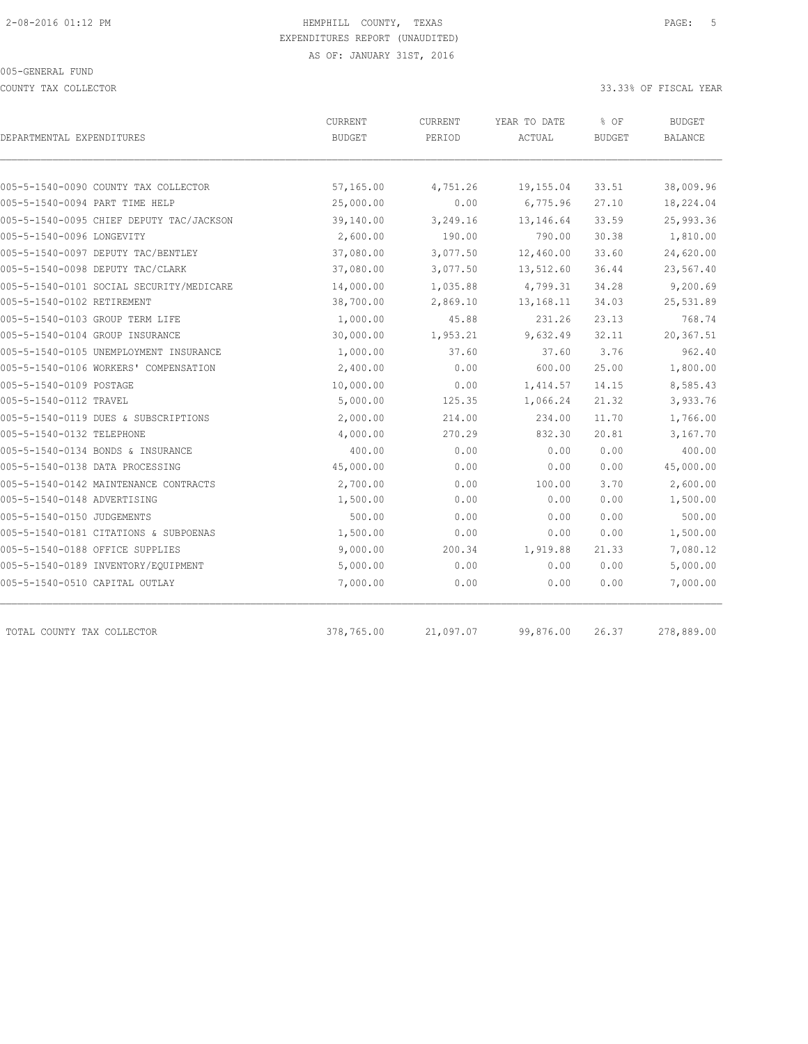COUNTY TAX COLLECTOR 33.33% OF FISCAL YEAR

| DEPARTMENTAL EXPENDITURES                | CURRENT<br><b>BUDGET</b> | CURRENT<br>PERIOD | YEAR TO DATE<br>ACTUAL | % OF<br><b>BUDGET</b> | <b>BUDGET</b><br><b>BALANCE</b> |
|------------------------------------------|--------------------------|-------------------|------------------------|-----------------------|---------------------------------|
|                                          |                          |                   |                        |                       |                                 |
| 005-5-1540-0090 COUNTY TAX COLLECTOR     | 57,165.00                | 4,751.26          | 19,155.04              | 33.51                 | 38,009.96                       |
| 005-5-1540-0094 PART TIME HELP           | 25,000.00                | 0.00              | 6,775.96               | 27.10                 | 18,224.04                       |
| 005-5-1540-0095 CHIEF DEPUTY TAC/JACKSON | 39,140.00                | 3,249.16          | 13,146.64              | 33.59                 | 25,993.36                       |
| 005-5-1540-0096 LONGEVITY                | 2,600.00                 | 190.00            | 790.00                 | 30.38                 | 1,810.00                        |
| 005-5-1540-0097 DEPUTY TAC/BENTLEY       | 37,080.00                | 3,077.50          | 12,460.00              | 33.60                 | 24,620.00                       |
| 005-5-1540-0098 DEPUTY TAC/CLARK         | 37,080.00                | 3,077.50          | 13,512.60              | 36.44                 | 23,567.40                       |
| 005-5-1540-0101 SOCIAL SECURITY/MEDICARE | 14,000.00                | 1,035.88          | 4,799.31               | 34.28                 | 9,200.69                        |
| 005-5-1540-0102 RETIREMENT               | 38,700.00                | 2,869.10          | 13, 168. 11            | 34.03                 | 25,531.89                       |
| 005-5-1540-0103 GROUP TERM LIFE          | 1,000.00                 | 45.88             | 231.26                 | 23.13                 | 768.74                          |
| 005-5-1540-0104 GROUP INSURANCE          | 30,000.00                | 1,953.21          | 9,632.49               | 32.11                 | 20,367.51                       |
| 005-5-1540-0105 UNEMPLOYMENT INSURANCE   | 1,000.00                 | 37.60             | 37.60                  | 3.76                  | 962.40                          |
| 005-5-1540-0106 WORKERS' COMPENSATION    | 2,400.00                 | 0.00              | 600.00                 | 25.00                 | 1,800.00                        |
| 005-5-1540-0109 POSTAGE                  | 10,000.00                | 0.00              | 1,414.57               | 14.15                 | 8,585.43                        |
| 005-5-1540-0112 TRAVEL                   | 5,000.00                 | 125.35            | 1,066.24               | 21.32                 | 3,933.76                        |
| 005-5-1540-0119 DUES & SUBSCRIPTIONS     | 2,000.00                 | 214.00            | 234.00                 | 11.70                 | 1,766.00                        |
| 005-5-1540-0132 TELEPHONE                | 4,000.00                 | 270.29            | 832.30                 | 20.81                 | 3,167.70                        |
| 005-5-1540-0134 BONDS & INSURANCE        | 400.00                   | 0.00              | 0.00                   | 0.00                  | 400.00                          |
| 005-5-1540-0138 DATA PROCESSING          | 45,000.00                | 0.00              | 0.00                   | 0.00                  | 45,000.00                       |
| 005-5-1540-0142 MAINTENANCE CONTRACTS    | 2,700.00                 | 0.00              | 100.00                 | 3.70                  | 2,600.00                        |
| 005-5-1540-0148 ADVERTISING              | 1,500.00                 | 0.00              | 0.00                   | 0.00                  | 1,500.00                        |
| 005-5-1540-0150 JUDGEMENTS               | 500.00                   | 0.00              | 0.00                   | 0.00                  | 500.00                          |
| 005-5-1540-0181 CITATIONS & SUBPOENAS    | 1,500.00                 | 0.00              | 0.00                   | 0.00                  | 1,500.00                        |
| 005-5-1540-0188 OFFICE SUPPLIES          | 9,000.00                 | 200.34            | 1,919.88               | 21.33                 | 7,080.12                        |
| 005-5-1540-0189 INVENTORY/EQUIPMENT      | 5,000.00                 | 0.00              | 0.00                   | 0.00                  | 5,000.00                        |
| 005-5-1540-0510 CAPITAL OUTLAY           | 7,000.00                 | 0.00              | 0.00                   | 0.00                  | 7,000.00                        |
| TOTAL COUNTY TAX COLLECTOR               | 378,765.00               | 21,097.07         | 99,876.00              | 26.37                 | 278,889.00                      |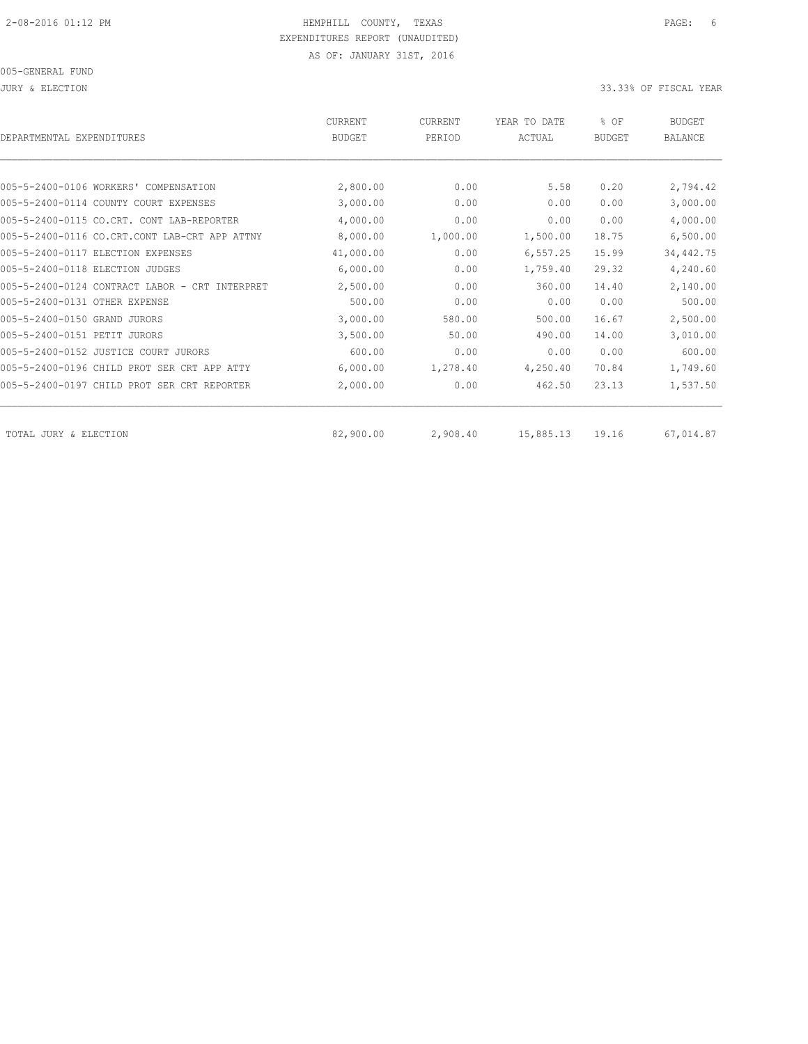JURY & ELECTION 33.33% OF FISCAL YEAR

| DEPARTMENTAL EXPENDITURES                      | <b>CURRENT</b><br><b>BUDGET</b> | CURRENT<br>PERIOD | YEAR TO DATE<br>ACTUAL | % OF<br><b>BUDGET</b> | <b>BUDGET</b><br><b>BALANCE</b> |
|------------------------------------------------|---------------------------------|-------------------|------------------------|-----------------------|---------------------------------|
|                                                |                                 |                   |                        |                       |                                 |
| 005-5-2400-0106 WORKERS' COMPENSATION          | 2,800.00                        | 0.00              | 5.58                   | 0.20                  | 2,794.42                        |
| 005-5-2400-0114 COUNTY COURT EXPENSES          | 3,000.00                        | 0.00              | 0.00                   | 0.00                  | 3,000.00                        |
| 005-5-2400-0115 CO.CRT. CONT LAB-REPORTER      | 4,000.00                        | 0.00              | 0.00                   | 0.00                  | 4,000.00                        |
| 005-5-2400-0116 CO.CRT.CONT LAB-CRT APP ATTNY  | 8,000.00                        | 1,000.00          | 1,500.00               | 18.75                 | 6,500.00                        |
| 005-5-2400-0117 ELECTION EXPENSES              | 41,000.00                       | 0.00              | 6, 557.25              | 15.99                 | 34, 442. 75                     |
| 005-5-2400-0118 ELECTION JUDGES                | 6,000.00                        | 0.00              | 1,759.40               | 29.32                 | 4,240.60                        |
| 005-5-2400-0124 CONTRACT LABOR - CRT INTERPRET | 2,500.00                        | 0.00              | 360.00                 | 14.40                 | 2,140.00                        |
| 005-5-2400-0131 OTHER EXPENSE                  | 500.00                          | 0.00              | 0.00                   | 0.00                  | 500.00                          |
| 005-5-2400-0150 GRAND JURORS                   | 3,000.00                        | 580.00            | 500.00                 | 16.67                 | 2,500.00                        |
| 005-5-2400-0151 PETIT JURORS                   | 3,500.00                        | 50.00             | 490.00                 | 14.00                 | 3,010.00                        |
| 005-5-2400-0152 JUSTICE COURT JURORS           | 600.00                          | 0.00              | 0.00                   | 0.00                  | 600.00                          |
| 005-5-2400-0196 CHILD PROT SER CRT APP ATTY    | 6,000.00                        | 1,278.40          | 4,250.40               | 70.84                 | 1,749.60                        |
| 005-5-2400-0197 CHILD PROT SER CRT REPORTER    | 2,000.00                        | 0.00              | 462.50                 | 23.13                 | 1,537.50                        |
| TOTAL JURY & ELECTION                          | 82,900.00                       | 2,908.40          | 15,885.13              | 19.16                 | 67,014.87                       |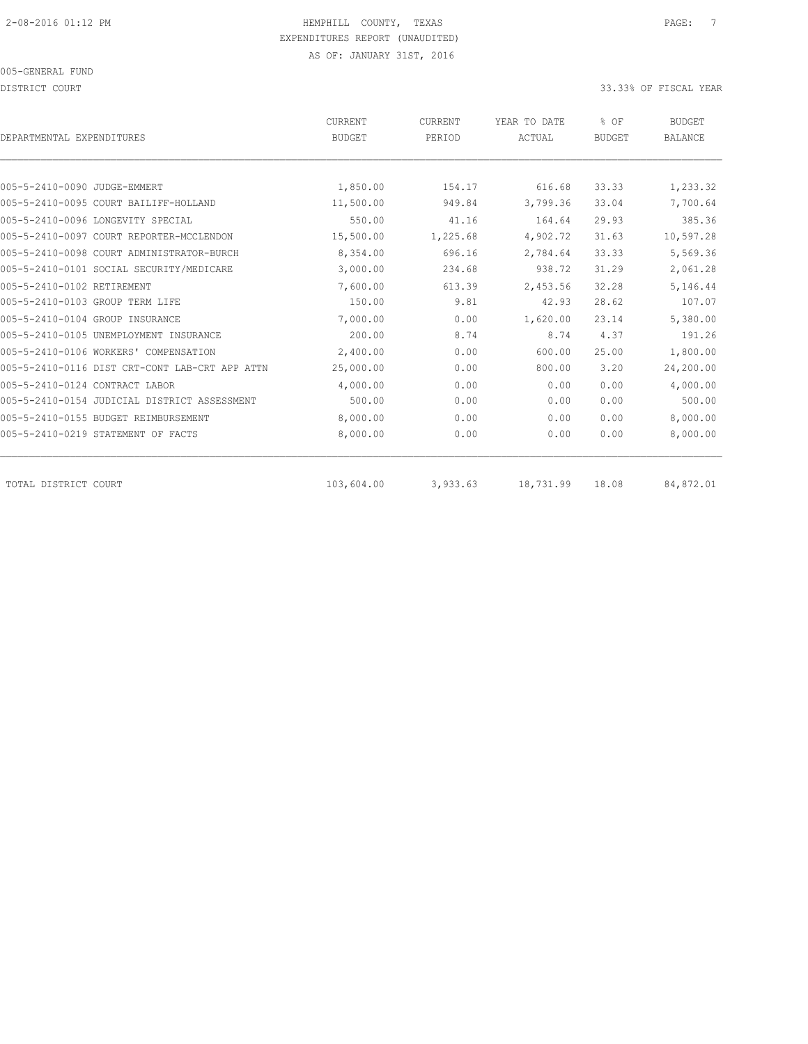DISTRICT COURT COURT COURT COURT COURT COURT COURT COURT COURT COURT COURT COURT COURT COURT COURT COURT COURT

| DEPARTMENTAL EXPENDITURES                      | CURRENT<br><b>BUDGET</b> | CURRENT<br>PERIOD | YEAR TO DATE<br>ACTUAL | % OF<br><b>BUDGET</b> | <b>BUDGET</b><br><b>BALANCE</b> |
|------------------------------------------------|--------------------------|-------------------|------------------------|-----------------------|---------------------------------|
|                                                |                          |                   |                        |                       |                                 |
| 005-5-2410-0090 JUDGE-EMMERT                   | 1,850.00                 | 154.17            | 616.68                 | 33.33                 | 1,233.32                        |
| 005-5-2410-0095 COURT BAILIFF-HOLLAND          | 11,500.00                | 949.84            | 3,799.36               | 33.04                 | 7,700.64                        |
| 005-5-2410-0096 LONGEVITY SPECIAL              | 550.00                   | 41.16             | 164.64                 | 29.93                 | 385.36                          |
| 005-5-2410-0097 COURT REPORTER-MCCLENDON       | 15,500.00                | 1,225.68          | 4,902.72               | 31.63                 | 10,597.28                       |
| 005-5-2410-0098 COURT ADMINISTRATOR-BURCH      | 8,354.00                 | 696.16            | 2,784.64               | 33.33                 | 5,569.36                        |
| 005-5-2410-0101 SOCIAL SECURITY/MEDICARE       | 3,000.00                 | 234.68            | 938.72                 | 31.29                 | 2,061.28                        |
| 005-5-2410-0102 RETIREMENT                     | 7,600.00                 | 613.39            | 2,453.56               | 32.28                 | 5,146.44                        |
| 005-5-2410-0103 GROUP TERM LIFE                | 150.00                   | 9.81              | 42.93                  | 28.62                 | 107.07                          |
| 005-5-2410-0104 GROUP INSURANCE                | 7,000.00                 | 0.00              | 1,620.00               | 23.14                 | 5,380.00                        |
| 005-5-2410-0105 UNEMPLOYMENT INSURANCE         | 200.00                   | 8.74              | 8.74                   | 4.37                  | 191.26                          |
| 005-5-2410-0106 WORKERS' COMPENSATION          | 2,400.00                 | 0.00              | 600.00                 | 25.00                 | 1,800.00                        |
| 005-5-2410-0116 DIST CRT-CONT LAB-CRT APP ATTN | 25,000.00                | 0.00              | 800.00                 | 3.20                  | 24,200.00                       |
| 005-5-2410-0124 CONTRACT LABOR                 | 4,000.00                 | 0.00              | 0.00                   | 0.00                  | 4,000.00                        |
| 005-5-2410-0154 JUDICIAL DISTRICT ASSESSMENT   | 500.00                   | 0.00              | 0.00                   | 0.00                  | 500.00                          |
| 005-5-2410-0155 BUDGET REIMBURSEMENT           | 8,000.00                 | 0.00              | 0.00                   | 0.00                  | 8,000.00                        |
| 005-5-2410-0219 STATEMENT OF FACTS             | 8,000.00                 | 0.00              | 0.00                   | 0.00                  | 8,000.00                        |
| TOTAL DISTRICT COURT                           | 103,604.00               | 3,933.63          | 18,731.99              | 18.08                 | 84,872.01                       |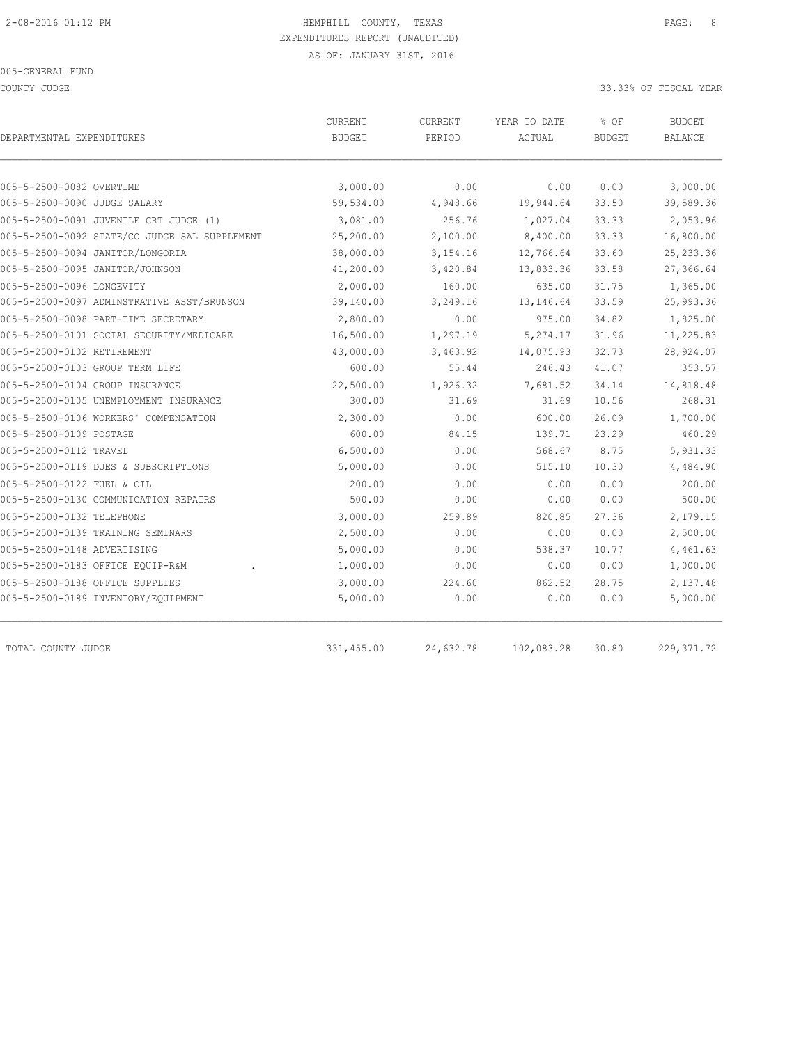COUNTY JUDGE 33.33% OF FISCAL YEAR

| DEPARTMENTAL EXPENDITURES                     | CURRENT<br><b>BUDGET</b> | CURRENT<br>PERIOD | YEAR TO DATE<br>ACTUAL | % OF<br><b>BUDGET</b> | <b>BUDGET</b><br><b>BALANCE</b> |
|-----------------------------------------------|--------------------------|-------------------|------------------------|-----------------------|---------------------------------|
|                                               |                          |                   |                        |                       |                                 |
| 005-5-2500-0082 OVERTIME                      | 3,000.00                 | 0.00              | 0.00                   | 0.00                  | 3,000.00                        |
| 005-5-2500-0090 JUDGE SALARY                  | 59,534.00                | 4,948.66          | 19,944.64              | 33.50                 | 39,589.36                       |
| 005-5-2500-0091 JUVENILE CRT JUDGE (1)        | 3,081.00                 | 256.76            | 1,027.04               | 33.33                 | 2,053.96                        |
| 005-5-2500-0092 STATE/CO JUDGE SAL SUPPLEMENT | 25,200.00                | 2,100.00          | 8,400.00               | 33.33                 | 16,800.00                       |
| 005-5-2500-0094 JANITOR/LONGORIA              | 38,000.00                | 3,154.16          | 12,766.64              | 33.60                 | 25, 233.36                      |
| 005-5-2500-0095 JANITOR/JOHNSON               | 41,200.00                | 3,420.84          | 13,833.36              | 33.58                 | 27,366.64                       |
| 005-5-2500-0096 LONGEVITY                     | 2,000.00                 | 160.00            | 635.00                 | 31.75                 | 1,365.00                        |
| 005-5-2500-0097 ADMINSTRATIVE ASST/BRUNSON    | 39,140.00                | 3,249.16          | 13,146.64              | 33.59                 | 25,993.36                       |
| 005-5-2500-0098 PART-TIME SECRETARY           | 2,800.00                 | 0.00              | 975.00                 | 34.82                 | 1,825.00                        |
| 005-5-2500-0101 SOCIAL SECURITY/MEDICARE      | 16,500.00                | 1,297.19          | 5,274.17               | 31.96                 | 11,225.83                       |
| 005-5-2500-0102 RETIREMENT                    | 43,000.00                | 3,463.92          | 14,075.93              | 32.73                 | 28,924.07                       |
| 005-5-2500-0103 GROUP TERM LIFE               | 600.00                   | 55.44             | 246.43                 | 41.07                 | 353.57                          |
| 005-5-2500-0104 GROUP INSURANCE               | 22,500.00                | 1,926.32          | 7,681.52               | 34.14                 | 14,818.48                       |
| 005-5-2500-0105 UNEMPLOYMENT INSURANCE        | 300.00                   | 31.69             | 31.69                  | 10.56                 | 268.31                          |
| 005-5-2500-0106 WORKERS' COMPENSATION         | 2,300.00                 | 0.00              | 600.00                 | 26.09                 | 1,700.00                        |
| 005-5-2500-0109 POSTAGE                       | 600.00                   | 84.15             | 139.71                 | 23.29                 | 460.29                          |
| 005-5-2500-0112 TRAVEL                        | 6,500.00                 | 0.00              | 568.67                 | 8.75                  | 5,931.33                        |
| 005-5-2500-0119 DUES & SUBSCRIPTIONS          | 5,000.00                 | 0.00              | 515.10                 | 10.30                 | 4,484.90                        |
| 005-5-2500-0122 FUEL & OIL                    | 200.00                   | 0.00              | 0.00                   | 0.00                  | 200.00                          |
| 005-5-2500-0130 COMMUNICATION REPAIRS         | 500.00                   | 0.00              | 0.00                   | 0.00                  | 500.00                          |
| 005-5-2500-0132 TELEPHONE                     | 3,000.00                 | 259.89            | 820.85                 | 27.36                 | 2,179.15                        |
| 005-5-2500-0139 TRAINING SEMINARS             | 2,500.00                 | 0.00              | 0.00                   | 0.00                  | 2,500.00                        |
| 005-5-2500-0148 ADVERTISING                   | 5,000.00                 | 0.00              | 538.37                 | 10.77                 | 4,461.63                        |
| 005-5-2500-0183 OFFICE EQUIP-R&M              | 1,000.00                 | 0.00              | 0.00                   | 0.00                  | 1,000.00                        |
| 005-5-2500-0188 OFFICE SUPPLIES               | 3,000.00                 | 224.60            | 862.52                 | 28.75                 | 2,137.48                        |
| 005-5-2500-0189 INVENTORY/EQUIPMENT           | 5,000.00                 | 0.00              | 0.00                   | 0.00                  | 5,000.00                        |

TOTAL COUNTY JUDGE 331,455.00 24,632.78 102,083.28 30.80 229,371.72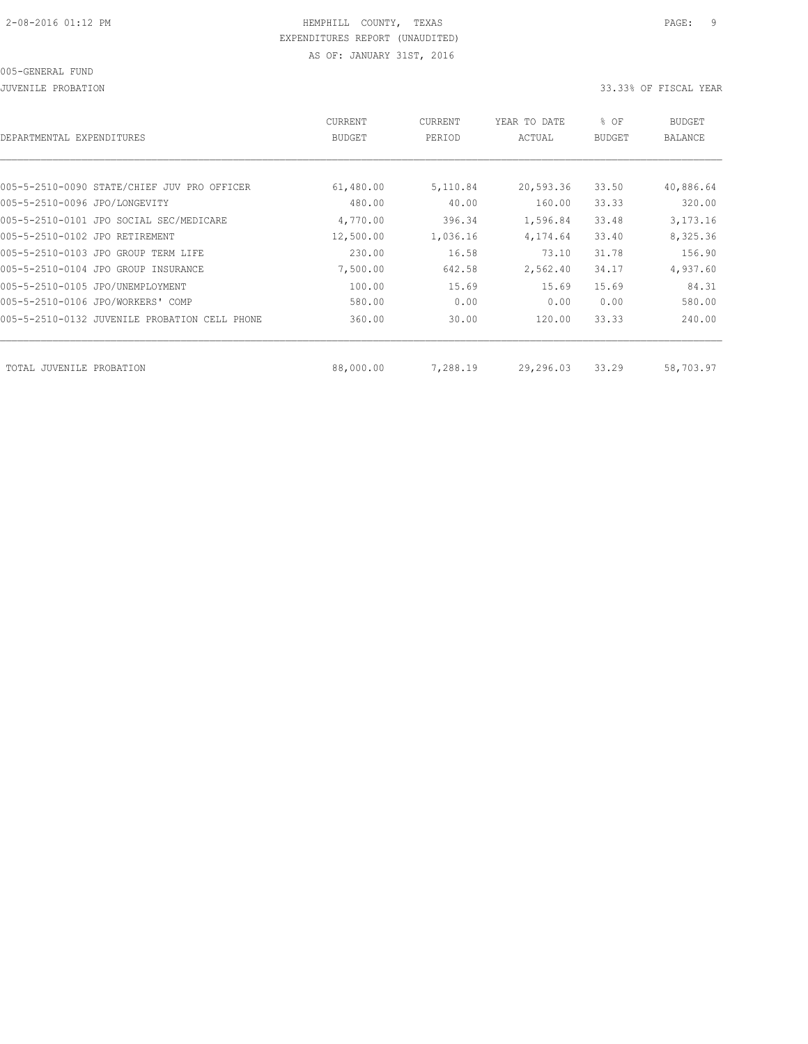JUVENILE PROBATION 33.33% OF FISCAL YEAR

| DEPARTMENTAL EXPENDITURES                     | <b>CURRENT</b><br><b>BUDGET</b> | CURRENT<br>PERIOD | YEAR TO DATE<br>ACTUAL | % OF<br><b>BUDGET</b> | <b>BUDGET</b><br>BALANCE |
|-----------------------------------------------|---------------------------------|-------------------|------------------------|-----------------------|--------------------------|
|                                               |                                 |                   |                        |                       |                          |
| 005-5-2510-0090 STATE/CHIEF JUV PRO OFFICER   | 61,480.00                       | 5,110.84          | 20,593.36              | 33.50                 | 40,886.64                |
| 005-5-2510-0096 JPO/LONGEVITY                 | 480.00                          | 40.00             | 160.00                 | 33.33                 | 320.00                   |
| 005-5-2510-0101 JPO SOCIAL SEC/MEDICARE       | 4,770.00                        | 396.34            | 1,596.84               | 33.48                 | 3, 173. 16               |
| 005-5-2510-0102 JPO RETIREMENT                | 12,500.00                       | 1,036.16          | 4,174.64               | 33.40                 | 8,325.36                 |
| 005-5-2510-0103 JPO GROUP TERM LIFE           | 230.00                          | 16.58             | 73.10                  | 31.78                 | 156.90                   |
| 005-5-2510-0104 JPO GROUP INSURANCE           | 7,500.00                        | 642.58            | 2,562.40               | 34.17                 | 4,937.60                 |
| 005-5-2510-0105 JPO/UNEMPLOYMENT              | 100.00                          | 15.69             | 15.69                  | 15.69                 | 84.31                    |
| 005-5-2510-0106 JPO/WORKERS' COMP             | 580.00                          | 0.00              | 0.00                   | 0.00                  | 580.00                   |
| 005-5-2510-0132 JUVENILE PROBATION CELL PHONE | 360.00                          | 30.00             | 120.00                 | 33.33                 | 240.00                   |
|                                               |                                 |                   |                        |                       |                          |
| TOTAL JUVENILE<br>PROBATION                   | 88,000.00                       | 7,288.19          | 29,296.03              | 33.29                 | 58,703.97                |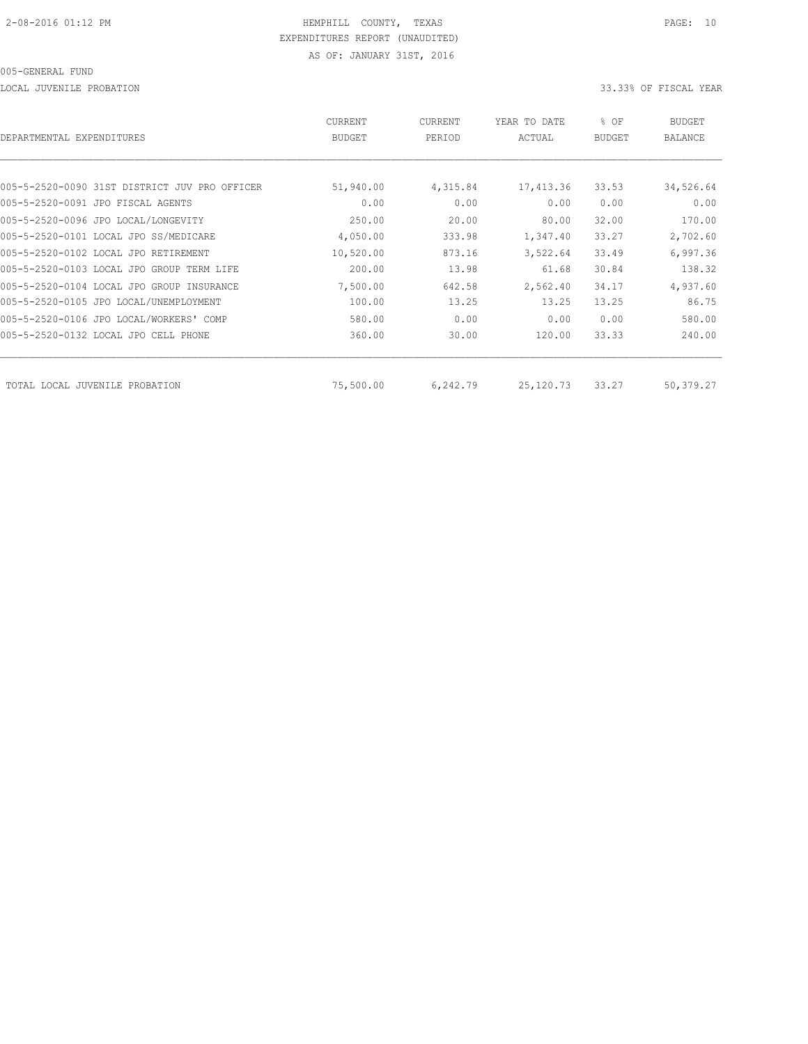LOCAL JUVENILE PROBATION 33.33% OF FISCAL YEAR

| DEPARTMENTAL EXPENDITURES                     | <b>CURRENT</b><br><b>BUDGET</b> | CURRENT<br>PERIOD | YEAR TO DATE<br>ACTUAL | % OF<br><b>BUDGET</b> | <b>BUDGET</b><br><b>BALANCE</b> |
|-----------------------------------------------|---------------------------------|-------------------|------------------------|-----------------------|---------------------------------|
|                                               |                                 |                   |                        |                       |                                 |
| 005-5-2520-0090 31ST DISTRICT JUV PRO OFFICER | 51,940.00                       | 4,315.84          | 17,413.36              | 33.53                 | 34,526.64                       |
| 005-5-2520-0091 JPO FISCAL AGENTS             | 0.00                            | 0.00              | 0.00                   | 0.00                  | 0.00                            |
| 005-5-2520-0096 JPO LOCAL/LONGEVITY           | 250.00                          | 20.00             | 80.00                  | 32.00                 | 170.00                          |
| 005-5-2520-0101 LOCAL JPO SS/MEDICARE         | 4,050.00                        | 333.98            | 1,347.40               | 33.27                 | 2,702.60                        |
| 005-5-2520-0102 LOCAL JPO RETIREMENT          | 10,520.00                       | 873.16            | 3,522.64               | 33.49                 | 6,997.36                        |
| 005-5-2520-0103 LOCAL JPO GROUP TERM LIFE     | 200.00                          | 13.98             | 61.68                  | 30.84                 | 138.32                          |
| 005-5-2520-0104 LOCAL JPO GROUP INSURANCE     | 7,500.00                        | 642.58            | 2,562.40               | 34.17                 | 4,937.60                        |
| 005-5-2520-0105 JPO LOCAL/UNEMPLOYMENT        | 100.00                          | 13.25             | 13.25                  | 13.25                 | 86.75                           |
| 005-5-2520-0106 JPO LOCAL/WORKERS' COMP       | 580.00                          | 0.00              | 0.00                   | 0.00                  | 580.00                          |
| 005-5-2520-0132 LOCAL JPO CELL PHONE          | 360.00                          | 30.00             | 120.00                 | 33.33                 | 240.00                          |
| TOTAL LOCAL JUVENILE PROBATION                | 75,500.00                       | 6,242.79          | 25, 120.73             | 33.27                 | 50,379.27                       |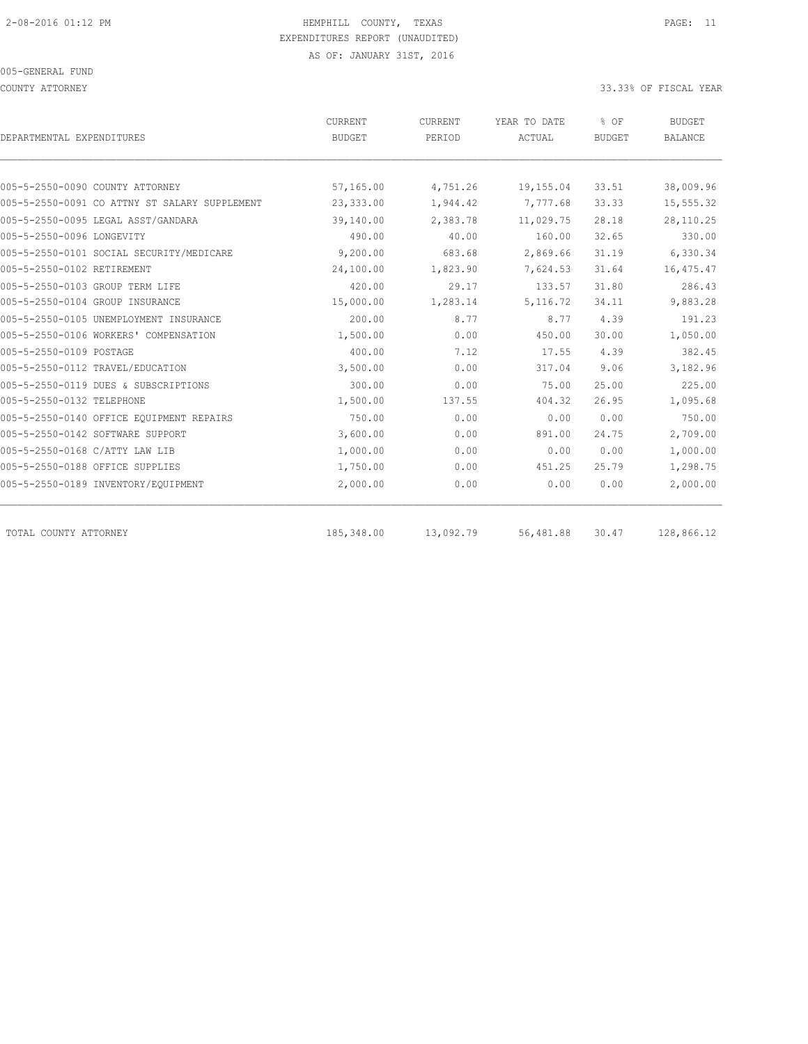COUNTY ATTORNEY 33.33% OF FISCAL YEAR

|                                               | CURRENT       | CURRENT   | YEAR TO DATE | % OF          | <b>BUDGET</b>  |
|-----------------------------------------------|---------------|-----------|--------------|---------------|----------------|
| DEPARTMENTAL EXPENDITURES                     | <b>BUDGET</b> | PERIOD    | ACTUAL       | <b>BUDGET</b> | <b>BALANCE</b> |
|                                               |               |           |              |               |                |
| 005-5-2550-0090 COUNTY ATTORNEY               | 57,165.00     | 4,751.26  | 19,155.04    | 33.51         | 38,009.96      |
| 005-5-2550-0091 CO ATTNY ST SALARY SUPPLEMENT | 23,333.00     | 1,944.42  | 7,777.68     | 33.33         | 15,555.32      |
| 005-5-2550-0095 LEGAL ASST/GANDARA            | 39,140.00     | 2,383.78  | 11,029.75    | 28.18         | 28,110.25      |
| 005-5-2550-0096 LONGEVITY                     | 490.00        | 40.00     | 160.00       | 32.65         | 330.00         |
| 005-5-2550-0101 SOCIAL SECURITY/MEDICARE      | 9,200.00      | 683.68    | 2,869.66     | 31.19         | 6,330.34       |
| 005-5-2550-0102 RETIREMENT                    | 24,100.00     | 1,823.90  | 7,624.53     | 31.64         | 16,475.47      |
| 005-5-2550-0103 GROUP TERM LIFE               | 420.00        | 29.17     | 133.57       | 31.80         | 286.43         |
| 005-5-2550-0104 GROUP INSURANCE               | 15,000.00     | 1,283.14  | 5, 116.72    | 34.11         | 9,883.28       |
| 005-5-2550-0105 UNEMPLOYMENT INSURANCE        | 200.00        | 8.77      | 8.77         | 4.39          | 191.23         |
| 005-5-2550-0106 WORKERS' COMPENSATION         | 1,500.00      | 0.00      | 450.00       | 30.00         | 1,050.00       |
| 005-5-2550-0109 POSTAGE                       | 400.00        | 7.12      | 17.55        | 4.39          | 382.45         |
| 005-5-2550-0112 TRAVEL/EDUCATION              | 3,500.00      | 0.00      | 317.04       | 9.06          | 3,182.96       |
| 005-5-2550-0119 DUES & SUBSCRIPTIONS          | 300.00        | 0.00      | 75.00        | 25.00         | 225.00         |
| 005-5-2550-0132 TELEPHONE                     | 1,500.00      | 137.55    | 404.32       | 26.95         | 1,095.68       |
| 005-5-2550-0140 OFFICE EQUIPMENT REPAIRS      | 750.00        | 0.00      | 0.00         | 0.00          | 750.00         |
| 005-5-2550-0142 SOFTWARE SUPPORT              | 3,600.00      | 0.00      | 891.00       | 24.75         | 2,709.00       |
| 005-5-2550-0168 C/ATTY LAW LIB                | 1,000.00      | 0.00      | 0.00         | 0.00          | 1,000.00       |
| 005-5-2550-0188 OFFICE SUPPLIES               | 1,750.00      | 0.00      | 451.25       | 25.79         | 1,298.75       |
| 005-5-2550-0189 INVENTORY/EQUIPMENT           | 2,000.00      | 0.00      | 0.00         | 0.00          | 2,000.00       |
| TOTAL COUNTY ATTORNEY                         | 185,348.00    | 13,092.79 | 56,481.88    | 30.47         | 128,866.12     |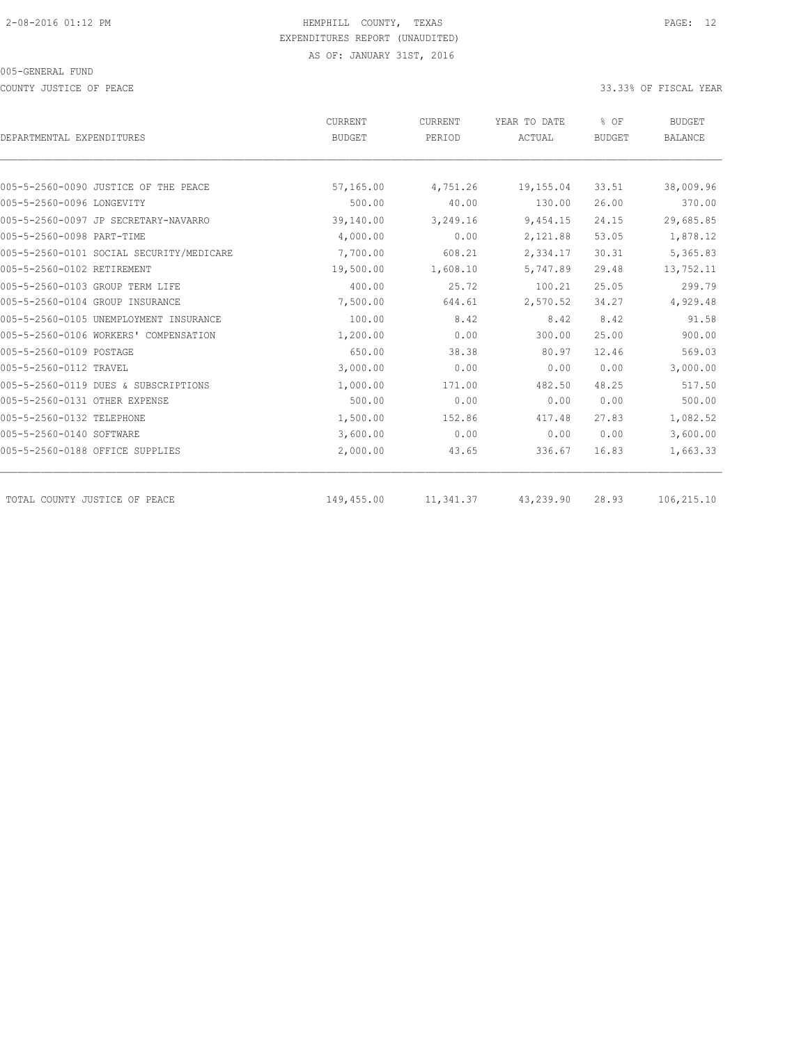COUNTY JUSTICE OF PEACE **33.33%** OF FISCAL YEAR

|                                          | CURRENT       | CURRENT   | YEAR TO DATE | % OF          | <b>BUDGET</b>  |
|------------------------------------------|---------------|-----------|--------------|---------------|----------------|
| DEPARTMENTAL EXPENDITURES                | <b>BUDGET</b> | PERIOD    | ACTUAL       | <b>BUDGET</b> | <b>BALANCE</b> |
|                                          |               |           |              |               |                |
| 005-5-2560-0090 JUSTICE OF THE PEACE     | 57,165.00     | 4,751.26  | 19,155.04    | 33.51         | 38,009.96      |
| 005-5-2560-0096 LONGEVITY                | 500.00        | 40.00     | 130.00       | 26.00         | 370.00         |
| 005-5-2560-0097 JP SECRETARY-NAVARRO     | 39,140.00     | 3,249.16  | 9,454.15     | 24.15         | 29,685.85      |
| 005-5-2560-0098 PART-TIME                | 4,000.00      | 0.00      | 2,121.88     | 53.05         | 1,878.12       |
| 005-5-2560-0101 SOCIAL SECURITY/MEDICARE | 7,700.00      | 608.21    | 2,334.17     | 30.31         | 5,365.83       |
| 005-5-2560-0102 RETIREMENT               | 19,500.00     | 1,608.10  | 5,747.89     | 29.48         | 13,752.11      |
| 005-5-2560-0103 GROUP TERM LIFE          | 400.00        | 25.72     | 100.21       | 25.05         | 299.79         |
| 005-5-2560-0104 GROUP INSURANCE          | 7,500.00      | 644.61    | 2,570.52     | 34.27         | 4,929.48       |
| 005-5-2560-0105 UNEMPLOYMENT INSURANCE   | 100.00        | 8.42      | 8.42         | 8.42          | 91.58          |
| 005-5-2560-0106 WORKERS' COMPENSATION    | 1,200.00      | 0.00      | 300.00       | 25.00         | 900.00         |
| 005-5-2560-0109 POSTAGE                  | 650.00        | 38.38     | 80.97        | 12.46         | 569.03         |
| 005-5-2560-0112 TRAVEL                   | 3,000.00      | 0.00      | 0.00         | 0.00          | 3,000.00       |
| 005-5-2560-0119 DUES & SUBSCRIPTIONS     | 1,000.00      | 171.00    | 482.50       | 48.25         | 517.50         |
| 005-5-2560-0131 OTHER EXPENSE            | 500.00        | 0.00      | 0.00         | 0.00          | 500.00         |
| 005-5-2560-0132 TELEPHONE                | 1,500.00      | 152.86    | 417.48       | 27.83         | 1,082.52       |
| 005-5-2560-0140 SOFTWARE                 | 3,600.00      | 0.00      | 0.00         | 0.00          | 3,600.00       |
| 005-5-2560-0188 OFFICE SUPPLIES          | 2,000.00      | 43.65     | 336.67       | 16.83         | 1,663.33       |
| TOTAL COUNTY JUSTICE OF PEACE            | 149,455.00    | 11,341.37 | 43,239.90    | 28.93         | 106,215.10     |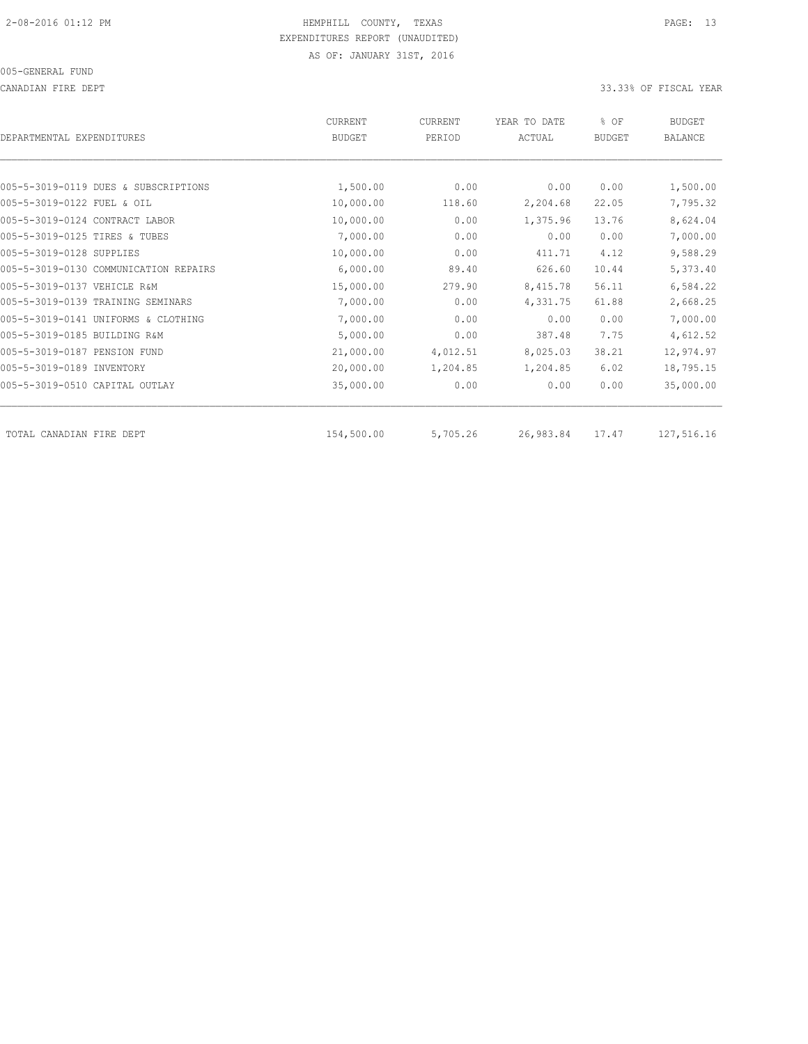CANADIAN FIRE DEPT 33.33% OF FISCAL YEAR

| DEPARTMENTAL EXPENDITURES             | CURRENT<br><b>BUDGET</b> | CURRENT<br>PERIOD | YEAR TO DATE<br>ACTUAL | % OF<br><b>BUDGET</b> | <b>BUDGET</b><br><b>BALANCE</b> |
|---------------------------------------|--------------------------|-------------------|------------------------|-----------------------|---------------------------------|
|                                       |                          |                   |                        |                       |                                 |
| 005-5-3019-0119 DUES & SUBSCRIPTIONS  | 1,500.00                 | 0.00              | 0.00                   | 0.00                  | 1,500.00                        |
| 005-5-3019-0122 FUEL & OIL            | 10,000.00                | 118.60            | 2,204.68               | 22.05                 | 7,795.32                        |
| 005-5-3019-0124 CONTRACT LABOR        | 10,000.00                | 0.00              | 1,375.96               | 13.76                 | 8,624.04                        |
| 005-5-3019-0125 TIRES & TUBES         | 7,000.00                 | 0.00              | 0.00                   | 0.00                  | 7,000.00                        |
| 005-5-3019-0128 SUPPLIES              | 10,000.00                | 0.00              | 411.71                 | 4.12                  | 9,588.29                        |
| 005-5-3019-0130 COMMUNICATION REPAIRS | 6,000.00                 | 89.40             | 626.60                 | 10.44                 | 5,373.40                        |
| 005-5-3019-0137 VEHICLE R&M           | 15,000.00                | 279.90            | 8,415.78               | 56.11                 | 6,584.22                        |
| 005-5-3019-0139 TRAINING SEMINARS     | 7,000.00                 | 0.00              | 4,331.75               | 61.88                 | 2,668.25                        |
| 005-5-3019-0141 UNIFORMS & CLOTHING   | 7,000.00                 | 0.00              | 0.00                   | 0.00                  | 7,000.00                        |
| 005-5-3019-0185 BUILDING R&M          | 5,000.00                 | 0.00              | 387.48                 | 7.75                  | 4,612.52                        |
| 005-5-3019-0187 PENSION FUND          | 21,000.00                | 4,012.51          | 8,025.03               | 38.21                 | 12,974.97                       |
| 005-5-3019-0189 INVENTORY             | 20,000.00                | 1,204.85          | 1,204.85               | 6.02                  | 18,795.15                       |
| 005-5-3019-0510 CAPITAL OUTLAY        | 35,000.00                | 0.00              | 0.00                   | 0.00                  | 35,000.00                       |
| TOTAL CANADIAN FIRE DEPT              | 154,500.00               | 5,705.26          | 26,983.84              | 17.47                 | 127,516.16                      |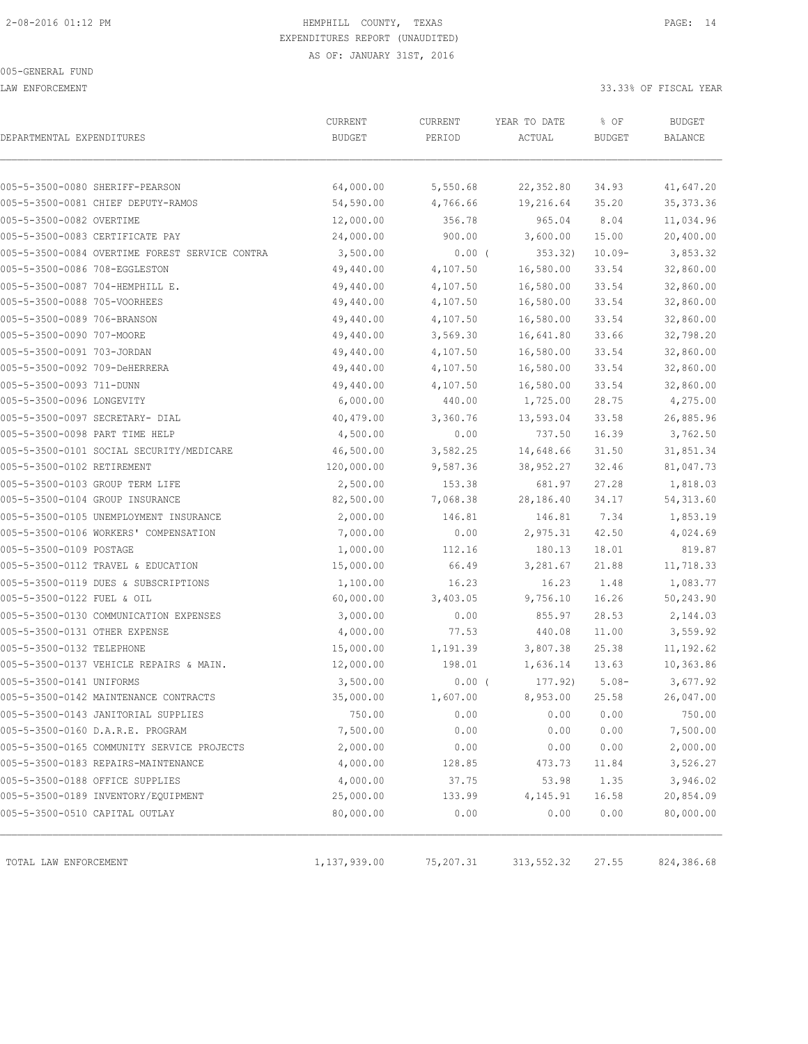LAW ENFORCEMENT 33.33% OF FISCAL YEAR

| DEPARTMENTAL EXPENDITURES      |                                                | CURRENT<br><b>BUDGET</b> | CURRENT<br>PERIOD | YEAR TO DATE<br>ACTUAL | % OF<br><b>BUDGET</b> | <b>BUDGET</b><br>BALANCE |
|--------------------------------|------------------------------------------------|--------------------------|-------------------|------------------------|-----------------------|--------------------------|
|                                |                                                |                          |                   |                        |                       |                          |
|                                | 005-5-3500-0080 SHERIFF-PEARSON                | 64,000.00                | 5,550.68          | 22,352.80              | 34.93                 | 41,647.20                |
|                                | 005-5-3500-0081 CHIEF DEPUTY-RAMOS             | 54,590.00                | 4,766.66          | 19,216.64              | 35.20                 | 35, 373.36               |
| 005-5-3500-0082 OVERTIME       |                                                | 12,000.00                | 356.78            | 965.04                 | 8.04                  | 11,034.96                |
|                                | 005-5-3500-0083 CERTIFICATE PAY                | 24,000.00                | 900.00            | 3,600.00               | 15.00                 | 20,400.00                |
|                                | 005-5-3500-0084 OVERTIME FOREST SERVICE CONTRA | 3,500.00                 | $0.00$ (          | 353.32)                | $10.09 -$             | 3,853.32                 |
| 005-5-3500-0086 708-EGGLESTON  |                                                | 49,440.00                | 4,107.50          | 16,580.00              | 33.54                 | 32,860.00                |
|                                | 005-5-3500-0087 704-HEMPHILL E.                | 49,440.00                | 4,107.50          | 16,580.00              | 33.54                 | 32,860.00                |
| 005-5-3500-0088 705-VOORHEES   |                                                | 49,440.00                | 4,107.50          | 16,580.00              | 33.54                 | 32,860.00                |
| 005-5-3500-0089 706-BRANSON    |                                                | 49,440.00                | 4,107.50          | 16,580.00              | 33.54                 | 32,860.00                |
| 005-5-3500-0090 707-MOORE      |                                                | 49,440.00                | 3,569.30          | 16,641.80              | 33.66                 | 32,798.20                |
| 005-5-3500-0091 703-JORDAN     |                                                | 49,440.00                | 4,107.50          | 16,580.00              | 33.54                 | 32,860.00                |
| 005-5-3500-0092 709-DeHERRERA  |                                                | 49,440.00                | 4,107.50          | 16,580.00              | 33.54                 | 32,860.00                |
| 005-5-3500-0093 711-DUNN       |                                                | 49,440.00                | 4,107.50          | 16,580.00              | 33.54                 | 32,860.00                |
| 005-5-3500-0096 LONGEVITY      |                                                | 6,000.00                 | 440.00            | 1,725.00               | 28.75                 | 4,275.00                 |
|                                | 005-5-3500-0097 SECRETARY- DIAL                | 40,479.00                | 3,360.76          | 13,593.04              | 33.58                 | 26,885.96                |
| 005-5-3500-0098 PART TIME HELP |                                                | 4,500.00                 | 0.00              | 737.50                 | 16.39                 | 3,762.50                 |
|                                | 005-5-3500-0101 SOCIAL SECURITY/MEDICARE       | 46,500.00                | 3,582.25          | 14,648.66              | 31.50                 | 31,851.34                |
| 005-5-3500-0102 RETIREMENT     |                                                | 120,000.00               | 9,587.36          | 38,952.27              | 32.46                 | 81,047.73                |
|                                | 005-5-3500-0103 GROUP TERM LIFE                | 2,500.00                 | 153.38            | 681.97                 | 27.28                 | 1,818.03                 |
|                                | 005-5-3500-0104 GROUP INSURANCE                | 82,500.00                | 7,068.38          | 28,186.40              | 34.17                 | 54, 313.60               |
|                                | 005-5-3500-0105 UNEMPLOYMENT INSURANCE         | 2,000.00                 | 146.81            | 146.81                 | 7.34                  | 1,853.19                 |
|                                | 005-5-3500-0106 WORKERS' COMPENSATION          | 7,000.00                 | 0.00              | 2,975.31               | 42.50                 | 4,024.69                 |
| 005-5-3500-0109 POSTAGE        |                                                | 1,000.00                 | 112.16            | 180.13                 | 18.01                 | 819.87                   |
|                                | 005-5-3500-0112 TRAVEL & EDUCATION             | 15,000.00                | 66.49             | 3,281.67               | 21.88                 | 11,718.33                |
|                                | 005-5-3500-0119 DUES & SUBSCRIPTIONS           | 1,100.00                 | 16.23             | 16.23                  | 1.48                  | 1,083.77                 |
| 005-5-3500-0122 FUEL & OIL     |                                                | 60,000.00                | 3,403.05          | 9,756.10               | 16.26                 | 50,243.90                |
|                                | 005-5-3500-0130 COMMUNICATION EXPENSES         | 3,000.00                 | 0.00              | 855.97                 | 28.53                 | 2,144.03                 |
| 005-5-3500-0131 OTHER EXPENSE  |                                                | 4,000.00                 | 77.53             | 440.08                 | 11.00                 | 3,559.92                 |
| 005-5-3500-0132 TELEPHONE      |                                                | 15,000.00                | 1,191.39          | 3,807.38               | 25.38                 | 11,192.62                |
|                                | 005-5-3500-0137 VEHICLE REPAIRS & MAIN.        | 12,000.00                | 198.01            | 1,636.14               | 13.63                 | 10,363.86                |
| 005-5-3500-0141 UNIFORMS       |                                                | 3,500.00                 | $0.00$ (          | 177.92)                | $5.08-$               | 3,677.92                 |
|                                | 005-5-3500-0142 MAINTENANCE CONTRACTS          | 35,000.00                | 1,607.00          | 8,953.00               | 25.58                 | 26,047.00                |
|                                | 005-5-3500-0143 JANITORIAL SUPPLIES            | 750.00                   | 0.00              | 0.00                   | 0.00                  | 750.00                   |
|                                | 005-5-3500-0160 D.A.R.E. PROGRAM               | 7,500.00                 | 0.00              | 0.00                   | 0.00                  | 7,500.00                 |
|                                | 005-5-3500-0165 COMMUNITY SERVICE PROJECTS     | 2,000.00                 | 0.00              | 0.00                   | 0.00                  | 2,000.00                 |
|                                | 005-5-3500-0183 REPAIRS-MAINTENANCE            | 4,000.00                 | 128.85            | 473.73                 | 11.84                 | 3,526.27                 |
|                                | 005-5-3500-0188 OFFICE SUPPLIES                | 4,000.00                 | 37.75             | 53.98                  | 1.35                  | 3,946.02                 |
|                                | 005-5-3500-0189 INVENTORY/EQUIPMENT            | 25,000.00                | 133.99            | 4,145.91               | 16.58                 | 20,854.09                |
|                                | 005-5-3500-0510 CAPITAL OUTLAY                 | 80,000.00                | 0.00              | 0.00                   | 0.00                  | 80,000.00                |
|                                |                                                |                          |                   |                        |                       |                          |
| TOTAL LAW ENFORCEMENT          |                                                | 1,137,939.00             | 75,207.31         | 313,552.32             | 27.55                 | 824,386.68               |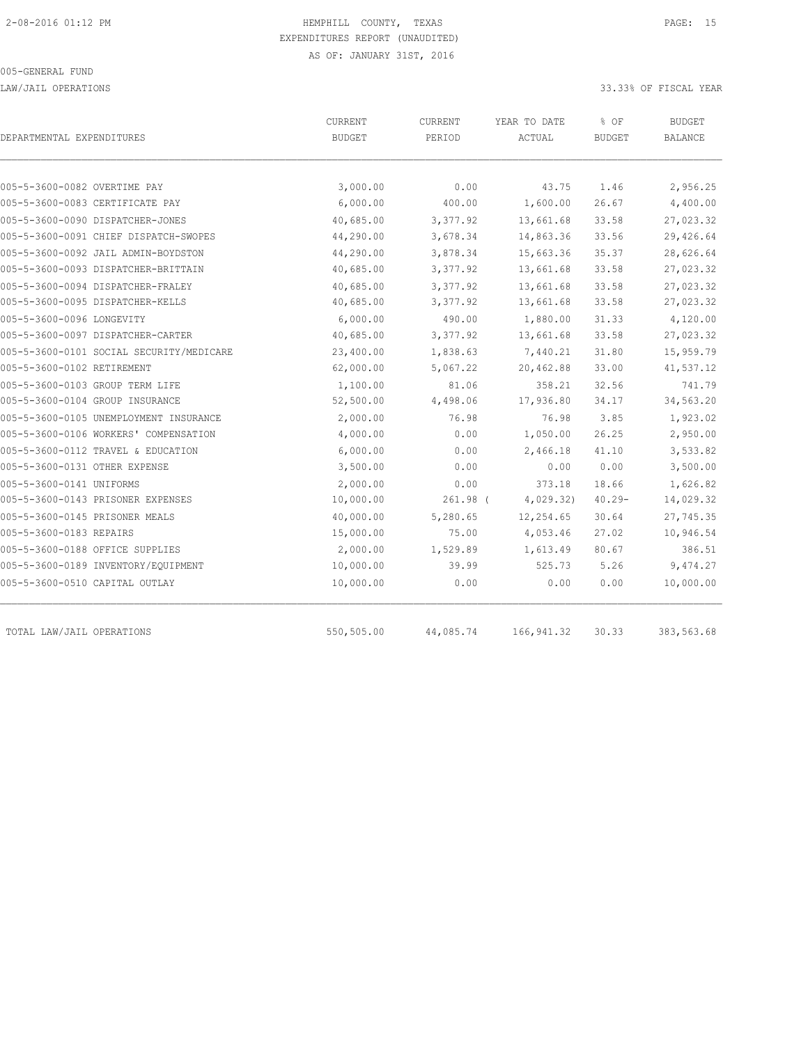LAW/JAIL OPERATIONS 33.33% OF FISCAL YEAR

| DEPARTMENTAL EXPENDITURES                | CURRENT<br><b>BUDGET</b> | CURRENT<br>PERIOD | YEAR TO DATE<br>ACTUAL | % OF<br><b>BUDGET</b> | <b>BUDGET</b><br>BALANCE |
|------------------------------------------|--------------------------|-------------------|------------------------|-----------------------|--------------------------|
| 005-5-3600-0082 OVERTIME PAY             | 3,000.00                 | 0.00              | 43.75                  | 1.46                  | 2,956.25                 |
| 005-5-3600-0083 CERTIFICATE PAY          | 6,000.00                 | 400.00            | 1,600.00               | 26.67                 | 4,400.00                 |
| 005-5-3600-0090 DISPATCHER-JONES         | 40,685.00                | 3,377.92          | 13,661.68              | 33.58                 | 27,023.32                |
| 005-5-3600-0091 CHIEF DISPATCH-SWOPES    | 44,290.00                | 3,678.34          | 14,863.36              | 33.56                 | 29,426.64                |
| 005-5-3600-0092 JAIL ADMIN-BOYDSTON      | 44,290.00                | 3,878.34          | 15,663.36              | 35.37                 | 28,626.64                |
| 005-5-3600-0093 DISPATCHER-BRITTAIN      | 40,685.00                | 3,377.92          | 13,661.68              | 33.58                 | 27,023.32                |
| 005-5-3600-0094 DISPATCHER-FRALEY        | 40,685.00                | 3,377.92          | 13,661.68              | 33.58                 | 27,023.32                |
| 005-5-3600-0095 DISPATCHER-KELLS         | 40,685.00                | 3,377.92          | 13,661.68              | 33.58                 | 27,023.32                |
| 005-5-3600-0096 LONGEVITY                | 6,000.00                 | 490.00            | 1,880.00               | 31.33                 | 4,120.00                 |
| 005-5-3600-0097 DISPATCHER-CARTER        | 40,685.00                | 3,377.92          | 13,661.68              | 33.58                 | 27,023.32                |
| 005-5-3600-0101 SOCIAL SECURITY/MEDICARE | 23,400.00                | 1,838.63          | 7,440.21               | 31.80                 | 15,959.79                |
| 005-5-3600-0102 RETIREMENT               | 62,000.00                | 5,067.22          | 20,462.88              | 33.00                 | 41,537.12                |
| 005-5-3600-0103 GROUP TERM LIFE          | 1,100.00                 | 81.06             | 358.21                 | 32.56                 | 741.79                   |
| 005-5-3600-0104 GROUP INSURANCE          | 52,500.00                | 4,498.06          | 17,936.80              | 34.17                 | 34,563.20                |
| 005-5-3600-0105 UNEMPLOYMENT INSURANCE   | 2,000.00                 | 76.98             | 76.98                  | 3.85                  | 1,923.02                 |
| 005-5-3600-0106 WORKERS' COMPENSATION    | 4,000.00                 | 0.00              | 1,050.00               | 26.25                 | 2,950.00                 |
| 005-5-3600-0112 TRAVEL & EDUCATION       | 6,000.00                 | 0.00              | 2,466.18               | 41.10                 | 3,533.82                 |
| 005-5-3600-0131 OTHER EXPENSE            | 3,500.00                 | 0.00              | 0.00                   | 0.00                  | 3,500.00                 |
| 005-5-3600-0141 UNIFORMS                 | 2,000.00                 | 0.00              | 373.18                 | 18.66                 | 1,626.82                 |
| 005-5-3600-0143 PRISONER EXPENSES        | 10,000.00                | $261.98$ (        | 4,029.32)              | $40.29 -$             | 14,029.32                |
| 005-5-3600-0145 PRISONER MEALS           | 40,000.00                | 5,280.65          | 12,254.65              | 30.64                 | 27,745.35                |
| 005-5-3600-0183 REPAIRS                  | 15,000.00                | 75.00             | 4,053.46               | 27.02                 | 10,946.54                |
| 005-5-3600-0188 OFFICE SUPPLIES          | 2,000.00                 | 1,529.89          | 1,613.49               | 80.67                 | 386.51                   |
| 005-5-3600-0189 INVENTORY/EQUIPMENT      | 10,000.00                | 39.99             | 525.73                 | 5.26                  | 9,474.27                 |
| 005-5-3600-0510 CAPITAL OUTLAY           | 10,000.00                | 0.00              | 0.00                   | 0.00                  | 10,000.00                |
| TOTAL LAW/JAIL OPERATIONS                | 550,505.00               | 44,085.74         | 166, 941.32            | 30.33                 | 383,563.68               |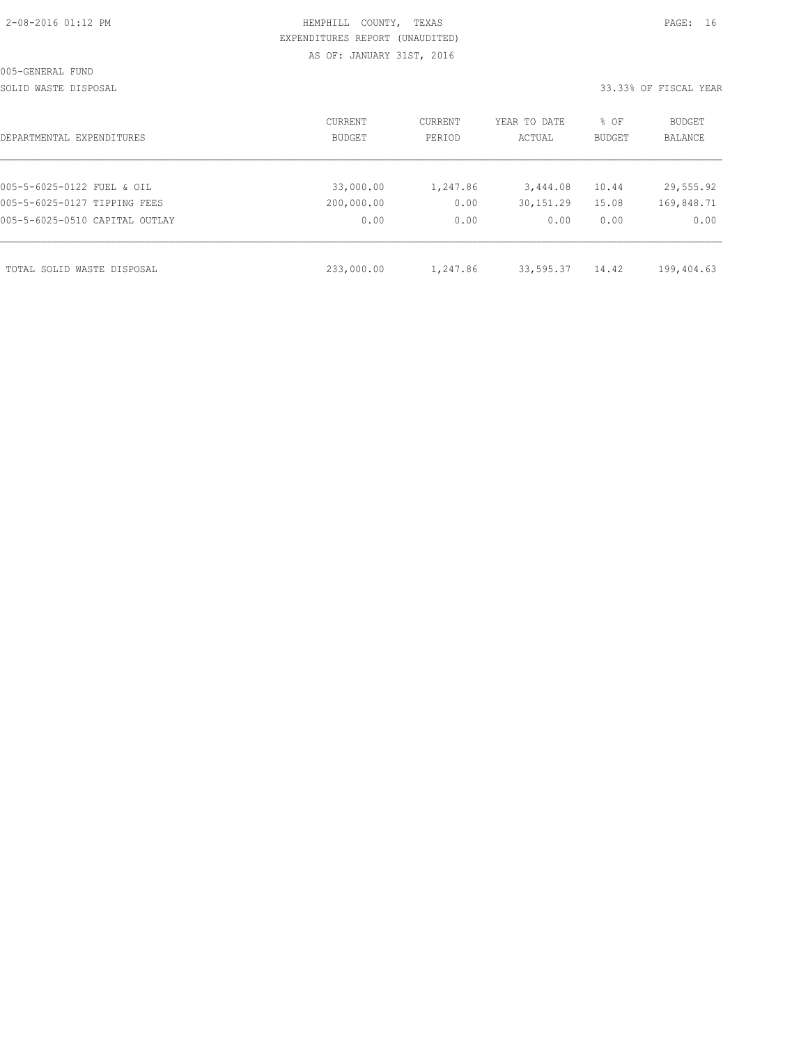| 2-08-2016 01:12 PM |  |  |
|--------------------|--|--|

# HEMPHILL COUNTY, TEXAS **PAGE:** 16 EXPENDITURES REPORT (UNAUDITED) AS OF: JANUARY 31ST, 2016

SOLID WASTE DISPOSAL SOLID WASTE SERVER A SERVER AND SOLID WASTER THE SOLID WASTER SOLID WAS SERVER.

| DEPARTMENTAL EXPENDITURES      | CURRENT<br><b>BUDGET</b> | CURRENT<br>PERIOD | YEAR TO DATE<br>ACTUAL | % OF<br><b>BUDGET</b> | BUDGET<br><b>BALANCE</b> |
|--------------------------------|--------------------------|-------------------|------------------------|-----------------------|--------------------------|
| 005-5-6025-0122 FUEL & OIL     | 33,000.00                | 1,247.86          | 3,444.08               | 10.44                 | 29,555.92                |
| 005-5-6025-0127 TIPPING FEES   | 200,000.00               | 0.00              | 30,151.29              | 15.08                 | 169,848.71               |
| 005-5-6025-0510 CAPITAL OUTLAY | 0.00                     | 0.00              | 0.00                   | 0.00                  | 0.00                     |
| TOTAL SOLID WASTE DISPOSAL     | 233,000.00               | 1,247.86          | 33,595.37              | 14.42                 | 199,404.63               |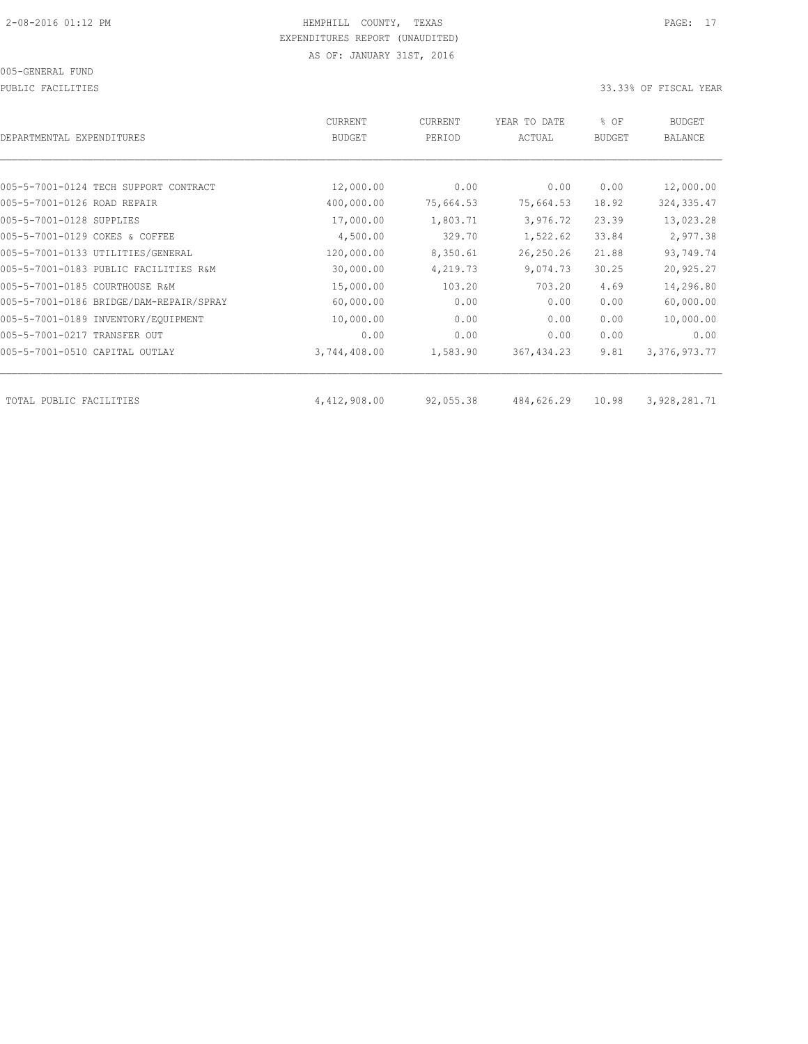PUBLIC FACILITIES 33.33% OF FISCAL YEAR

| DEPARTMENTAL EXPENDITURES               | <b>CURRENT</b><br><b>BUDGET</b> | CURRENT<br>PERIOD | YEAR TO DATE<br>ACTUAL | % OF<br><b>BUDGET</b> | BUDGET<br><b>BALANCE</b> |
|-----------------------------------------|---------------------------------|-------------------|------------------------|-----------------------|--------------------------|
|                                         |                                 |                   |                        |                       |                          |
| 005-5-7001-0124 TECH SUPPORT CONTRACT   | 12,000.00                       | 0.00              | 0.00                   | 0.00                  | 12,000.00                |
| 005-5-7001-0126 ROAD REPAIR             | 400,000.00                      | 75,664.53         | 75,664.53              | 18.92                 | 324, 335.47              |
| 005-5-7001-0128 SUPPLIES                | 17,000.00                       | 1,803.71          | 3,976.72               | 23.39                 | 13,023.28                |
| 005-5-7001-0129 COKES & COFFEE          | 4,500.00                        | 329.70            | 1,522.62               | 33.84                 | 2,977.38                 |
| 005-5-7001-0133 UTILITIES/GENERAL       | 120,000.00                      | 8,350.61          | 26,250.26              | 21.88                 | 93,749.74                |
| 005-5-7001-0183 PUBLIC FACILITIES R&M   | 30,000.00                       | 4,219.73          | 9,074.73               | 30.25                 | 20,925.27                |
| 005-5-7001-0185 COURTHOUSE R&M          | 15,000.00                       | 103.20            | 703.20                 | 4.69                  | 14,296.80                |
| 005-5-7001-0186 BRIDGE/DAM-REPAIR/SPRAY | 60,000.00                       | 0.00              | 0.00                   | 0.00                  | 60,000.00                |
| 005-5-7001-0189 INVENTORY/EQUIPMENT     | 10,000.00                       | 0.00              | 0.00                   | 0.00                  | 10,000.00                |
| 005-5-7001-0217 TRANSFER OUT            | 0.00                            | 0.00              | 0.00                   | 0.00                  | 0.00                     |
| 005-5-7001-0510 CAPITAL OUTLAY          | 3,744,408.00                    | 1,583.90          | 367, 434.23            | 9.81                  | 3, 376, 973.77           |
| TOTAL PUBLIC FACILITIES                 | 4,412,908.00                    | 92,055.38         | 484,626.29             | 10.98                 | 3,928,281.71             |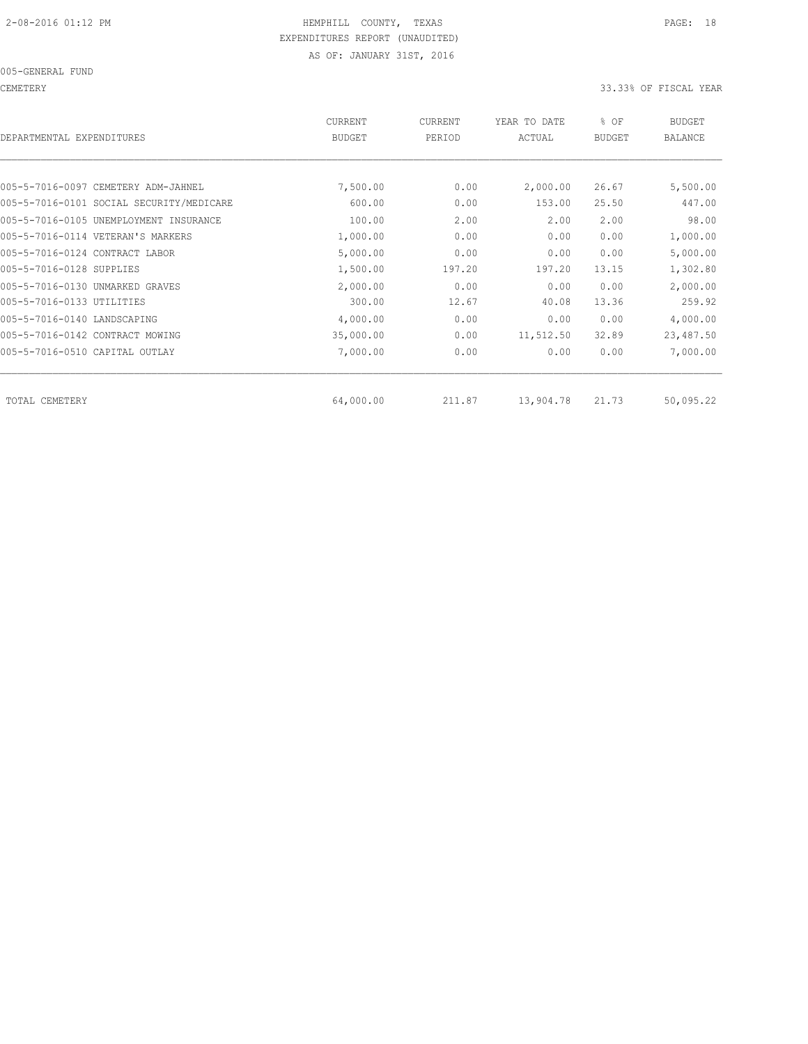CEMETERY 33.33% OF FISCAL YEAR

| DEPARTMENTAL EXPENDITURES                | CURRENT<br><b>BUDGET</b> | CURRENT<br>PERIOD | YEAR TO DATE<br>ACTUAL | % OF<br><b>BUDGET</b> | <b>BUDGET</b><br>BALANCE |
|------------------------------------------|--------------------------|-------------------|------------------------|-----------------------|--------------------------|
|                                          |                          |                   |                        |                       |                          |
| 005-5-7016-0097 CEMETERY ADM-JAHNEL      | 7,500.00                 | 0.00              | 2,000.00               | 26.67                 | 5,500.00                 |
| 005-5-7016-0101 SOCIAL SECURITY/MEDICARE | 600.00                   | 0.00              | 153.00                 | 25.50                 | 447.00                   |
| 005-5-7016-0105 UNEMPLOYMENT INSURANCE   | 100.00                   | 2.00              | 2.00                   | 2.00                  | 98.00                    |
| 005-5-7016-0114 VETERAN'S MARKERS        | 1,000.00                 | 0.00              | 0.00                   | 0.00                  | 1,000.00                 |
| 005-5-7016-0124 CONTRACT LABOR           | 5,000.00                 | 0.00              | 0.00                   | 0.00                  | 5,000.00                 |
| 005-5-7016-0128 SUPPLIES                 | 1,500.00                 | 197.20            | 197.20                 | 13.15                 | 1,302.80                 |
| 005-5-7016-0130 UNMARKED GRAVES          | 2,000.00                 | 0.00              | 0.00                   | 0.00                  | 2,000.00                 |
| 005-5-7016-0133 UTILITIES                | 300.00                   | 12.67             | 40.08                  | 13.36                 | 259.92                   |
| 005-5-7016-0140 LANDSCAPING              | 4,000.00                 | 0.00              | 0.00                   | 0.00                  | 4,000.00                 |
| 005-5-7016-0142 CONTRACT MOWING          | 35,000.00                | 0.00              | 11,512.50              | 32.89                 | 23,487.50                |
| 005-5-7016-0510 CAPITAL OUTLAY           | 7,000.00                 | 0.00              | 0.00                   | 0.00                  | 7,000.00                 |
| TOTAL CEMETERY                           | 64,000.00                | 211.87            | 13,904.78              | 21.73                 | 50,095.22                |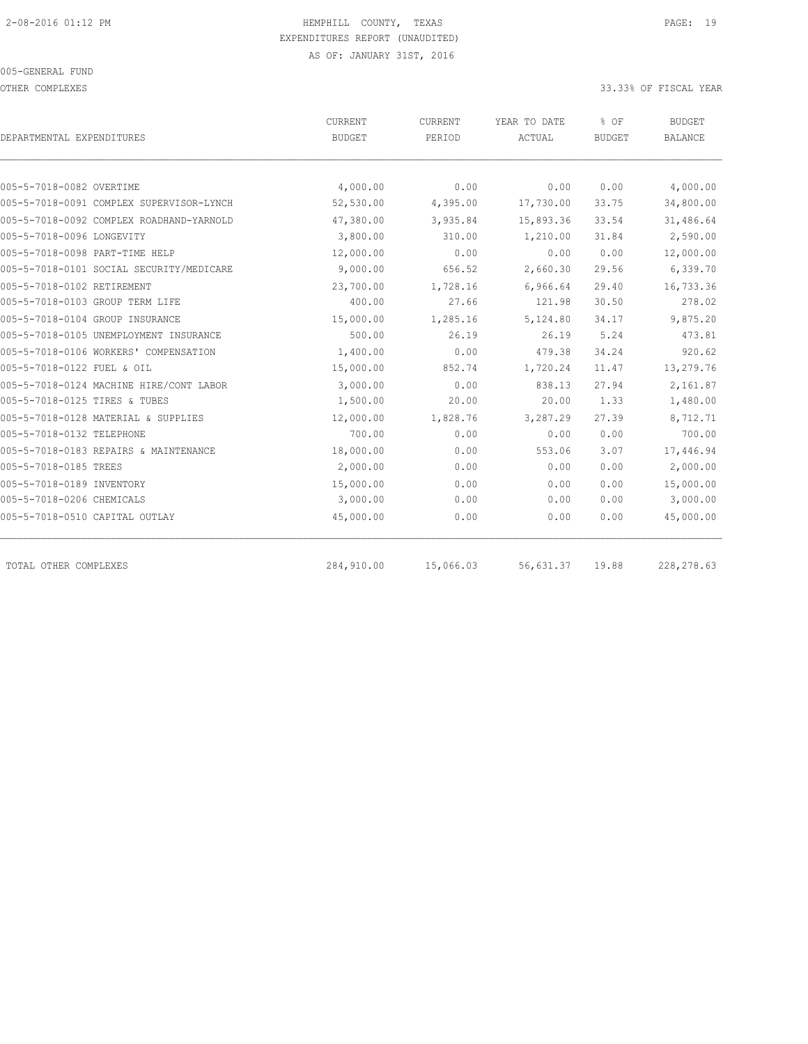OTHER COMPLEXES 33.33% OF FISCAL YEAR

|                                          | CURRENT       | CURRENT   | YEAR TO DATE | % OF          | <b>BUDGET</b>  |
|------------------------------------------|---------------|-----------|--------------|---------------|----------------|
| DEPARTMENTAL EXPENDITURES                | <b>BUDGET</b> | PERIOD    | ACTUAL       | <b>BUDGET</b> | <b>BALANCE</b> |
|                                          |               |           |              |               |                |
| 005-5-7018-0082 OVERTIME                 | 4,000.00      | 0.00      | 0.00         | 0.00          | 4,000.00       |
| 005-5-7018-0091 COMPLEX SUPERVISOR-LYNCH | 52,530.00     | 4,395.00  | 17,730.00    | 33.75         | 34,800.00      |
| 005-5-7018-0092 COMPLEX ROADHAND-YARNOLD | 47,380.00     | 3,935.84  | 15,893.36    | 33.54         | 31,486.64      |
| 005-5-7018-0096 LONGEVITY                | 3,800.00      | 310.00    | 1,210.00     | 31.84         | 2,590.00       |
| 005-5-7018-0098 PART-TIME HELP           | 12,000.00     | 0.00      | 0.00         | 0.00          | 12,000.00      |
| 005-5-7018-0101 SOCIAL SECURITY/MEDICARE | 9,000.00      | 656.52    | 2,660.30     | 29.56         | 6,339.70       |
| 005-5-7018-0102 RETIREMENT               | 23,700.00     | 1,728.16  | 6,966.64     | 29.40         | 16,733.36      |
| 005-5-7018-0103 GROUP TERM LIFE          | 400.00        | 27.66     | 121.98       | 30.50         | 278.02         |
| 005-5-7018-0104 GROUP INSURANCE          | 15,000.00     | 1,285.16  | 5,124.80     | 34.17         | 9,875.20       |
| 005-5-7018-0105 UNEMPLOYMENT INSURANCE   | 500.00        | 26.19     | 26.19        | 5.24          | 473.81         |
| 005-5-7018-0106 WORKERS' COMPENSATION    | 1,400.00      | 0.00      | 479.38       | 34.24         | 920.62         |
| 005-5-7018-0122 FUEL & OIL               | 15,000.00     | 852.74    | 1,720.24     | 11.47         | 13,279.76      |
| 005-5-7018-0124 MACHINE HIRE/CONT LABOR  | 3,000.00      | 0.00      | 838.13       | 27.94         | 2,161.87       |
| 005-5-7018-0125 TIRES & TUBES            | 1,500.00      | 20.00     | 20.00        | 1.33          | 1,480.00       |
| 005-5-7018-0128 MATERIAL & SUPPLIES      | 12,000.00     | 1,828.76  | 3,287.29     | 27.39         | 8,712.71       |
| 005-5-7018-0132 TELEPHONE                | 700.00        | 0.00      | 0.00         | 0.00          | 700.00         |
| 005-5-7018-0183 REPAIRS & MAINTENANCE    | 18,000.00     | 0.00      | 553.06       | 3.07          | 17,446.94      |
| 005-5-7018-0185 TREES                    | 2,000.00      | 0.00      | 0.00         | 0.00          | 2,000.00       |
| 005-5-7018-0189 INVENTORY                | 15,000.00     | 0.00      | 0.00         | 0.00          | 15,000.00      |
| 005-5-7018-0206 CHEMICALS                | 3,000.00      | 0.00      | 0.00         | 0.00          | 3,000.00       |
| 005-5-7018-0510 CAPITAL OUTLAY           | 45,000.00     | 0.00      | 0.00         | 0.00          | 45,000.00      |
| TOTAL OTHER COMPLEXES                    | 284,910.00    | 15,066.03 | 56,631.37    | 19.88         | 228, 278.63    |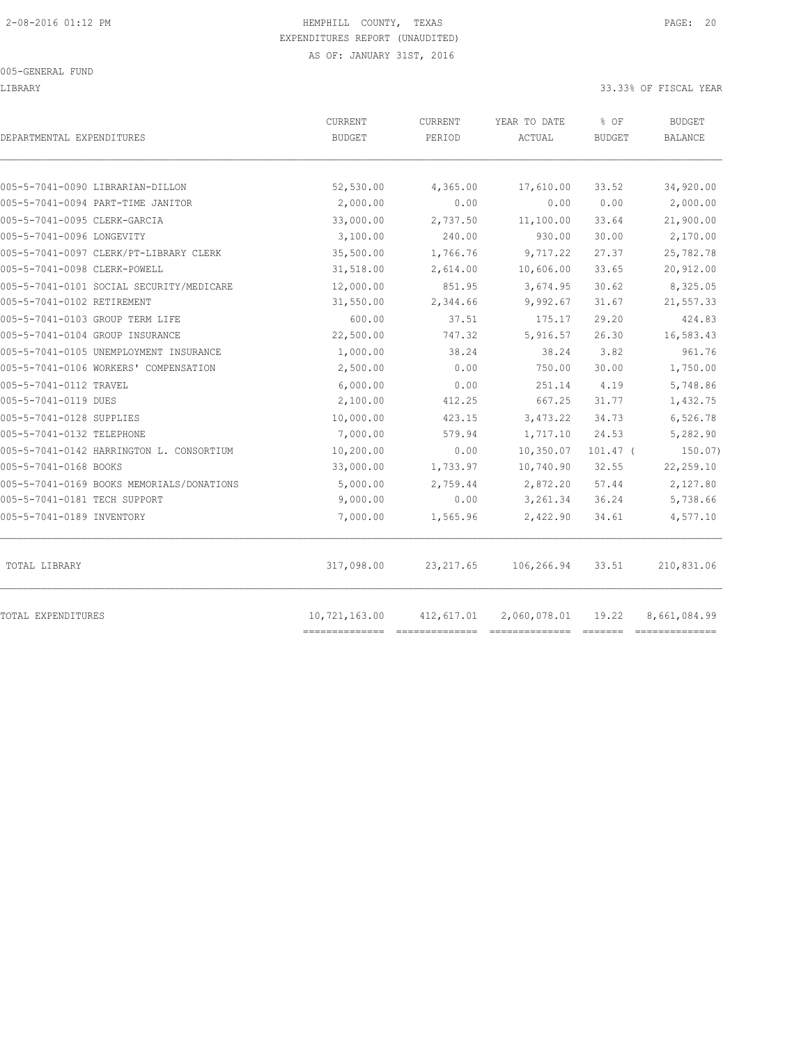#### 005-GENERAL FUND

#### LIBRARY 33.33% OF FISCAL YEAR

| DEPARTMENTAL EXPENDITURES                 | <b>CURRENT</b><br><b>BUDGET</b> | CURRENT<br>PERIOD | YEAR TO DATE<br>ACTUAL | % OF<br><b>BUDGET</b> | <b>BUDGET</b><br><b>BALANCE</b> |
|-------------------------------------------|---------------------------------|-------------------|------------------------|-----------------------|---------------------------------|
|                                           |                                 |                   |                        |                       |                                 |
| 005-5-7041-0090 LIBRARIAN-DILLON          | 52,530.00                       | 4,365.00          | 17,610.00              | 33.52                 | 34,920.00                       |
| 005-5-7041-0094 PART-TIME JANITOR         | 2,000.00                        | 0.00              | 0.00                   | 0.00                  | 2,000.00                        |
| 005-5-7041-0095 CLERK-GARCIA              | 33,000.00                       | 2,737.50          | 11,100.00              | 33.64                 | 21,900.00                       |
| 005-5-7041-0096 LONGEVITY                 | 3,100.00                        | 240.00            | 930.00                 | 30.00                 | 2,170.00                        |
| 005-5-7041-0097 CLERK/PT-LIBRARY CLERK    | 35,500.00                       | 1,766.76          | 9,717.22               | 27.37                 | 25,782.78                       |
| 005-5-7041-0098 CLERK-POWELL              | 31,518.00                       | 2,614.00          | 10,606.00              | 33.65                 | 20,912.00                       |
| 005-5-7041-0101 SOCIAL SECURITY/MEDICARE  | 12,000.00                       | 851.95            | 3,674.95               | 30.62                 | 8,325.05                        |
| 005-5-7041-0102 RETIREMENT                | 31,550.00                       | 2,344.66          | 9,992.67               | 31.67                 | 21,557.33                       |
| 005-5-7041-0103 GROUP TERM LIFE           | 600.00                          | 37.51             | 175.17                 | 29.20                 | 424.83                          |
| 005-5-7041-0104 GROUP INSURANCE           | 22,500.00                       | 747.32            | 5,916.57               | 26.30                 | 16,583.43                       |
| 005-5-7041-0105 UNEMPLOYMENT INSURANCE    | 1,000.00                        | 38.24             | 38.24                  | 3.82                  | 961.76                          |
| 005-5-7041-0106 WORKERS' COMPENSATION     | 2,500.00                        | 0.00              | 750.00                 | 30.00                 | 1,750.00                        |
| 005-5-7041-0112 TRAVEL                    | 6,000.00                        | 0.00              | 251.14                 | 4.19                  | 5,748.86                        |
| 005-5-7041-0119 DUES                      | 2,100.00                        | 412.25            | 667.25                 | 31.77                 | 1,432.75                        |
| 005-5-7041-0128 SUPPLIES                  | 10,000.00                       | 423.15            | 3,473.22               | 34.73                 | 6,526.78                        |
| 005-5-7041-0132 TELEPHONE                 | 7,000.00                        | 579.94            | 1,717.10               | 24.53                 | 5,282.90                        |
| 005-5-7041-0142 HARRINGTON L. CONSORTIUM  | 10,200.00                       | 0.00              | 10,350.07              | $101.47$ (            | 150.07)                         |
| 005-5-7041-0168 BOOKS                     | 33,000.00                       | 1,733.97          | 10,740.90              | 32.55                 | 22,259.10                       |
| 005-5-7041-0169 BOOKS MEMORIALS/DONATIONS | 5,000.00                        | 2,759.44          | 2,872.20               | 57.44                 | 2,127.80                        |
| 005-5-7041-0181 TECH SUPPORT              | 9,000.00                        | 0.00              | 3,261.34               | 36.24                 | 5,738.66                        |
| 005-5-7041-0189 INVENTORY                 | 7,000.00                        | 1,565.96          | 2,422.90               | 34.61                 | 4,577.10                        |
| TOTAL LIBRARY                             | 317,098.00                      | 23, 217.65        | 106,266.94             | 33.51                 | 210,831.06                      |
| TOTAL EXPENDITURES                        | 10,721,163.00                   | 412,617.01        | 2,060,078.01           | 19.22                 | 8,661,084.99                    |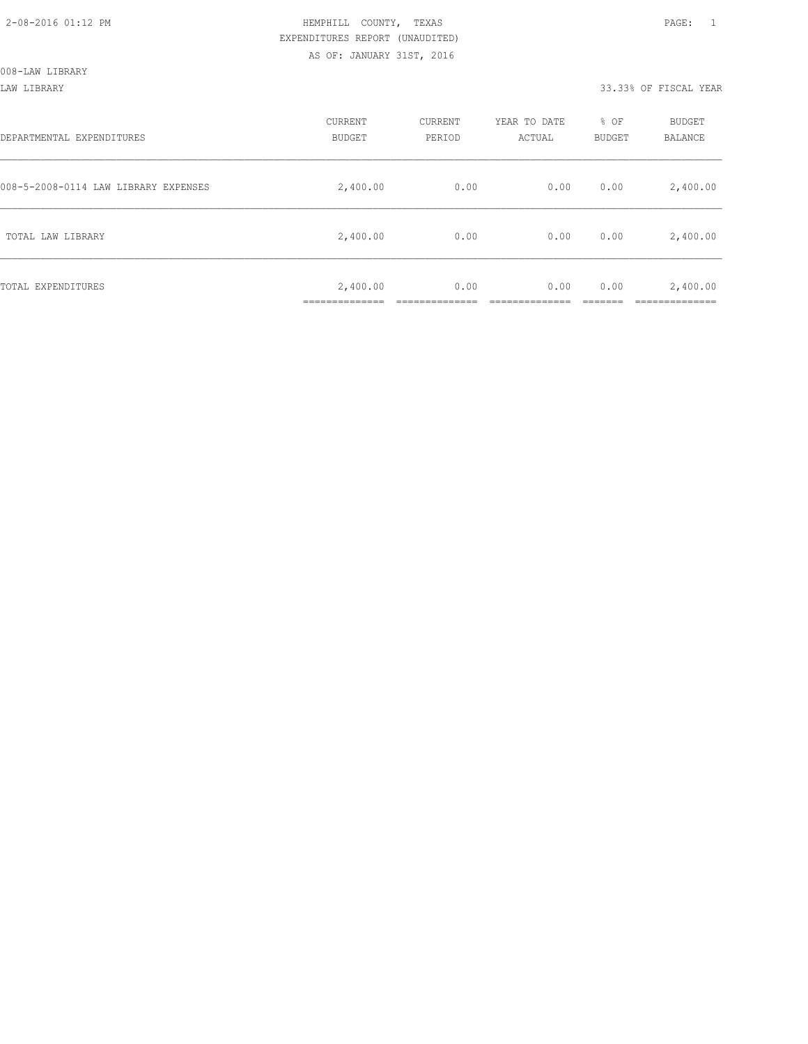#### LAW LIBRARY 33.33% OF FISCAL YEAR

| DEPARTMENTAL EXPENDITURES            | CURRENT<br><b>BUDGET</b> | CURRENT<br>PERIOD | YEAR TO DATE<br>ACTUAL | % OF<br>BUDGET | BUDGET<br><b>BALANCE</b> |
|--------------------------------------|--------------------------|-------------------|------------------------|----------------|--------------------------|
| 008-5-2008-0114 LAW LIBRARY EXPENSES | 2,400.00                 | 0.00              | 0.00                   | 0.00           | 2,400.00                 |
| TOTAL LAW LIBRARY                    | 2,400.00                 | 0.00              | 0.00                   | 0.00           | 2,400.00                 |
| TOTAL EXPENDITURES                   | 2,400.00<br>____________ | 0.00              | 0.00                   | 0.00           | 2,400.00<br>__________   |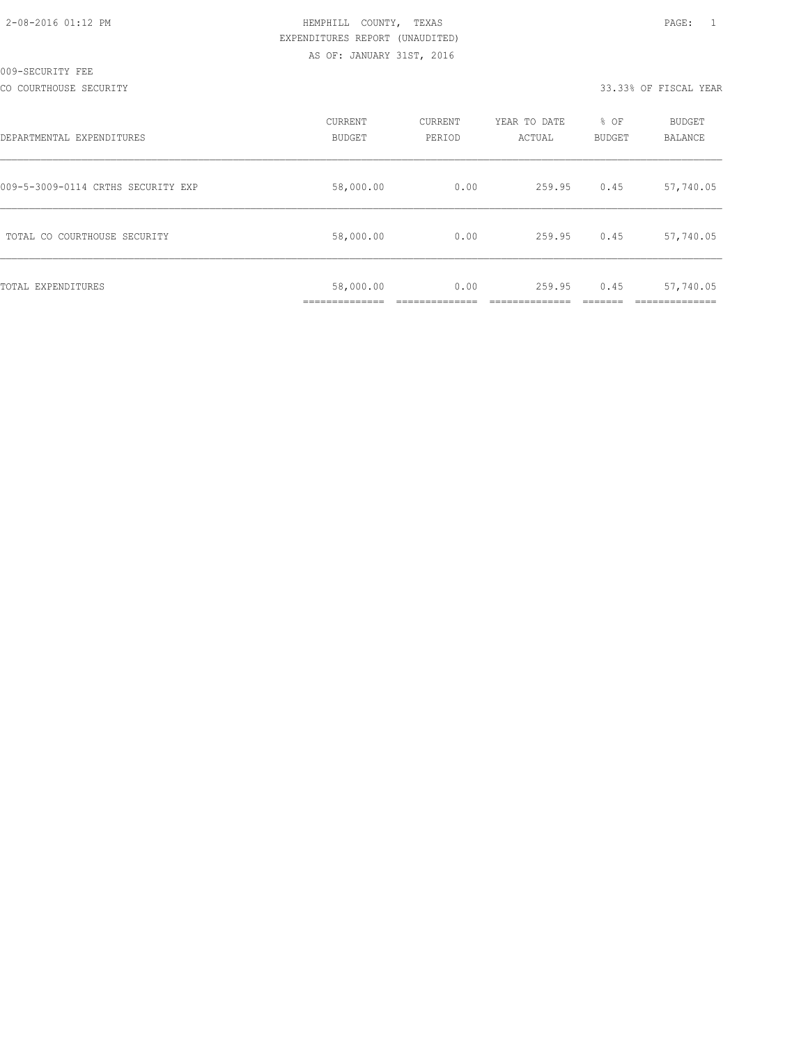| 2-08-2016 01:12 PM |  |  |
|--------------------|--|--|

CO COURTHOUSE SECURITY 33.33% OF FISCAL YEAR

| DEPARTMENTAL EXPENDITURES          | CURRENT<br><b>BUDGET</b> | CURRENT<br>PERIOD | YEAR TO DATE<br>ACTUAL | % OF<br><b>BUDGET</b> | <b>BUDGET</b><br>BALANCE |
|------------------------------------|--------------------------|-------------------|------------------------|-----------------------|--------------------------|
| 009-5-3009-0114 CRTHS SECURITY EXP | 58,000.00                | 0.00              | 259.95                 | 0.45                  | 57,740.05                |
| TOTAL CO COURTHOUSE SECURITY       | 58,000.00                | 0.00              | 259.95                 | 0.45                  | 57,740.05                |
| TOTAL EXPENDITURES                 | 58,000.00                | 0.00              | 259.95                 | 0.45                  | 57,740.05                |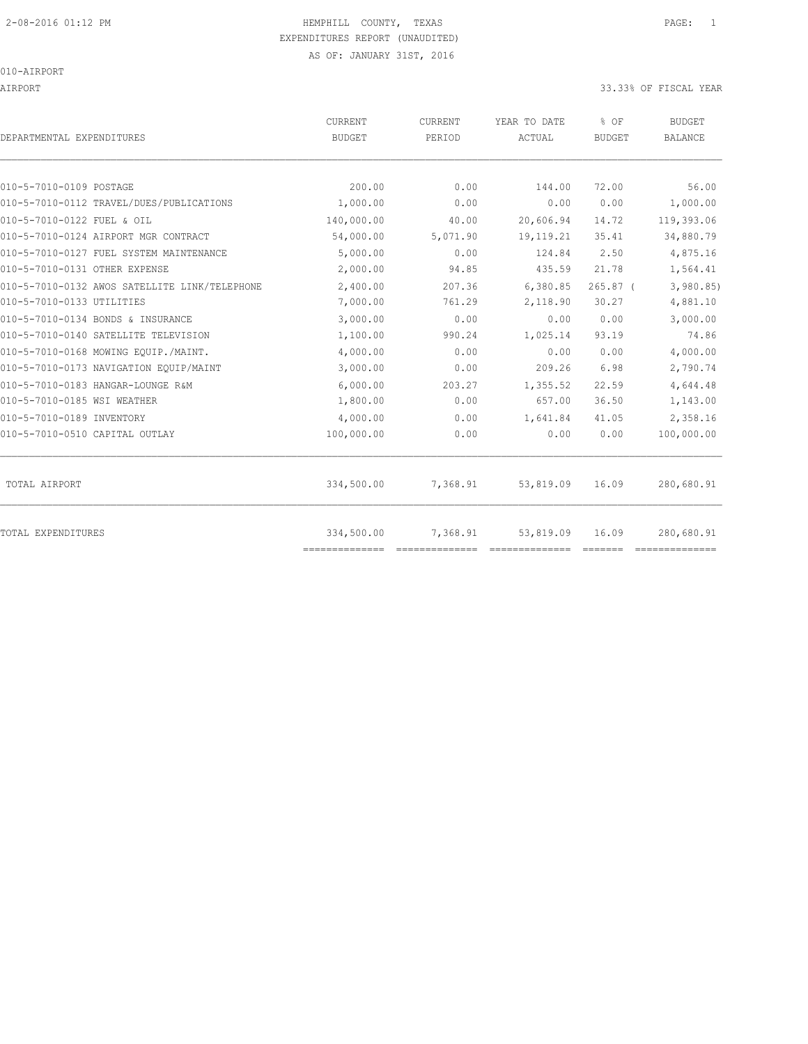010-AIRPORT

AIRPORT 33.33% OF FISCAL YEAR

| DEPARTMENTAL EXPENDITURES                     | <b>CURRENT</b><br><b>BUDGET</b> | CURRENT<br>PERIOD | YEAR TO DATE<br>ACTUAL | % OF<br><b>BUDGET</b> | <b>BUDGET</b><br><b>BALANCE</b> |
|-----------------------------------------------|---------------------------------|-------------------|------------------------|-----------------------|---------------------------------|
|                                               |                                 |                   |                        |                       |                                 |
| 010-5-7010-0109 POSTAGE                       | 200.00                          | 0.00              | 144.00                 | 72.00                 | 56.00                           |
| 010-5-7010-0112 TRAVEL/DUES/PUBLICATIONS      | 1,000.00                        | 0.00              | 0.00                   | 0.00                  | 1,000.00                        |
| 010-5-7010-0122 FUEL & OIL                    | 140,000.00                      | 40.00             | 20,606.94              | 14.72                 | 119,393.06                      |
| 010-5-7010-0124 AIRPORT MGR CONTRACT          | 54,000.00                       | 5,071.90          | 19, 119. 21            | 35.41                 | 34,880.79                       |
| 010-5-7010-0127 FUEL SYSTEM MAINTENANCE       | 5,000.00                        | 0.00              | 124.84                 | 2.50                  | 4,875.16                        |
| 010-5-7010-0131 OTHER EXPENSE                 | 2,000.00                        | 94.85             | 435.59                 | 21.78                 | 1,564.41                        |
| 010-5-7010-0132 AWOS SATELLITE LINK/TELEPHONE | 2,400.00                        | 207.36            | 6,380.85               | $265.87$ (            | 3,980.85                        |
| 010-5-7010-0133 UTILITIES                     | 7,000.00                        | 761.29            | 2,118.90               | 30.27                 | 4,881.10                        |
| 010-5-7010-0134 BONDS & INSURANCE             | 3,000.00                        | 0.00              | 0.00                   | 0.00                  | 3,000.00                        |
| 010-5-7010-0140 SATELLITE TELEVISION          | 1,100.00                        | 990.24            | 1,025.14               | 93.19                 | 74.86                           |
| 010-5-7010-0168 MOWING EQUIP./MAINT.          | 4,000.00                        | 0.00              | 0.00                   | 0.00                  | 4,000.00                        |
| 010-5-7010-0173 NAVIGATION EQUIP/MAINT        | 3,000.00                        | 0.00              | 209.26                 | 6.98                  | 2,790.74                        |
| 010-5-7010-0183 HANGAR-LOUNGE R&M             | 6,000.00                        | 203.27            | 1,355.52               | 22.59                 | 4,644.48                        |
| 010-5-7010-0185 WSI WEATHER                   | 1,800.00                        | 0.00              | 657.00                 | 36.50                 | 1,143.00                        |
| 010-5-7010-0189 INVENTORY                     | 4,000.00                        | 0.00              | 1,641.84               | 41.05                 | 2,358.16                        |
| 010-5-7010-0510 CAPITAL OUTLAY                | 100,000.00                      | 0.00              | 0.00                   | 0.00                  | 100,000.00                      |
| TOTAL AIRPORT                                 | 334,500.00                      | 7,368.91          | 53,819.09              | 16.09                 | 280,680.91                      |
| TOTAL EXPENDITURES                            | 334,500.00<br>==============    | 7,368.91          | 53,819.09              | 16.09                 | 280,680.91<br>==============    |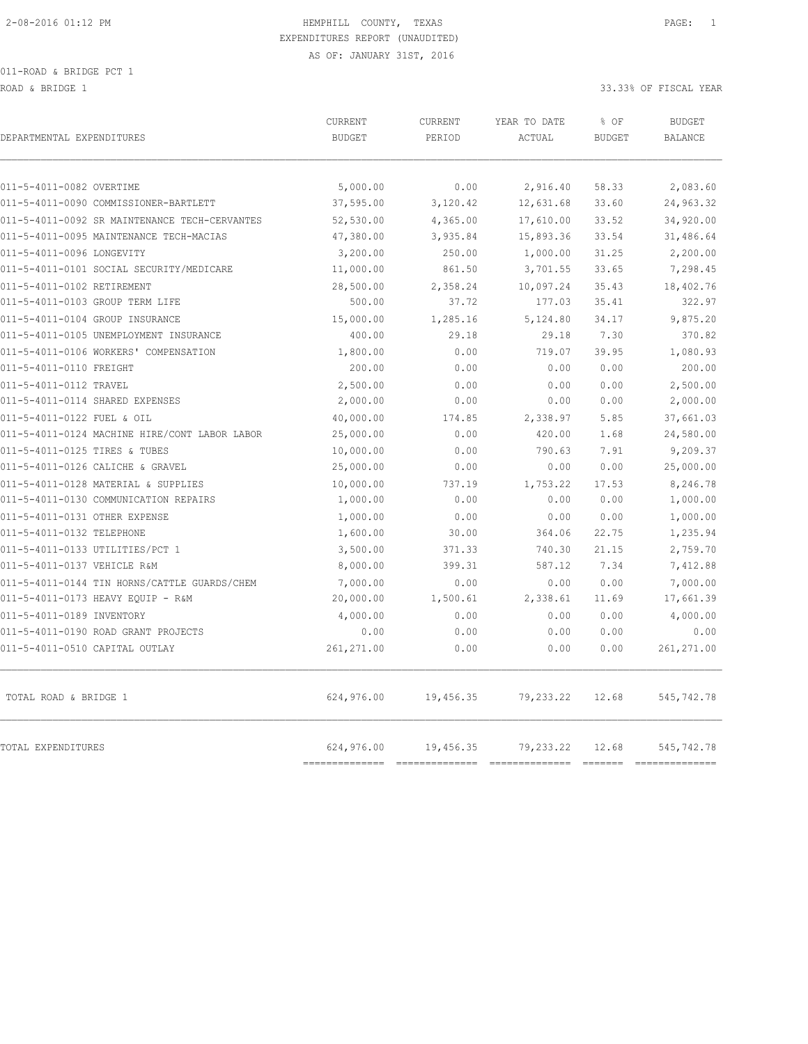ROAD & BRIDGE 1 33.33% OF FISCAL YEAR

| DEPARTMENTAL EXPENDITURES                     | CURRENT<br><b>BUDGET</b>  | CURRENT<br>PERIOD | YEAR TO DATE<br>ACTUAL      | % OF<br><b>BUDGET</b>                                                                                                                                                                                                                                                                                                                                                                                                                                                                                 | <b>BUDGET</b><br>BALANCE    |
|-----------------------------------------------|---------------------------|-------------------|-----------------------------|-------------------------------------------------------------------------------------------------------------------------------------------------------------------------------------------------------------------------------------------------------------------------------------------------------------------------------------------------------------------------------------------------------------------------------------------------------------------------------------------------------|-----------------------------|
| 011-5-4011-0082 OVERTIME                      | 5,000.00                  | 0.00              | 2,916.40                    | 58.33                                                                                                                                                                                                                                                                                                                                                                                                                                                                                                 | 2,083.60                    |
| 011-5-4011-0090 COMMISSIONER-BARTLETT         | 37,595.00                 | 3,120.42          | 12,631.68                   | 33.60                                                                                                                                                                                                                                                                                                                                                                                                                                                                                                 | 24,963.32                   |
| 011-5-4011-0092 SR MAINTENANCE TECH-CERVANTES | 52,530.00                 | 4,365.00          | 17,610.00                   | 33.52                                                                                                                                                                                                                                                                                                                                                                                                                                                                                                 | 34,920.00                   |
| 011-5-4011-0095 MAINTENANCE TECH-MACIAS       | 47,380.00                 | 3,935.84          | 15,893.36                   | 33.54                                                                                                                                                                                                                                                                                                                                                                                                                                                                                                 | 31,486.64                   |
| 011-5-4011-0096 LONGEVITY                     | 3,200.00                  | 250.00            | 1,000.00                    | 31.25                                                                                                                                                                                                                                                                                                                                                                                                                                                                                                 | 2,200.00                    |
| 011-5-4011-0101 SOCIAL SECURITY/MEDICARE      | 11,000.00                 | 861.50            | 3,701.55                    | 33.65                                                                                                                                                                                                                                                                                                                                                                                                                                                                                                 | 7,298.45                    |
| 011-5-4011-0102 RETIREMENT                    | 28,500.00                 | 2,358.24          | 10,097.24                   | 35.43                                                                                                                                                                                                                                                                                                                                                                                                                                                                                                 | 18,402.76                   |
| 011-5-4011-0103 GROUP TERM LIFE               | 500.00                    | 37.72             | 177.03                      | 35.41                                                                                                                                                                                                                                                                                                                                                                                                                                                                                                 | 322.97                      |
| 011-5-4011-0104 GROUP INSURANCE               | 15,000.00                 | 1,285.16          | 5,124.80                    | 34.17                                                                                                                                                                                                                                                                                                                                                                                                                                                                                                 | 9,875.20                    |
| 011-5-4011-0105 UNEMPLOYMENT INSURANCE        | 400.00                    | 29.18             | 29.18                       | 7.30                                                                                                                                                                                                                                                                                                                                                                                                                                                                                                  | 370.82                      |
| 011-5-4011-0106 WORKERS' COMPENSATION         | 1,800.00                  | 0.00              | 719.07                      | 39.95                                                                                                                                                                                                                                                                                                                                                                                                                                                                                                 | 1,080.93                    |
| 011-5-4011-0110 FREIGHT                       | 200.00                    | 0.00              | 0.00                        | 0.00                                                                                                                                                                                                                                                                                                                                                                                                                                                                                                  | 200.00                      |
| 011-5-4011-0112 TRAVEL                        | 2,500.00                  | 0.00              | 0.00                        | 0.00                                                                                                                                                                                                                                                                                                                                                                                                                                                                                                  | 2,500.00                    |
| 011-5-4011-0114 SHARED EXPENSES               | 2,000.00                  | 0.00              | 0.00                        | 0.00                                                                                                                                                                                                                                                                                                                                                                                                                                                                                                  | 2,000.00                    |
| 011-5-4011-0122 FUEL & OIL                    | 40,000.00                 | 174.85            | 2,338.97                    | 5.85                                                                                                                                                                                                                                                                                                                                                                                                                                                                                                  | 37,661.03                   |
| 011-5-4011-0124 MACHINE HIRE/CONT LABOR LABOR | 25,000.00                 | 0.00              | 420.00                      | 1.68                                                                                                                                                                                                                                                                                                                                                                                                                                                                                                  | 24,580.00                   |
| 011-5-4011-0125 TIRES & TUBES                 | 10,000.00                 | 0.00              | 790.63                      | 7.91                                                                                                                                                                                                                                                                                                                                                                                                                                                                                                  | 9,209.37                    |
| 011-5-4011-0126 CALICHE & GRAVEL              | 25,000.00                 | 0.00              | 0.00                        | 0.00                                                                                                                                                                                                                                                                                                                                                                                                                                                                                                  | 25,000.00                   |
| 011-5-4011-0128 MATERIAL & SUPPLIES           | 10,000.00                 | 737.19            | 1,753.22                    | 17.53                                                                                                                                                                                                                                                                                                                                                                                                                                                                                                 | 8,246.78                    |
| 011-5-4011-0130 COMMUNICATION REPAIRS         | 1,000.00                  | 0.00              | 0.00                        | 0.00                                                                                                                                                                                                                                                                                                                                                                                                                                                                                                  | 1,000.00                    |
| 011-5-4011-0131 OTHER EXPENSE                 | 1,000.00                  | 0.00              | 0.00                        | 0.00                                                                                                                                                                                                                                                                                                                                                                                                                                                                                                  | 1,000.00                    |
| 011-5-4011-0132 TELEPHONE                     | 1,600.00                  | 30.00             | 364.06                      | 22.75                                                                                                                                                                                                                                                                                                                                                                                                                                                                                                 | 1,235.94                    |
| 011-5-4011-0133 UTILITIES/PCT 1               | 3,500.00                  | 371.33            | 740.30                      | 21.15                                                                                                                                                                                                                                                                                                                                                                                                                                                                                                 | 2,759.70                    |
| 011-5-4011-0137 VEHICLE R&M                   | 8,000.00                  | 399.31            | 587.12                      | 7.34                                                                                                                                                                                                                                                                                                                                                                                                                                                                                                  | 7,412.88                    |
| 011-5-4011-0144 TIN HORNS/CATTLE GUARDS/CHEM  | 7,000.00                  | 0.00              | 0.00                        | 0.00                                                                                                                                                                                                                                                                                                                                                                                                                                                                                                  | 7,000.00                    |
| 011-5-4011-0173 HEAVY EQUIP - R&M             | 20,000.00                 | 1,500.61          | 2,338.61                    | 11.69                                                                                                                                                                                                                                                                                                                                                                                                                                                                                                 | 17,661.39                   |
| 011-5-4011-0189 INVENTORY                     | 4,000.00                  | 0.00              | 0.00                        | 0.00                                                                                                                                                                                                                                                                                                                                                                                                                                                                                                  | 4,000.00                    |
| 011-5-4011-0190 ROAD GRANT PROJECTS           | 0.00                      | 0.00              | 0.00                        | 0.00                                                                                                                                                                                                                                                                                                                                                                                                                                                                                                  | 0.00                        |
| 011-5-4011-0510 CAPITAL OUTLAY                | 261, 271.00               | 0.00              | 0.00                        | 0.00                                                                                                                                                                                                                                                                                                                                                                                                                                                                                                  | 261, 271.00                 |
| TOTAL ROAD & BRIDGE 1                         | 624,976.00                | 19,456.35         | 79,233.22                   | 12.68                                                                                                                                                                                                                                                                                                                                                                                                                                                                                                 | 545, 742. 78                |
| TOTAL EXPENDITURES                            | 624,976.00<br>----------- | 19,456.35         | 79,233.22<br>============== | 12.68<br>$\begin{array}{c} \multicolumn{3}{c} {\textbf{1}} & \multicolumn{3}{c} {\textbf{2}} & \multicolumn{3}{c} {\textbf{3}} & \multicolumn{3}{c} {\textbf{4}} \\ \multicolumn{3}{c} {\textbf{5}} & \multicolumn{3}{c} {\textbf{6}} & \multicolumn{3}{c} {\textbf{7}} & \multicolumn{3}{c} {\textbf{8}} & \multicolumn{3}{c} {\textbf{9}} \\ \multicolumn{3}{c} {\textbf{6}} & \multicolumn{3}{c} {\textbf{7}} & \multicolumn{3}{c} {\textbf{8}} & \multicolumn{3}{c} {\textbf{9}} & \multicolumn{$ | 545,742.78<br>$=$ ========= |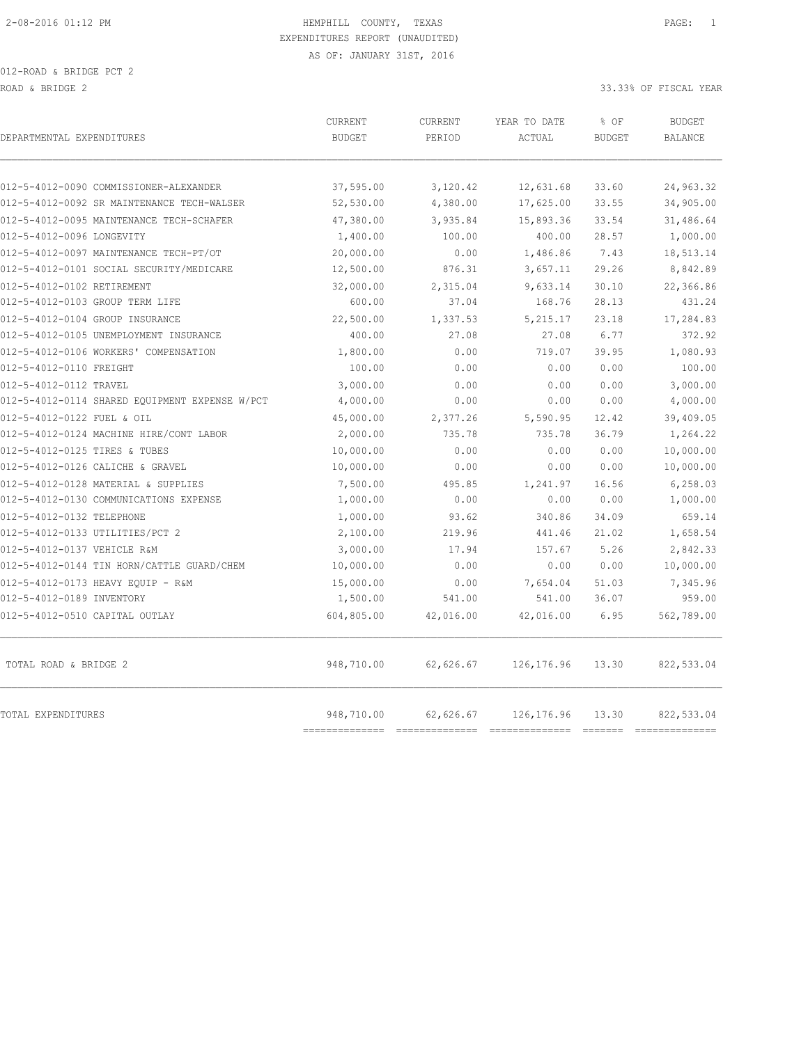| 012-5-4012-0090 COMMISSIONER-ALEXANDER<br>37,595.00<br>3,120.42<br>12,631.68<br>33.60<br>24,963.32<br>34,905.00<br>012-5-4012-0092 SR MAINTENANCE TECH-WALSER<br>52,530.00<br>4,380.00<br>17,625.00<br>33.55<br>012-5-4012-0095 MAINTENANCE TECH-SCHAFER<br>47,380.00<br>3,935.84<br>15,893.36<br>33.54<br>012-5-4012-0096 LONGEVITY<br>400.00<br>28.57<br>1,400.00<br>100.00<br>18,513.14<br>012-5-4012-0097 MAINTENANCE TECH-PT/OT<br>20,000.00<br>0.00<br>1,486.86<br>7.43<br>012-5-4012-0101 SOCIAL SECURITY/MEDICARE<br>29.26<br>12,500.00<br>876.31<br>3,657.11<br>012-5-4012-0102 RETIREMENT<br>9,633.14<br>30.10<br>32,000.00<br>2,315.04<br>012-5-4012-0103 GROUP TERM LIFE<br>600.00<br>37.04<br>168.76<br>28.13<br>012-5-4012-0104 GROUP INSURANCE<br>22,500.00<br>1,337.53<br>5, 215.17<br>23.18<br>400.00<br>6.77<br>012-5-4012-0105 UNEMPLOYMENT INSURANCE<br>27.08<br>27.08<br>012-5-4012-0106 WORKERS' COMPENSATION<br>0.00<br>719.07<br>39.95<br>1,800.00<br>012-5-4012-0110 FREIGHT<br>100.00<br>0.00<br>0.00<br>0.00<br>012-5-4012-0112 TRAVEL<br>3,000.00<br>0.00<br>0.00<br>0.00<br>012-5-4012-0114 SHARED EQUIPMENT EXPENSE W/PCT<br>4,000.00<br>0.00<br>0.00<br>0.00<br>012-5-4012-0122 FUEL & OIL<br>45,000.00<br>5,590.95<br>12.42<br>2,377.26<br>012-5-4012-0124 MACHINE HIRE/CONT LABOR<br>2,000.00<br>735.78<br>735.78<br>36.79<br>012-5-4012-0125 TIRES & TUBES<br>10,000.00<br>0.00<br>0.00<br>0.00<br>012-5-4012-0126 CALICHE & GRAVEL<br>10,000.00<br>0.00<br>0.00<br>0.00<br>012-5-4012-0128 MATERIAL & SUPPLIES<br>7,500.00<br>495.85<br>1,241.97<br>16.56<br>0.00<br>012-5-4012-0130 COMMUNICATIONS EXPENSE<br>1,000.00<br>0.00<br>0.00<br>012-5-4012-0132 TELEPHONE<br>1,000.00<br>93.62<br>340.86<br>34.09<br>012-5-4012-0133 UTILITIES/PCT 2<br>2,100.00<br>219.96<br>21.02<br>441.46<br>012-5-4012-0137 VEHICLE R&M<br>3,000.00<br>17.94<br>157.67<br>5.26<br>012-5-4012-0144 TIN HORN/CATTLE GUARD/CHEM<br>10,000.00<br>0.00<br>0.00<br>0.00<br>012-5-4012-0173 HEAVY EQUIP - R&M<br>15,000.00<br>0.00<br>7,654.04<br>51.03<br>012-5-4012-0189 INVENTORY<br>1,500.00<br>541.00<br>541.00<br>36.07<br>012-5-4012-0510 CAPITAL OUTLAY<br>604,805.00<br>42,016.00<br>42,016.00<br>6.95<br>948,710.00<br>TOTAL ROAD & BRIDGE 2<br>62,626.67<br>126, 176.96<br>13.30<br>TOTAL EXPENDITURES<br>948,710.00<br>62,626.67<br>126, 176.96<br>13.30 | DEPARTMENTAL EXPENDITURES | <b>CURRENT</b><br><b>BUDGET</b> | <b>CURRENT</b><br>PERIOD | YEAR TO DATE<br>ACTUAL | % OF<br><b>BUDGET</b> | <b>BUDGET</b><br><b>BALANCE</b> |
|----------------------------------------------------------------------------------------------------------------------------------------------------------------------------------------------------------------------------------------------------------------------------------------------------------------------------------------------------------------------------------------------------------------------------------------------------------------------------------------------------------------------------------------------------------------------------------------------------------------------------------------------------------------------------------------------------------------------------------------------------------------------------------------------------------------------------------------------------------------------------------------------------------------------------------------------------------------------------------------------------------------------------------------------------------------------------------------------------------------------------------------------------------------------------------------------------------------------------------------------------------------------------------------------------------------------------------------------------------------------------------------------------------------------------------------------------------------------------------------------------------------------------------------------------------------------------------------------------------------------------------------------------------------------------------------------------------------------------------------------------------------------------------------------------------------------------------------------------------------------------------------------------------------------------------------------------------------------------------------------------------------------------------------------------------------------------------------------------------------------------------------------------------------------------------------------------------------------------------------------------------------------------------------------------------------------------------------------------------------------------------|---------------------------|---------------------------------|--------------------------|------------------------|-----------------------|---------------------------------|
|                                                                                                                                                                                                                                                                                                                                                                                                                                                                                                                                                                                                                                                                                                                                                                                                                                                                                                                                                                                                                                                                                                                                                                                                                                                                                                                                                                                                                                                                                                                                                                                                                                                                                                                                                                                                                                                                                                                                                                                                                                                                                                                                                                                                                                                                                                                                                                                  |                           |                                 |                          |                        |                       |                                 |
|                                                                                                                                                                                                                                                                                                                                                                                                                                                                                                                                                                                                                                                                                                                                                                                                                                                                                                                                                                                                                                                                                                                                                                                                                                                                                                                                                                                                                                                                                                                                                                                                                                                                                                                                                                                                                                                                                                                                                                                                                                                                                                                                                                                                                                                                                                                                                                                  |                           |                                 |                          |                        |                       |                                 |
|                                                                                                                                                                                                                                                                                                                                                                                                                                                                                                                                                                                                                                                                                                                                                                                                                                                                                                                                                                                                                                                                                                                                                                                                                                                                                                                                                                                                                                                                                                                                                                                                                                                                                                                                                                                                                                                                                                                                                                                                                                                                                                                                                                                                                                                                                                                                                                                  |                           |                                 |                          |                        |                       | 31,486.64                       |
|                                                                                                                                                                                                                                                                                                                                                                                                                                                                                                                                                                                                                                                                                                                                                                                                                                                                                                                                                                                                                                                                                                                                                                                                                                                                                                                                                                                                                                                                                                                                                                                                                                                                                                                                                                                                                                                                                                                                                                                                                                                                                                                                                                                                                                                                                                                                                                                  |                           |                                 |                          |                        |                       | 1,000.00                        |
|                                                                                                                                                                                                                                                                                                                                                                                                                                                                                                                                                                                                                                                                                                                                                                                                                                                                                                                                                                                                                                                                                                                                                                                                                                                                                                                                                                                                                                                                                                                                                                                                                                                                                                                                                                                                                                                                                                                                                                                                                                                                                                                                                                                                                                                                                                                                                                                  |                           |                                 |                          |                        |                       |                                 |
|                                                                                                                                                                                                                                                                                                                                                                                                                                                                                                                                                                                                                                                                                                                                                                                                                                                                                                                                                                                                                                                                                                                                                                                                                                                                                                                                                                                                                                                                                                                                                                                                                                                                                                                                                                                                                                                                                                                                                                                                                                                                                                                                                                                                                                                                                                                                                                                  |                           |                                 |                          |                        |                       | 8,842.89                        |
|                                                                                                                                                                                                                                                                                                                                                                                                                                                                                                                                                                                                                                                                                                                                                                                                                                                                                                                                                                                                                                                                                                                                                                                                                                                                                                                                                                                                                                                                                                                                                                                                                                                                                                                                                                                                                                                                                                                                                                                                                                                                                                                                                                                                                                                                                                                                                                                  |                           |                                 |                          |                        |                       | 22,366.86                       |
|                                                                                                                                                                                                                                                                                                                                                                                                                                                                                                                                                                                                                                                                                                                                                                                                                                                                                                                                                                                                                                                                                                                                                                                                                                                                                                                                                                                                                                                                                                                                                                                                                                                                                                                                                                                                                                                                                                                                                                                                                                                                                                                                                                                                                                                                                                                                                                                  |                           |                                 |                          |                        |                       | 431.24                          |
|                                                                                                                                                                                                                                                                                                                                                                                                                                                                                                                                                                                                                                                                                                                                                                                                                                                                                                                                                                                                                                                                                                                                                                                                                                                                                                                                                                                                                                                                                                                                                                                                                                                                                                                                                                                                                                                                                                                                                                                                                                                                                                                                                                                                                                                                                                                                                                                  |                           |                                 |                          |                        |                       | 17,284.83                       |
|                                                                                                                                                                                                                                                                                                                                                                                                                                                                                                                                                                                                                                                                                                                                                                                                                                                                                                                                                                                                                                                                                                                                                                                                                                                                                                                                                                                                                                                                                                                                                                                                                                                                                                                                                                                                                                                                                                                                                                                                                                                                                                                                                                                                                                                                                                                                                                                  |                           |                                 |                          |                        |                       | 372.92                          |
|                                                                                                                                                                                                                                                                                                                                                                                                                                                                                                                                                                                                                                                                                                                                                                                                                                                                                                                                                                                                                                                                                                                                                                                                                                                                                                                                                                                                                                                                                                                                                                                                                                                                                                                                                                                                                                                                                                                                                                                                                                                                                                                                                                                                                                                                                                                                                                                  |                           |                                 |                          |                        |                       | 1,080.93                        |
|                                                                                                                                                                                                                                                                                                                                                                                                                                                                                                                                                                                                                                                                                                                                                                                                                                                                                                                                                                                                                                                                                                                                                                                                                                                                                                                                                                                                                                                                                                                                                                                                                                                                                                                                                                                                                                                                                                                                                                                                                                                                                                                                                                                                                                                                                                                                                                                  |                           |                                 |                          |                        |                       | 100.00                          |
|                                                                                                                                                                                                                                                                                                                                                                                                                                                                                                                                                                                                                                                                                                                                                                                                                                                                                                                                                                                                                                                                                                                                                                                                                                                                                                                                                                                                                                                                                                                                                                                                                                                                                                                                                                                                                                                                                                                                                                                                                                                                                                                                                                                                                                                                                                                                                                                  |                           |                                 |                          |                        |                       | 3,000.00                        |
|                                                                                                                                                                                                                                                                                                                                                                                                                                                                                                                                                                                                                                                                                                                                                                                                                                                                                                                                                                                                                                                                                                                                                                                                                                                                                                                                                                                                                                                                                                                                                                                                                                                                                                                                                                                                                                                                                                                                                                                                                                                                                                                                                                                                                                                                                                                                                                                  |                           |                                 |                          |                        |                       | 4,000.00                        |
|                                                                                                                                                                                                                                                                                                                                                                                                                                                                                                                                                                                                                                                                                                                                                                                                                                                                                                                                                                                                                                                                                                                                                                                                                                                                                                                                                                                                                                                                                                                                                                                                                                                                                                                                                                                                                                                                                                                                                                                                                                                                                                                                                                                                                                                                                                                                                                                  |                           |                                 |                          |                        |                       | 39,409.05                       |
|                                                                                                                                                                                                                                                                                                                                                                                                                                                                                                                                                                                                                                                                                                                                                                                                                                                                                                                                                                                                                                                                                                                                                                                                                                                                                                                                                                                                                                                                                                                                                                                                                                                                                                                                                                                                                                                                                                                                                                                                                                                                                                                                                                                                                                                                                                                                                                                  |                           |                                 |                          |                        |                       | 1,264.22                        |
|                                                                                                                                                                                                                                                                                                                                                                                                                                                                                                                                                                                                                                                                                                                                                                                                                                                                                                                                                                                                                                                                                                                                                                                                                                                                                                                                                                                                                                                                                                                                                                                                                                                                                                                                                                                                                                                                                                                                                                                                                                                                                                                                                                                                                                                                                                                                                                                  |                           |                                 |                          |                        |                       | 10,000.00                       |
|                                                                                                                                                                                                                                                                                                                                                                                                                                                                                                                                                                                                                                                                                                                                                                                                                                                                                                                                                                                                                                                                                                                                                                                                                                                                                                                                                                                                                                                                                                                                                                                                                                                                                                                                                                                                                                                                                                                                                                                                                                                                                                                                                                                                                                                                                                                                                                                  |                           |                                 |                          |                        |                       | 10,000.00                       |
|                                                                                                                                                                                                                                                                                                                                                                                                                                                                                                                                                                                                                                                                                                                                                                                                                                                                                                                                                                                                                                                                                                                                                                                                                                                                                                                                                                                                                                                                                                                                                                                                                                                                                                                                                                                                                                                                                                                                                                                                                                                                                                                                                                                                                                                                                                                                                                                  |                           |                                 |                          |                        |                       | 6,258.03                        |
|                                                                                                                                                                                                                                                                                                                                                                                                                                                                                                                                                                                                                                                                                                                                                                                                                                                                                                                                                                                                                                                                                                                                                                                                                                                                                                                                                                                                                                                                                                                                                                                                                                                                                                                                                                                                                                                                                                                                                                                                                                                                                                                                                                                                                                                                                                                                                                                  |                           |                                 |                          |                        |                       | 1,000.00                        |
|                                                                                                                                                                                                                                                                                                                                                                                                                                                                                                                                                                                                                                                                                                                                                                                                                                                                                                                                                                                                                                                                                                                                                                                                                                                                                                                                                                                                                                                                                                                                                                                                                                                                                                                                                                                                                                                                                                                                                                                                                                                                                                                                                                                                                                                                                                                                                                                  |                           |                                 |                          |                        |                       | 659.14                          |
|                                                                                                                                                                                                                                                                                                                                                                                                                                                                                                                                                                                                                                                                                                                                                                                                                                                                                                                                                                                                                                                                                                                                                                                                                                                                                                                                                                                                                                                                                                                                                                                                                                                                                                                                                                                                                                                                                                                                                                                                                                                                                                                                                                                                                                                                                                                                                                                  |                           |                                 |                          |                        |                       | 1,658.54                        |
|                                                                                                                                                                                                                                                                                                                                                                                                                                                                                                                                                                                                                                                                                                                                                                                                                                                                                                                                                                                                                                                                                                                                                                                                                                                                                                                                                                                                                                                                                                                                                                                                                                                                                                                                                                                                                                                                                                                                                                                                                                                                                                                                                                                                                                                                                                                                                                                  |                           |                                 |                          |                        |                       | 2,842.33                        |
|                                                                                                                                                                                                                                                                                                                                                                                                                                                                                                                                                                                                                                                                                                                                                                                                                                                                                                                                                                                                                                                                                                                                                                                                                                                                                                                                                                                                                                                                                                                                                                                                                                                                                                                                                                                                                                                                                                                                                                                                                                                                                                                                                                                                                                                                                                                                                                                  |                           |                                 |                          |                        |                       | 10,000.00                       |
|                                                                                                                                                                                                                                                                                                                                                                                                                                                                                                                                                                                                                                                                                                                                                                                                                                                                                                                                                                                                                                                                                                                                                                                                                                                                                                                                                                                                                                                                                                                                                                                                                                                                                                                                                                                                                                                                                                                                                                                                                                                                                                                                                                                                                                                                                                                                                                                  |                           |                                 |                          |                        |                       | 7,345.96                        |
|                                                                                                                                                                                                                                                                                                                                                                                                                                                                                                                                                                                                                                                                                                                                                                                                                                                                                                                                                                                                                                                                                                                                                                                                                                                                                                                                                                                                                                                                                                                                                                                                                                                                                                                                                                                                                                                                                                                                                                                                                                                                                                                                                                                                                                                                                                                                                                                  |                           |                                 |                          |                        |                       | 959.00                          |
|                                                                                                                                                                                                                                                                                                                                                                                                                                                                                                                                                                                                                                                                                                                                                                                                                                                                                                                                                                                                                                                                                                                                                                                                                                                                                                                                                                                                                                                                                                                                                                                                                                                                                                                                                                                                                                                                                                                                                                                                                                                                                                                                                                                                                                                                                                                                                                                  |                           |                                 |                          |                        |                       | 562,789.00                      |
|                                                                                                                                                                                                                                                                                                                                                                                                                                                                                                                                                                                                                                                                                                                                                                                                                                                                                                                                                                                                                                                                                                                                                                                                                                                                                                                                                                                                                                                                                                                                                                                                                                                                                                                                                                                                                                                                                                                                                                                                                                                                                                                                                                                                                                                                                                                                                                                  |                           |                                 |                          |                        |                       | 822,533.04                      |
| ===========<br>-------------                                                                                                                                                                                                                                                                                                                                                                                                                                                                                                                                                                                                                                                                                                                                                                                                                                                                                                                                                                                                                                                                                                                                                                                                                                                                                                                                                                                                                                                                                                                                                                                                                                                                                                                                                                                                                                                                                                                                                                                                                                                                                                                                                                                                                                                                                                                                                     |                           |                                 |                          |                        |                       | 822,533.04                      |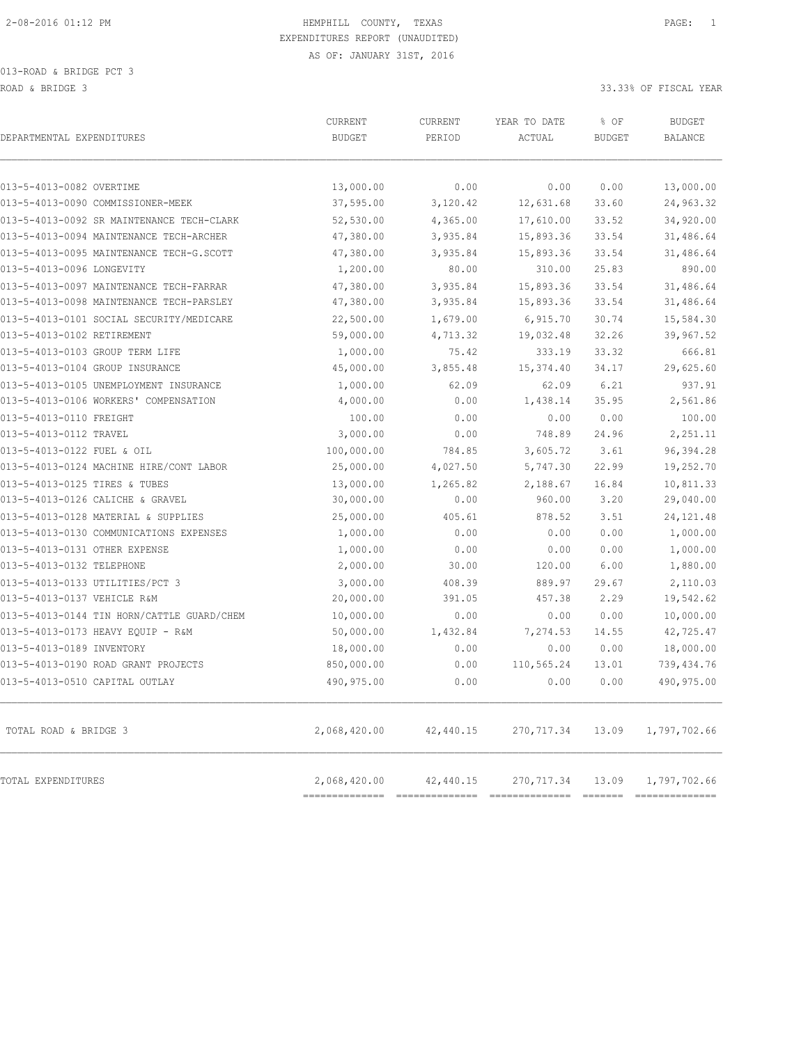| DEPARTMENTAL EXPENDITURES                  | CURRENT<br><b>BUDGET</b>       | CURRENT<br>PERIOD | YEAR TO DATE<br>ACTUAL | % OF<br><b>BUDGET</b> | <b>BUDGET</b><br><b>BALANCE</b>                                                                                                                                                                                                                                                                                                                                                                                                                                                                      |
|--------------------------------------------|--------------------------------|-------------------|------------------------|-----------------------|------------------------------------------------------------------------------------------------------------------------------------------------------------------------------------------------------------------------------------------------------------------------------------------------------------------------------------------------------------------------------------------------------------------------------------------------------------------------------------------------------|
| 013-5-4013-0082 OVERTIME                   | 13,000.00                      | 0.00              | 0.00                   | 0.00                  | 13,000.00                                                                                                                                                                                                                                                                                                                                                                                                                                                                                            |
| 013-5-4013-0090 COMMISSIONER-MEEK          | 37,595.00                      | 3,120.42          | 12,631.68              | 33.60                 | 24,963.32                                                                                                                                                                                                                                                                                                                                                                                                                                                                                            |
| 013-5-4013-0092 SR MAINTENANCE TECH-CLARK  | 52,530.00                      | 4,365.00          | 17,610.00              | 33.52                 | 34,920.00                                                                                                                                                                                                                                                                                                                                                                                                                                                                                            |
| 013-5-4013-0094 MAINTENANCE TECH-ARCHER    | 47,380.00                      | 3,935.84          | 15,893.36              | 33.54                 | 31,486.64                                                                                                                                                                                                                                                                                                                                                                                                                                                                                            |
| 013-5-4013-0095 MAINTENANCE TECH-G.SCOTT   | 47,380.00                      | 3,935.84          | 15,893.36              | 33.54                 | 31,486.64                                                                                                                                                                                                                                                                                                                                                                                                                                                                                            |
| 013-5-4013-0096 LONGEVITY                  | 1,200.00                       | 80.00             | 310.00                 | 25.83                 | 890.00                                                                                                                                                                                                                                                                                                                                                                                                                                                                                               |
| 013-5-4013-0097 MAINTENANCE TECH-FARRAR    | 47,380.00                      | 3,935.84          | 15,893.36              | 33.54                 | 31,486.64                                                                                                                                                                                                                                                                                                                                                                                                                                                                                            |
| 013-5-4013-0098 MAINTENANCE TECH-PARSLEY   | 47,380.00                      | 3,935.84          | 15,893.36              | 33.54                 | 31,486.64                                                                                                                                                                                                                                                                                                                                                                                                                                                                                            |
| 013-5-4013-0101 SOCIAL SECURITY/MEDICARE   | 22,500.00                      | 1,679.00          | 6, 915.70              | 30.74                 | 15,584.30                                                                                                                                                                                                                                                                                                                                                                                                                                                                                            |
| 013-5-4013-0102 RETIREMENT                 | 59,000.00                      | 4,713.32          | 19,032.48              | 32.26                 | 39,967.52                                                                                                                                                                                                                                                                                                                                                                                                                                                                                            |
| 013-5-4013-0103 GROUP TERM LIFE            | 1,000.00                       | 75.42             | 333.19                 | 33.32                 | 666.81                                                                                                                                                                                                                                                                                                                                                                                                                                                                                               |
| 013-5-4013-0104 GROUP INSURANCE            | 45,000.00                      | 3,855.48          | 15, 374.40             | 34.17                 | 29,625.60                                                                                                                                                                                                                                                                                                                                                                                                                                                                                            |
| 013-5-4013-0105 UNEMPLOYMENT INSURANCE     | 1,000.00                       | 62.09             | 62.09                  | 6.21                  | 937.91                                                                                                                                                                                                                                                                                                                                                                                                                                                                                               |
| 013-5-4013-0106 WORKERS' COMPENSATION      | 4,000.00                       | 0.00              | 1,438.14               | 35.95                 | 2,561.86                                                                                                                                                                                                                                                                                                                                                                                                                                                                                             |
| 013-5-4013-0110 FREIGHT                    | 100.00                         | 0.00              | 0.00                   | 0.00                  | 100.00                                                                                                                                                                                                                                                                                                                                                                                                                                                                                               |
| 013-5-4013-0112 TRAVEL                     | 3,000.00                       | 0.00              | 748.89                 | 24.96                 | 2,251.11                                                                                                                                                                                                                                                                                                                                                                                                                                                                                             |
| 013-5-4013-0122 FUEL & OIL                 | 100,000.00                     | 784.85            | 3,605.72               | 3.61                  | 96,394.28                                                                                                                                                                                                                                                                                                                                                                                                                                                                                            |
| 013-5-4013-0124 MACHINE HIRE/CONT LABOR    | 25,000.00                      | 4,027.50          | 5,747.30               | 22.99                 | 19,252.70                                                                                                                                                                                                                                                                                                                                                                                                                                                                                            |
| 013-5-4013-0125 TIRES & TUBES              | 13,000.00                      | 1,265.82          | 2,188.67               | 16.84                 | 10,811.33                                                                                                                                                                                                                                                                                                                                                                                                                                                                                            |
| 013-5-4013-0126 CALICHE & GRAVEL           | 30,000.00                      | 0.00              | 960.00                 | 3.20                  | 29,040.00                                                                                                                                                                                                                                                                                                                                                                                                                                                                                            |
| 013-5-4013-0128 MATERIAL & SUPPLIES        | 25,000.00                      | 405.61            | 878.52                 | 3.51                  | 24, 121.48                                                                                                                                                                                                                                                                                                                                                                                                                                                                                           |
| 013-5-4013-0130 COMMUNICATIONS EXPENSES    | 1,000.00                       | 0.00              | 0.00                   | 0.00                  | 1,000.00                                                                                                                                                                                                                                                                                                                                                                                                                                                                                             |
| 013-5-4013-0131 OTHER EXPENSE              | 1,000.00                       | 0.00              | 0.00                   | 0.00                  | 1,000.00                                                                                                                                                                                                                                                                                                                                                                                                                                                                                             |
| 013-5-4013-0132 TELEPHONE                  | 2,000.00                       | 30.00             | 120.00                 | 6.00                  | 1,880.00                                                                                                                                                                                                                                                                                                                                                                                                                                                                                             |
| 013-5-4013-0133 UTILITIES/PCT 3            | 3,000.00                       | 408.39            | 889.97                 | 29.67                 | 2,110.03                                                                                                                                                                                                                                                                                                                                                                                                                                                                                             |
| 013-5-4013-0137 VEHICLE R&M                | 20,000.00                      | 391.05            | 457.38                 | 2.29                  | 19,542.62                                                                                                                                                                                                                                                                                                                                                                                                                                                                                            |
| 013-5-4013-0144 TIN HORN/CATTLE GUARD/CHEM | 10,000.00                      | 0.00              | 0.00                   | 0.00                  | 10,000.00                                                                                                                                                                                                                                                                                                                                                                                                                                                                                            |
| 013-5-4013-0173 HEAVY EQUIP - R&M          | 50,000.00                      | 1,432.84          | 7,274.53               | 14.55                 | 42,725.47                                                                                                                                                                                                                                                                                                                                                                                                                                                                                            |
| 013-5-4013-0189 INVENTORY                  | 18,000.00                      | 0.00              | 0.00                   | 0.00                  | 18,000.00                                                                                                                                                                                                                                                                                                                                                                                                                                                                                            |
| 013-5-4013-0190 ROAD GRANT PROJECTS        | 850,000.00                     | 0.00              | 110,565.24             | 13.01                 | 739,434.76                                                                                                                                                                                                                                                                                                                                                                                                                                                                                           |
| 013-5-4013-0510 CAPITAL OUTLAY             | 490,975.00                     | 0.00              | 0.00                   | 0.00                  | 490,975.00                                                                                                                                                                                                                                                                                                                                                                                                                                                                                           |
| TOTAL ROAD & BRIDGE 3                      | 2,068,420.00                   | 42,440.15         | 270, 717.34            | 13.09                 | 1,797,702.66                                                                                                                                                                                                                                                                                                                                                                                                                                                                                         |
| TOTAL EXPENDITURES                         | 2,068,420.00<br>============== | 42,440.15         | 270, 717.34            | 13.09                 | 1,797,702.66<br>$\begin{array}{cccccc} \multicolumn{2}{c}{} & \multicolumn{2}{c}{} & \multicolumn{2}{c}{} & \multicolumn{2}{c}{} & \multicolumn{2}{c}{} & \multicolumn{2}{c}{} & \multicolumn{2}{c}{} & \multicolumn{2}{c}{} & \multicolumn{2}{c}{} & \multicolumn{2}{c}{} & \multicolumn{2}{c}{} & \multicolumn{2}{c}{} & \multicolumn{2}{c}{} & \multicolumn{2}{c}{} & \multicolumn{2}{c}{} & \multicolumn{2}{c}{} & \multicolumn{2}{c}{} & \multicolumn{2}{c}{} & \multicolumn{2}{c}{} & \multic$ |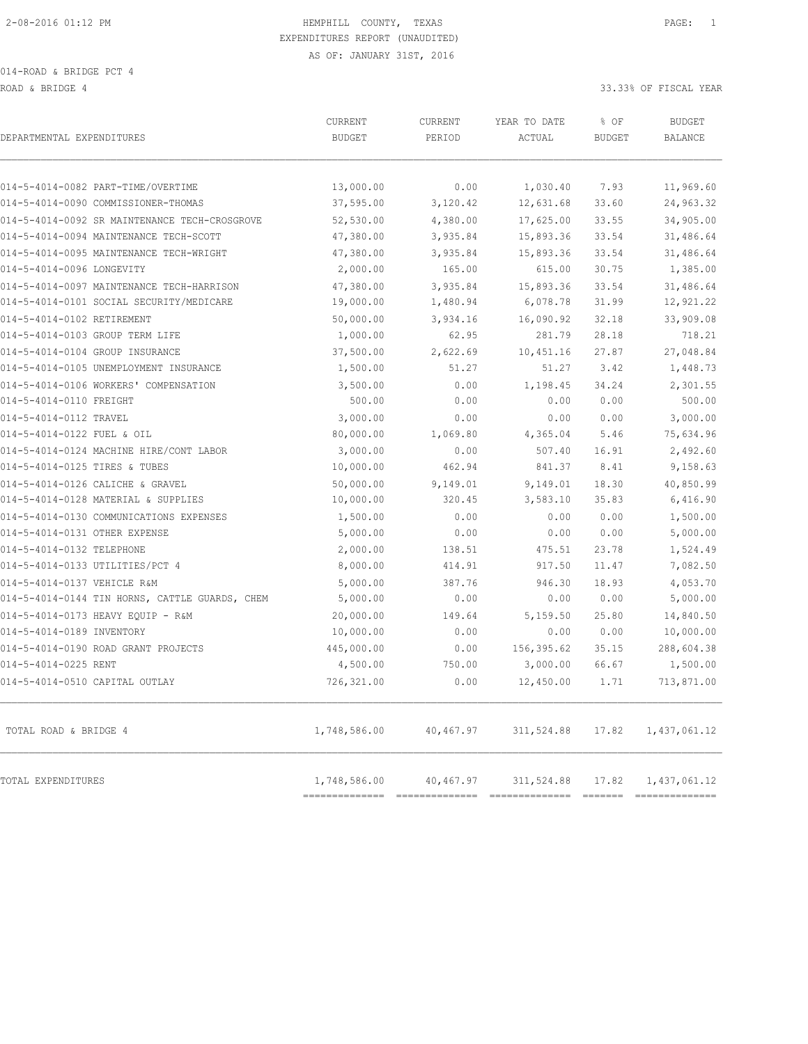ROAD & BRIDGE 4 33.33% OF FISCAL YEAR

| DEPARTMENTAL EXPENDITURES                      | <b>CURRENT</b><br><b>BUDGET</b> | <b>CURRENT</b><br>PERIOD    | YEAR TO DATE<br>ACTUAL       | % OF<br><b>BUDGET</b> | <b>BUDGET</b><br><b>BALANCE</b> |
|------------------------------------------------|---------------------------------|-----------------------------|------------------------------|-----------------------|---------------------------------|
| 014-5-4014-0082 PART-TIME/OVERTIME             | 13,000.00                       | 0.00                        | 1,030.40                     | 7.93                  | 11,969.60                       |
| 014-5-4014-0090 COMMISSIONER-THOMAS            | 37,595.00                       | 3,120.42                    | 12,631.68                    | 33.60                 | 24,963.32                       |
| 014-5-4014-0092 SR MAINTENANCE TECH-CROSGROVE  | 52,530.00                       | 4,380.00                    | 17,625.00                    | 33.55                 | 34,905.00                       |
| 014-5-4014-0094 MAINTENANCE TECH-SCOTT         | 47,380.00                       | 3,935.84                    | 15,893.36                    | 33.54                 | 31,486.64                       |
| 014-5-4014-0095 MAINTENANCE TECH-WRIGHT        | 47,380.00                       | 3,935.84                    | 15,893.36                    | 33.54                 | 31,486.64                       |
| 014-5-4014-0096 LONGEVITY                      | 2,000.00                        | 165.00                      | 615.00                       | 30.75                 | 1,385.00                        |
| 014-5-4014-0097 MAINTENANCE TECH-HARRISON      | 47,380.00                       | 3,935.84                    | 15,893.36                    | 33.54                 | 31,486.64                       |
| 014-5-4014-0101 SOCIAL SECURITY/MEDICARE       | 19,000.00                       | 1,480.94                    | 6,078.78                     | 31.99                 | 12,921.22                       |
| 014-5-4014-0102 RETIREMENT                     | 50,000.00                       | 3,934.16                    | 16,090.92                    | 32.18                 | 33,909.08                       |
| 014-5-4014-0103 GROUP TERM LIFE                | 1,000.00                        | 62.95                       | 281.79                       | 28.18                 | 718.21                          |
| 014-5-4014-0104 GROUP INSURANCE                | 37,500.00                       | 2,622.69                    | 10,451.16                    | 27.87                 | 27,048.84                       |
| 014-5-4014-0105 UNEMPLOYMENT INSURANCE         | 1,500.00                        | 51.27                       | 51.27                        | 3.42                  | 1,448.73                        |
| 014-5-4014-0106 WORKERS' COMPENSATION          | 3,500.00                        | 0.00                        | 1,198.45                     | 34.24                 | 2,301.55                        |
| 014-5-4014-0110 FREIGHT                        | 500.00                          | 0.00                        | 0.00                         | 0.00                  | 500.00                          |
| 014-5-4014-0112 TRAVEL                         | 3,000.00                        | 0.00                        | 0.00                         | 0.00                  | 3,000.00                        |
| 014-5-4014-0122 FUEL & OIL                     | 80,000.00                       | 1,069.80                    | 4,365.04                     | 5.46                  | 75,634.96                       |
| 014-5-4014-0124 MACHINE HIRE/CONT LABOR        | 3,000.00                        | 0.00                        | 507.40                       | 16.91                 | 2,492.60                        |
| 014-5-4014-0125 TIRES & TUBES                  | 10,000.00                       | 462.94                      | 841.37                       | 8.41                  | 9,158.63                        |
| 014-5-4014-0126 CALICHE & GRAVEL               | 50,000.00                       | 9,149.01                    | 9,149.01                     | 18.30                 | 40,850.99                       |
| 014-5-4014-0128 MATERIAL & SUPPLIES            | 10,000.00                       | 320.45                      | 3,583.10                     | 35.83                 | 6,416.90                        |
| 014-5-4014-0130 COMMUNICATIONS EXPENSES        | 1,500.00                        | 0.00                        | 0.00                         | 0.00                  | 1,500.00                        |
| 014-5-4014-0131 OTHER EXPENSE                  | 5,000.00                        | 0.00                        | 0.00                         | 0.00                  | 5,000.00                        |
| 014-5-4014-0132 TELEPHONE                      | 2,000.00                        | 138.51                      | 475.51                       | 23.78                 | 1,524.49                        |
| 014-5-4014-0133 UTILITIES/PCT 4                | 8,000.00                        | 414.91                      | 917.50                       | 11.47                 | 7,082.50                        |
| 014-5-4014-0137 VEHICLE R&M                    | 5,000.00                        | 387.76                      | 946.30                       | 18.93                 | 4,053.70                        |
| 014-5-4014-0144 TIN HORNS, CATTLE GUARDS, CHEM | 5,000.00                        | 0.00                        | 0.00                         | 0.00                  | 5,000.00                        |
| 014-5-4014-0173 HEAVY EQUIP - R&M              | 20,000.00                       | 149.64                      | 5,159.50                     | 25.80                 | 14,840.50                       |
| 014-5-4014-0189 INVENTORY                      | 10,000.00                       | 0.00                        | 0.00                         | 0.00                  | 10,000.00                       |
| 014-5-4014-0190 ROAD GRANT PROJECTS            | 445,000.00                      | 0.00                        | 156,395.62                   | 35.15                 | 288,604.38                      |
| 014-5-4014-0225 RENT                           | 4,500.00                        | 750.00                      | 3,000.00                     | 66.67                 | 1,500.00                        |
| 014-5-4014-0510 CAPITAL OUTLAY                 | 726,321.00                      | 0.00                        | 12,450.00                    | 1.71                  | 713,871.00                      |
| TOTAL ROAD & BRIDGE 4                          | 1,748,586.00                    | 40,467.97                   | 311,524.88                   | 17.82                 | 1,437,061.12                    |
| TOTAL EXPENDITURES                             | 1,748,586.00<br>--------------- | 40,467.97<br>============== | 311,524.88<br>============== | 17.82<br>=======      | 1,437,061.12<br>--------------- |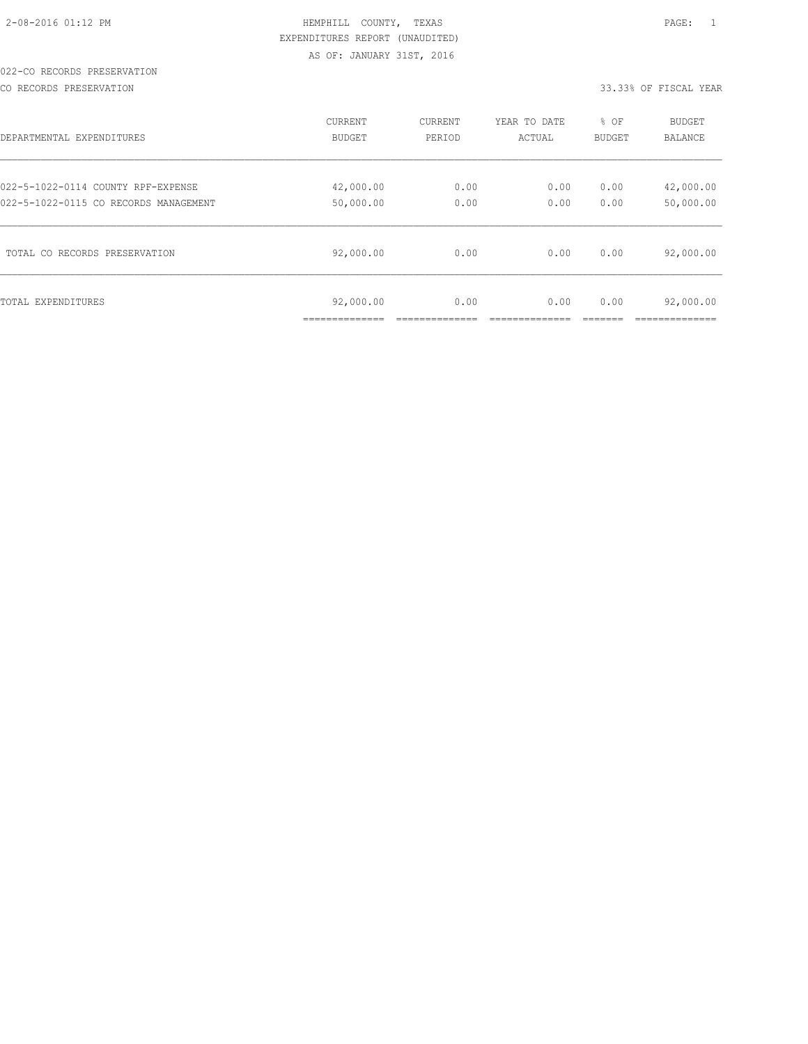# 022-CO RECORDS PRESERVATION

CO RECORDS PRESERVATION 33.33% OF FISCAL YEAR

| DEPARTMENTAL EXPENDITURES             | <b>CURRENT</b>              | CURRENT | YEAR TO DATE | % OF          | <b>BUDGET</b>               |
|---------------------------------------|-----------------------------|---------|--------------|---------------|-----------------------------|
|                                       | <b>BUDGET</b>               | PERIOD  | ACTUAL       | <b>BUDGET</b> | <b>BALANCE</b>              |
| 022-5-1022-0114 COUNTY RPF-EXPENSE    | 42,000.00                   | 0.00    | 0.00         | 0.00          | 42,000.00                   |
| 022-5-1022-0115 CO RECORDS MANAGEMENT | 50,000.00                   | 0.00    | 0.00         | 0.00          | 50,000.00                   |
| TOTAL CO RECORDS PRESERVATION         | 92,000.00                   | 0.00    | 0.00         | 0.00          | 92,000.00                   |
| TOTAL EXPENDITURES                    | 92,000.00<br>______________ | 0.00    | 0.00         | 0.00          | 92,000.00<br>-------------- |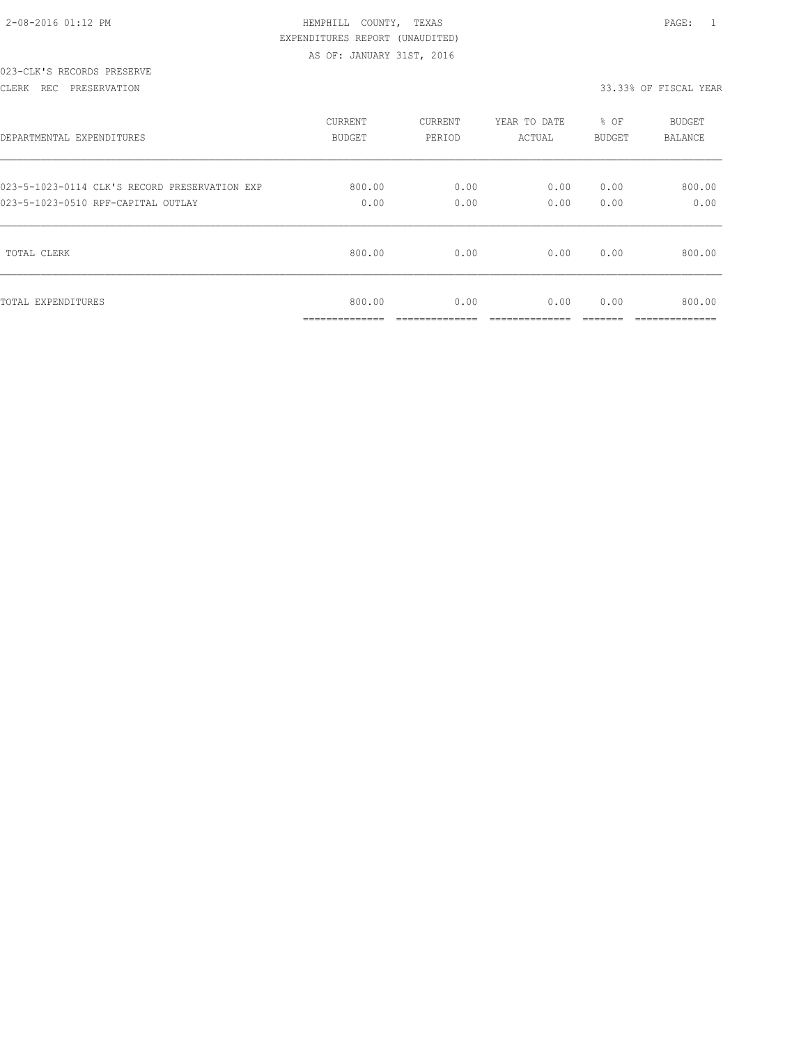| $2 - 08 - 2016$ 01:12 PM |  |
|--------------------------|--|
|                          |  |

#### 023-CLK'S RECORDS PRESERVE

#### CLERK REC PRESERVATION 33.33% OF FISCAL YEAR

| DEPARTMENTAL EXPENDITURES                     | <b>CURRENT</b>                        | CURRENT                | YEAR TO DATE           | % OF          | <b>BUDGET</b>            |
|-----------------------------------------------|---------------------------------------|------------------------|------------------------|---------------|--------------------------|
|                                               | BUDGET                                | PERIOD                 | ACTUAL                 | BUDGET        | <b>BALANCE</b>           |
| 023-5-1023-0114 CLK'S RECORD PRESERVATION EXP | 800.00                                | 0.00                   | 0.00                   | 0.00          | 800.00                   |
| 023-5-1023-0510 RPF-CAPITAL OUTLAY            | 0.00                                  | 0.00                   | 0.00                   | 0.00          | 0.00                     |
| TOTAL CLERK                                   | 800.00                                | 0.00                   | 0.00                   | 0.00          | 800.00                   |
| TOTAL EXPENDITURES                            | 800.00<br>______________<br>--------- | 0.00<br>______________ | 0.00<br>______________ | 0.00<br>_____ | 800.00<br>______________ |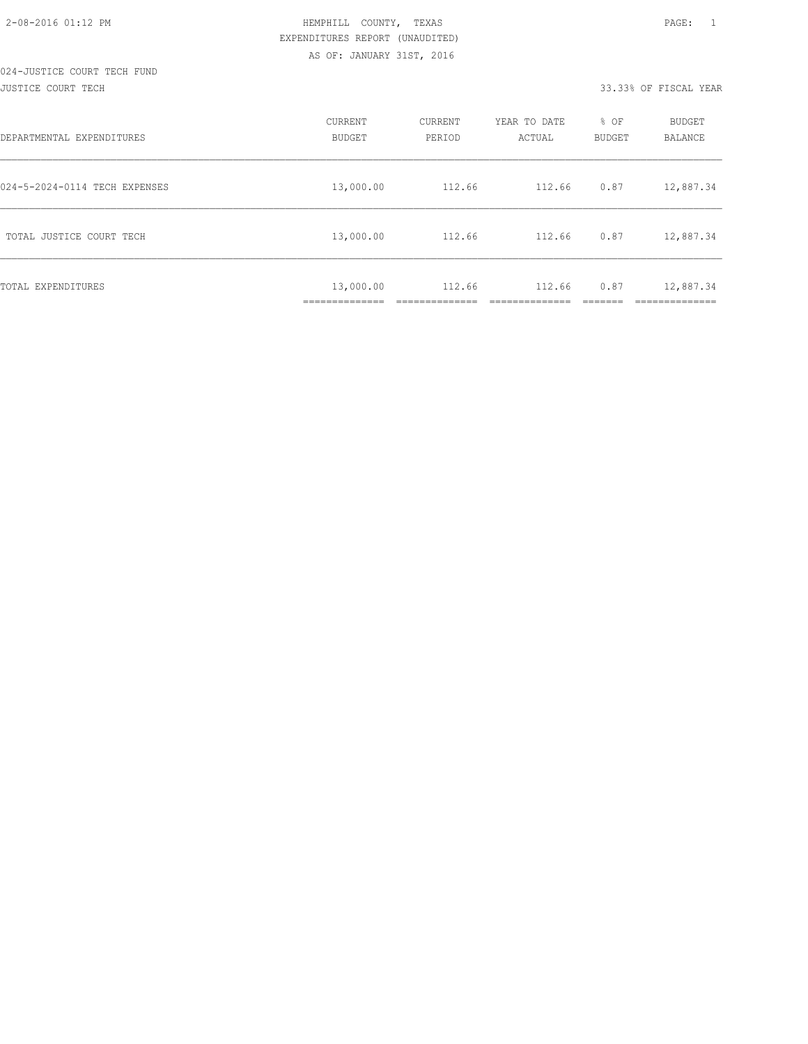#### 024-JUSTICE COURT TECH FUND JUSTICE COURT TECH 33.33% OF FISCAL YEAR

| DEPARTMENTAL EXPENDITURES     | CURRENT<br><b>BUDGET</b>   | CURRENT<br>PERIOD | YEAR TO DATE<br>ACTUAL | % OF<br>BUDGET | <b>BUDGET</b><br>BALANCE |
|-------------------------------|----------------------------|-------------------|------------------------|----------------|--------------------------|
| 024-5-2024-0114 TECH EXPENSES | 13,000.00                  | 112.66            | 112.66                 | 0.87           | 12,887.34                |
| TOTAL JUSTICE COURT TECH      | 13,000.00                  | 112.66            | 112.66                 | 0.87           | 12,887.34                |
| TOTAL EXPENDITURES            | 13,000.00<br>------------- | 112.66            | 112.66                 | 0.87           | 12,887.34<br>___________ |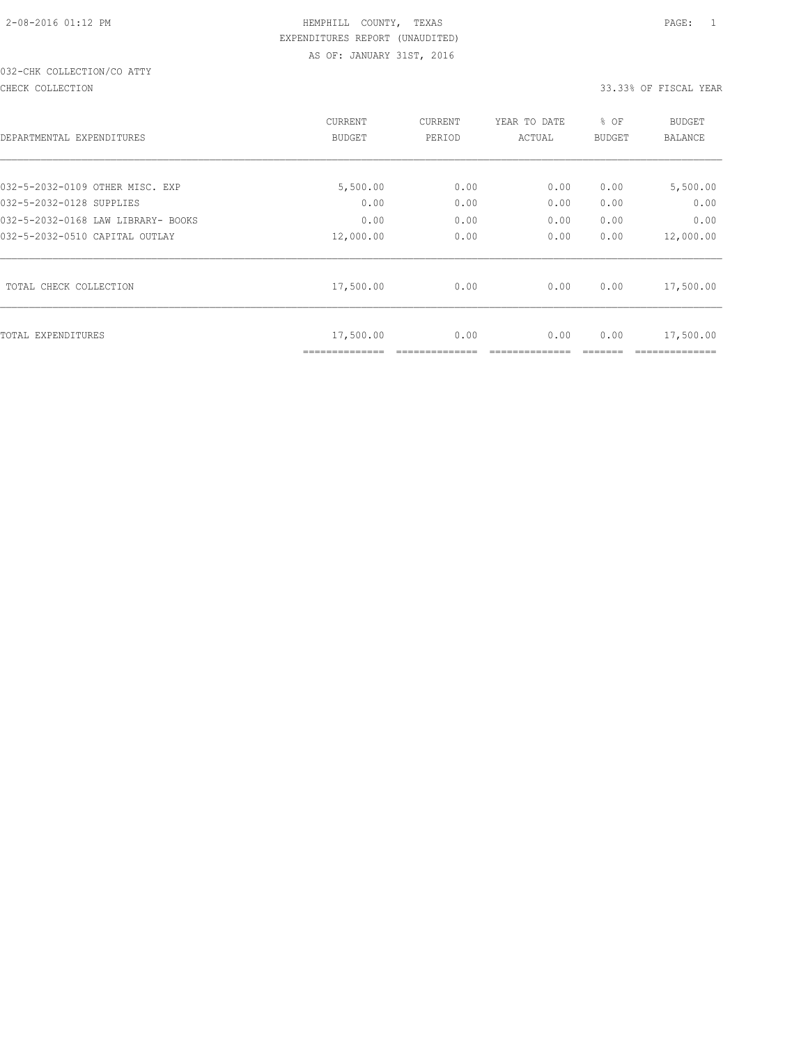# 032-CHK COLLECTION/CO ATTY

#### CHECK COLLECTION 33.33% OF FISCAL YEAR

|                                    | <b>CURRENT</b>              | <b>CURRENT</b> | YEAR TO DATE | % OF          | <b>BUDGET</b> |
|------------------------------------|-----------------------------|----------------|--------------|---------------|---------------|
| DEPARTMENTAL EXPENDITURES          | <b>BUDGET</b>               | PERIOD         | ACTUAL       | <b>BUDGET</b> | BALANCE       |
|                                    |                             |                |              |               |               |
| 032-5-2032-0109 OTHER MISC. EXP    | 5,500.00                    | 0.00           | 0.00         | 0.00          | 5,500.00      |
| 032-5-2032-0128 SUPPLIES           | 0.00                        | 0.00           | 0.00         | 0.00          | 0.00          |
| 032-5-2032-0168 LAW LIBRARY- BOOKS | 0.00                        | 0.00           | 0.00         | 0.00          | 0.00          |
| 032-5-2032-0510 CAPITAL OUTLAY     | 12,000.00                   | 0.00           | 0.00         | 0.00          | 12,000.00     |
| TOTAL CHECK COLLECTION             | 17,500.00                   | 0.00           | 0.00         | 0.00          | 17,500.00     |
| TOTAL EXPENDITURES                 | 17,500.00<br>============== | 0.00           | 0.00         | 0.00          | 17,500.00     |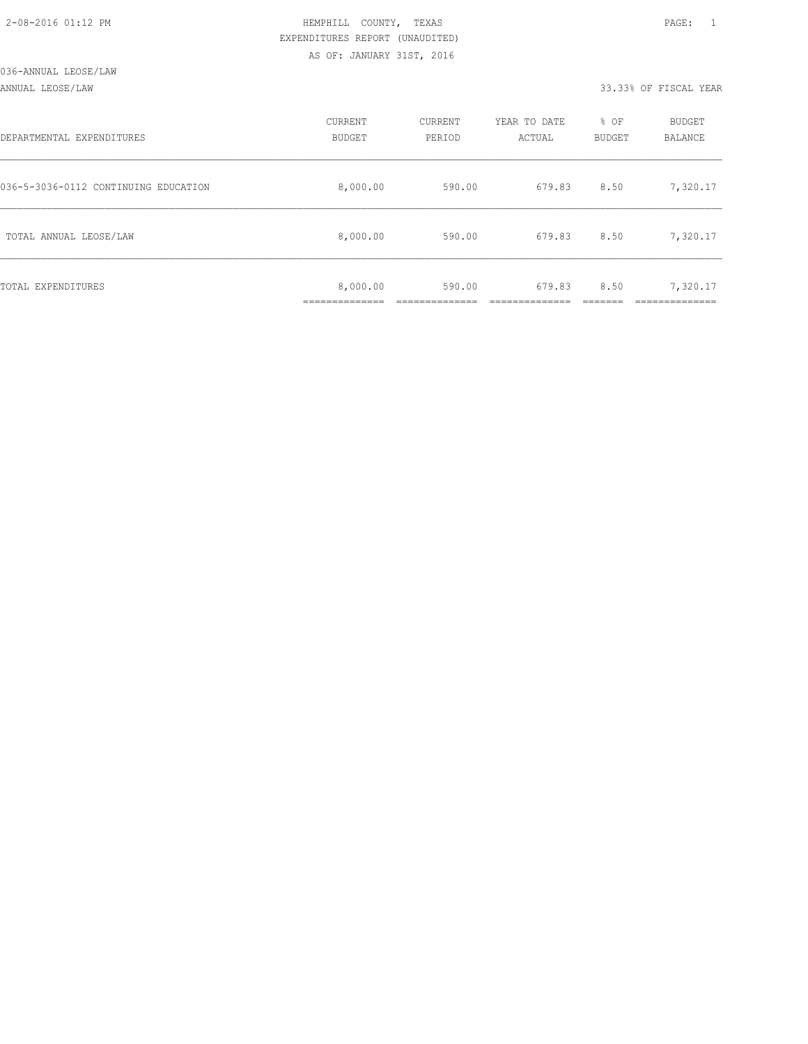ANNUAL LEOSE/LAW 33.33% OF FISCAL YEAR

| DEPARTMENTAL EXPENDITURES            | CURRENT<br><b>BUDGET</b> | CURRENT<br>PERIOD | YEAR TO DATE<br>ACTUAL | % OF<br><b>BUDGET</b> | <b>BUDGET</b><br>BALANCE |
|--------------------------------------|--------------------------|-------------------|------------------------|-----------------------|--------------------------|
| 036-5-3036-0112 CONTINUING EDUCATION | 8,000.00                 | 590.00            | 679.83                 | 8.50                  | 7,320.17                 |
| TOTAL ANNUAL LEOSE/LAW               | 8,000.00                 | 590.00            | 679.83                 | 8.50                  | 7,320.17                 |
| TOTAL EXPENDITURES                   | 8,000.00                 | 590.00            | 679.83                 | 8.50                  | 7,320.17                 |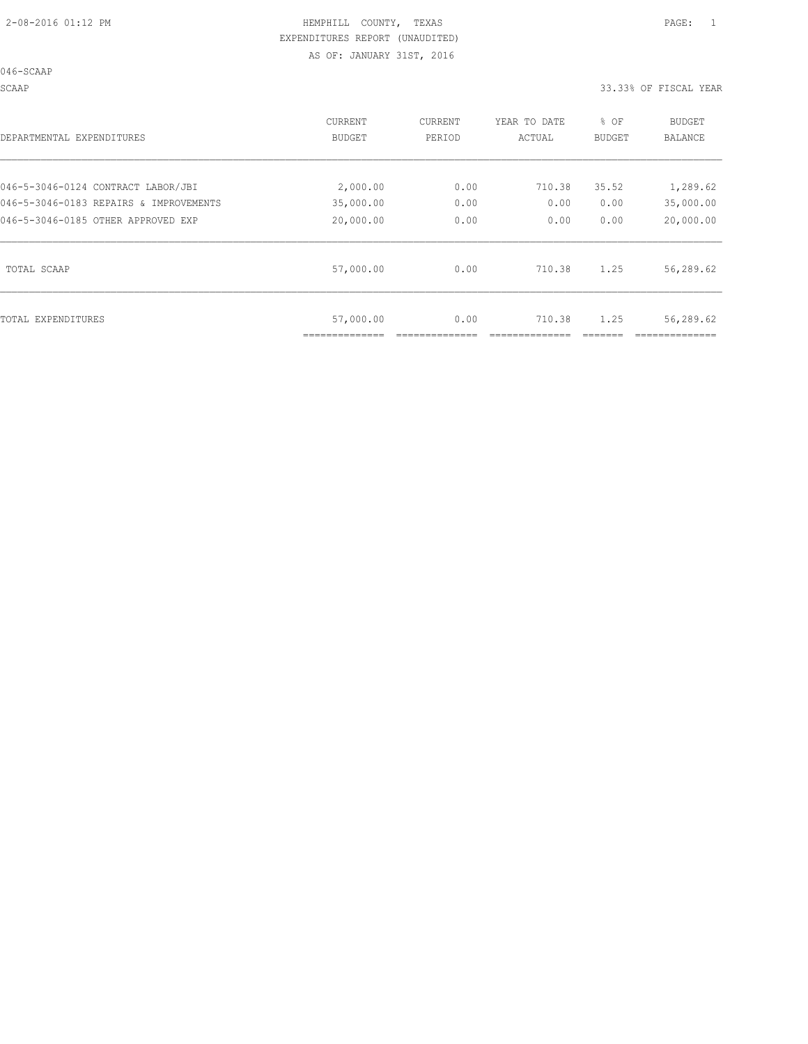046-SCAAP

SCAAP 33.33% OF FISCAL YEAR

| DEPARTMENTAL EXPENDITURES              | <b>CURRENT</b><br>BUDGET | CURRENT<br>PERIOD | YEAR TO DATE<br>ACTUAL | % OF<br>BUDGET | <b>BUDGET</b><br>BALANCE |
|----------------------------------------|--------------------------|-------------------|------------------------|----------------|--------------------------|
| 046-5-3046-0124 CONTRACT LABOR/JBI     | 2,000.00                 | 0.00              | 710.38                 | 35.52          | 1,289.62                 |
| 046-5-3046-0183 REPAIRS & IMPROVEMENTS | 35,000.00                | 0.00              | 0.00                   | 0.00           | 35,000.00                |
| 046-5-3046-0185 OTHER APPROVED EXP     | 20,000.00                | 0.00              | 0.00                   | 0.00           | 20,000.00                |
| TOTAL SCAAP                            | 57,000.00                | 0.00              | 710.38                 | 1.25           | 56,289.62                |
| TOTAL EXPENDITURES                     | 57,000.00                | 0.00              | 710.38                 | 1.25           | 56,289.62                |